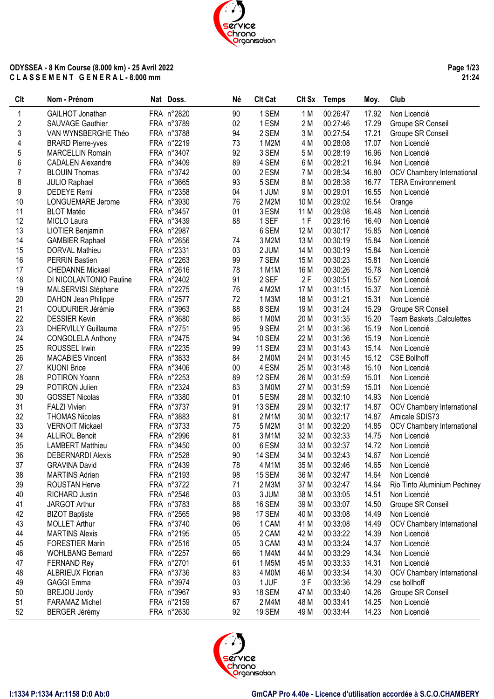**Page 1/23 21:24**

| <b>CIt</b>     | Nom - Prénom               | Nat Doss.  | Né     | <b>Clt Cat</b> | Clt Sx          | <b>Temps</b> | Moy.  | Club                         |
|----------------|----------------------------|------------|--------|----------------|-----------------|--------------|-------|------------------------------|
| 1              | GAILHOT Jonathan           | FRA n°2820 | 90     | 1 SEM          | 1 M             | 00:26:47     | 17.92 | Non Licencié                 |
| 2              | SAUVAGE Gauthier           | FRA n°3789 | 02     | 1 ESM          | 2 M             | 00:27:46     | 17.29 | Groupe SR Conseil            |
| 3              | VAN WYNSBERGHE Théo        | FRA n°3788 | 94     | 2 SEM          | 3M              | 00:27:54     | 17.21 | Groupe SR Conseil            |
| 4              | <b>BRARD Pierre-yves</b>   | FRA n°2219 | 73     | 1 M2M          | 4 M             | 00:28:08     | 17.07 | Non Licencié                 |
| 5              | <b>MARCELLIN Romain</b>    | FRA n°3407 | 92     | 3 SEM          | 5 M             | 00:28:19     | 16.96 | Non Licencié                 |
| 6              | <b>CADALEN Alexandre</b>   | FRA n°3409 | 89     | 4 SEM          | 6 M             | 00:28:21     | 16.94 | Non Licencié                 |
| $\overline{7}$ | <b>BLOUIN Thomas</b>       | FRA n°3742 | 00     | 2 ESM          | 7 M             | 00:28:34     | 16.80 | OCV Chambery International   |
| 8              | <b>JULIO Raphael</b>       | FRA n°3665 | 93     | 5 SEM          | 8 M             | 00:28:38     | 16.77 | <b>TERA Environnement</b>    |
| 9              | <b>DEDEYE</b> Remi         | FRA n°2358 | 04     | 1 JUM          | 9 M             | 00:29:01     | 16.55 | Non Licencié                 |
| 10             | LONGUEMARE Jerome          | FRA n°3930 | 76     | 2 M2M          | 10 M            | 00:29:02     | 16.54 | Orange                       |
| 11             | <b>BLOT Matéo</b>          | FRA n°3457 | 01     | 3 ESM          | 11 M            | 00:29:08     | 16.48 | Non Licencié                 |
| 12             | MICLO Laura                | FRA n°3439 | 88     | 1 SEF          | 1F              | 00:29:16     | 16.40 | Non Licencié                 |
| 13             | LIOTIER Benjamin           | FRA n°2987 |        | 6 SEM          | 12 M            | 00:30:17     | 15.85 | Non Licencié                 |
| 14             | <b>GAMBIER Raphael</b>     | FRA n°2656 | 74     | 3 M2M          | 13 M            | 00:30:19     | 15.84 | Non Licencié                 |
| 15             | DORVAL Mathieu             | FRA n°2331 | 03     | 2 JUM          | 14 M            | 00:30:19     | 15.84 | Non Licencié                 |
| 16             |                            | FRA n°2263 | 99     | 7 SEM          | 15 M            | 00:30:23     | 15.81 |                              |
|                | <b>PERRIN Bastien</b>      |            |        |                |                 | 00:30:26     |       | Non Licencié                 |
| 17             | <b>CHEDANNE Mickael</b>    | FRA n°2616 | 78     | 1 M1M          | 16 M            |              | 15.78 | Non Licencié                 |
| 18             | DI NICOLANTONIO Pauline    | FRA n°2402 | 91     | 2 SEF          | 2F              | 00:30:51     | 15.57 | Non Licencié                 |
| 19             | MALSERVISI Stéphane        | FRA n°2275 | 76     | 4 M2M          | 17 M            | 00:31:15     | 15.37 | Non Licencié                 |
| 20             | DAHON Jean Philippe        | FRA n°2577 | 72     | 1 M3M          | 18 M            | 00:31:21     | 15.31 | Non Licencié                 |
| 21             | <b>COUDURIER Jérémie</b>   | FRA n°3963 | 88     | 8 SEM          | 19 <sub>M</sub> | 00:31:24     | 15.29 | Groupe SR Conseil            |
| 22             | <b>DESSIER Kevin</b>       | FRA n°3680 | 86     | 1 MOM          | 20 M            | 00:31:35     | 15.20 | Team Baskets _Calculettes    |
| 23             | <b>DHERVILLY Guillaume</b> | FRA n°2751 | 95     | 9 SEM          | 21 M            | 00:31:36     | 15.19 | Non Licencié                 |
| 24             | <b>CONGOLELA Anthony</b>   | FRA n°2475 | 94     | 10 SEM         | 22 M            | 00:31:36     | 15.19 | Non Licencié                 |
| 25             | <b>ROUSSEL Irwin</b>       | FRA n°2235 | 99     | 11 SEM         | 23 M            | 00:31:43     | 15.14 | Non Licencié                 |
| 26             | <b>MACABIES Vincent</b>    | FRA n°3833 | 84     | 2 MOM          | 24 M            | 00:31:45     | 15.12 | <b>CSE Bollhoff</b>          |
| 27             | <b>KUONI Brice</b>         | FRA n°3406 | 00     | 4 ESM          | 25 M            | 00:31:48     | 15.10 | Non Licencié                 |
| 28             | POTIRON Yoann              | FRA n°2253 | 89     | 12 SEM         | 26 M            | 00:31:59     | 15.01 | Non Licencié                 |
| 29             | POTIRON Julien             | FRA n°2324 | 83     | 3 MOM          | 27 M            | 00:31:59     | 15.01 | Non Licencié                 |
| 30             | <b>GOSSET Nicolas</b>      | FRA n°3380 | 01     | 5 ESM          | 28 M            | 00:32:10     | 14.93 | Non Licencié                 |
| 31             | <b>FALZI Vivien</b>        | FRA n°3737 | 91     | 13 SEM         | 29 M            | 00:32:17     | 14.87 | OCV Chambery International   |
| 32             | <b>THOMAS Nicolas</b>      | FRA n°3883 | 81     | 2 M1M          | 30 M            | 00:32:17     | 14.87 | Amicale SDIS73               |
| 33             | <b>VERNOIT Mickael</b>     | FRA n°3733 | 75     | 5 M2M          | 31 M            | 00:32:20     | 14.85 | OCV Chambery International   |
| 34             | <b>ALLIROL Benoit</b>      | FRA n°2996 | 81     | 3 M1M          | 32 M            | 00:32:33     | 14.75 | Non Licencié                 |
| 35             | <b>LAMBERT Matthieu</b>    | FRA n°3450 | $00\,$ | 6 ESM          | 33 M            | 00:32:37     | 14.72 | Non Licencié                 |
| 36             | <b>DEBERNARDI Alexis</b>   | FRA n°2528 | 90     | <b>14 SEM</b>  | 34 M            | 00:32:43     | 14.67 | Non Licencié                 |
| 37             | <b>GRAVINA David</b>       | FRA n°2439 | 78     | 4 M1M          | 35 M            | 00:32:46     | 14.65 | Non Licencié                 |
| 38             | <b>MARTINS Adrien</b>      | FRA n°2193 | 98     | 15 SEM         | 36 M            | 00:32:47     | 14.64 | Non Licencié                 |
| 39             | ROUSTAN Herve              | FRA n°3722 | 71     | 2 M3M          | 37 M            | 00:32:47     | 14.64 | Rio Tinto Aluminium Pechiney |
| 40             | <b>RICHARD Justin</b>      | FRA n°2546 | 03     | 3 JUM          | 38 M            | 00:33:05     | 14.51 | Non Licencié                 |
| 41             | JARGOT Arthur              | FRA n°3783 | 88     | 16 SEM         | 39 M            | 00:33:07     | 14.50 | Groupe SR Conseil            |
| 42             | <b>BIZOT Baptiste</b>      | FRA n°2565 | 98     | 17 SEM         | 40 M            | 00:33:08     | 14.49 | Non Licencié                 |
| 43             | <b>MOLLET Arthur</b>       | FRA n°3740 | 06     | 1 CAM          | 41 M            | 00:33:08     | 14.49 | OCV Chambery International   |
| 44             | <b>MARTINS Alexis</b>      | FRA n°2195 | 05     | 2 CAM          | 42 M            | 00:33:22     | 14.39 | Non Licencié                 |
| 45             | <b>FORESTIER Marin</b>     | FRA n°2516 | 05     | 3 CAM          | 43 M            | 00:33:24     | 14.37 | Non Licencié                 |
| 46             | <b>WOHLBANG Bernard</b>    | FRA n°2257 | 66     | 1 M4M          | 44 M            | 00:33:29     | 14.34 | Non Licencié                 |
| 47             | <b>FERNAND Rey</b>         | FRA n°2701 | 61     | 1 M5M          | 45 M            | 00:33:33     | 14.31 | Non Licencié                 |
| 48             | <b>ALBRIEUX Florian</b>    | FRA n°3736 | 83     | 4 MOM          | 46 M            | 00:33:34     | 14.30 | OCV Chambery International   |
| 49             | <b>GAGGI Emma</b>          | FRA n°3974 | 03     | 1 JUF          | 3F              | 00:33:36     | 14.29 | cse bollhoff                 |
| 50             | <b>BREJOU Jordy</b>        | FRA n°3967 | 93     | <b>18 SEM</b>  | 47 M            | 00:33:40     | 14.26 | Groupe SR Conseil            |
| 51             |                            |            | 67     | 2 M4M          | 48 M            |              | 14.25 |                              |
|                | <b>FARAMAZ Michel</b>      | FRA n°2159 |        |                |                 | 00:33:41     |       | Non Licencié                 |
| 52             | <b>BERGER Jérémy</b>       | FRA n°2630 | 92     | <b>19 SEM</b>  | 49 M            | 00:33:44     | 14.23 | Non Licencié                 |

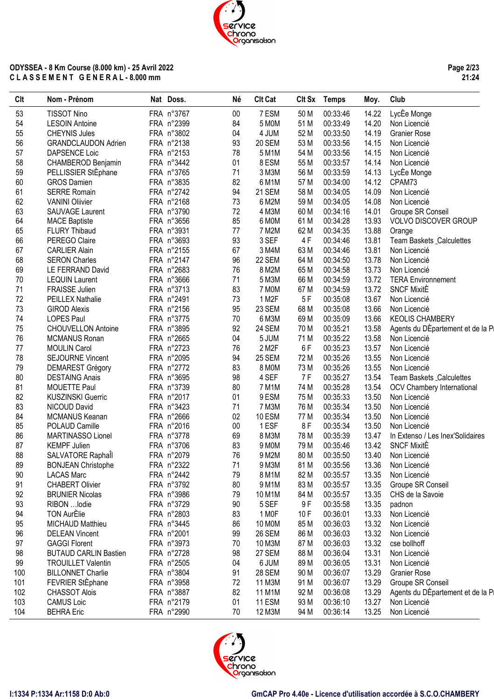# chrono<br>Chrono<br>Organisation **ODYSSEA - 8 Km Course (8.000 km) - 25 Avril 2022 C L A S S E M E N T G E N E R A L - 8.000 mm**

#### **Page 2/23 21:24**

| Clt | Nom - Prénom                 | Nat Doss.  | Né     | <b>Clt Cat</b> | Clt Sx | <b>Temps</b> | Moy.  | Club                              |
|-----|------------------------------|------------|--------|----------------|--------|--------------|-------|-----------------------------------|
| 53  | <b>TISSOT Nino</b>           | FRA n°3767 | $00\,$ | 7 ESM          | 50 M   | 00:33:46     | 14.22 | LycEe Monge                       |
| 54  | <b>LESOIN Antoine</b>        | FRA n°2399 | 84     | 5 M0M          | 51 M   | 00:33:49     | 14.20 | Non Licencié                      |
| 55  | <b>CHEYNIS Jules</b>         | FRA n°3802 | 04     | 4 JUM          | 52 M   | 00:33:50     | 14.19 | <b>Granier Rose</b>               |
| 56  | <b>GRANDCLAUDON Adrien</b>   | FRA n°2138 | 93     | 20 SEM         | 53 M   | 00:33:56     | 14.15 | Non Licencié                      |
| 57  | <b>DAPSENCE Loic</b>         | FRA n°2153 | 78     | 5 M1M          | 54 M   | 00:33:56     | 14.15 | Non Licencié                      |
| 58  | CHAMBEROD Benjamin           | FRA n°3442 | 01     | 8 ESM          | 55 M   | 00:33:57     | 14.14 | Non Licencié                      |
| 59  | PELLISSIER StÈphane          | FRA n°3765 | 71     | 3 M3M          | 56 M   | 00:33:59     | 14.13 | LycEe Monge                       |
| 60  | <b>GROS Damien</b>           | FRA n°3835 | 82     | 6 M1M          | 57 M   | 00:34:00     | 14.12 | CPAM73                            |
| 61  | <b>SERRE Romain</b>          | FRA n°2742 | 94     | 21 SEM         | 58 M   | 00:34:05     | 14.09 | Non Licencié                      |
| 62  | <b>VANINI Oliivier</b>       | FRA n°2168 | 73     | 6 M2M          | 59 M   | 00:34:05     | 14.08 | Non Licencié                      |
| 63  | <b>SAUVAGE Laurent</b>       | FRA n°3790 | 72     | 4 M3M          | 60 M   | 00:34:16     | 14.01 | Groupe SR Conseil                 |
| 64  | <b>MACE Baptiste</b>         | FRA n°3656 | 85     | 6 MOM          | 61 M   | 00:34:28     | 13.93 | <b>VOLVO DISCOVER GROUP</b>       |
| 65  | <b>FLURY Thibaud</b>         | FRA n°3931 | 77     | 7 M2M          |        |              | 13.88 |                                   |
|     |                              |            |        |                | 62 M   | 00:34:35     |       | Orange                            |
| 66  | PEREGO Claire                | FRA n°3693 | 93     | 3 SEF          | 4F     | 00:34:46     | 13.81 | Team Baskets _Calculettes         |
| 67  | <b>CARLIER Alain</b>         | FRA n°2155 | 67     | 3 M4M          | 63 M   | 00:34:46     | 13.81 | Non Licencié                      |
| 68  | <b>SERON Charles</b>         | FRA n°2147 | 96     | 22 SEM         | 64 M   | 00:34:50     | 13.78 | Non Licencié                      |
| 69  | LE FERRAND David             | FRA n°2683 | 76     | 8 M2M          | 65 M   | 00:34:58     | 13.73 | Non Licencié                      |
| 70  | <b>LEQUIN Laurent</b>        | FRA n°3666 | 71     | 5 M3M          | 66 M   | 00:34:59     | 13.72 | <b>TERA Environnement</b>         |
| 71  | FRAISSE Julien               | FRA n°3713 | 83     | 7 MOM          | 67 M   | 00:34:59     | 13.72 | <b>SNCF MixitE</b>                |
| 72  | PEILLEX Nathalie             | FRA n°2491 | 73     | 1 M2F          | 5F     | 00:35:08     | 13.67 | Non Licencié                      |
| 73  | <b>GIROD Alexis</b>          | FRA n°2156 | 95     | 23 SEM         | 68 M   | 00:35:08     | 13.66 | Non Licencié                      |
| 74  | <b>LOPES Paul</b>            | FRA n°3775 | 70     | 6 M3M          | 69 M   | 00:35:09     | 13.66 | <b>KEOLIS CHAMBERY</b>            |
| 75  | <b>CHOUVELLON Antoine</b>    | FRA n°3895 | 92     | 24 SEM         | 70 M   | 00:35:21     | 13.58 | Agents du DÉpartement et de la Pi |
| 76  | <b>MCMANUS Ronan</b>         | FRA n°2665 | 04     | 5 JUM          | 71 M   | 00:35:22     | 13.58 | Non Licencié                      |
| 77  | <b>MOULIN Carol</b>          | FRA n°2723 | 76     | 2 M2F          | 6F     | 00:35:23     | 13.57 | Non Licencié                      |
| 78  | <b>SEJOURNE Vincent</b>      | FRA n°2095 | 94     | <b>25 SEM</b>  | 72 M   | 00:35:26     | 13.55 | Non Licencié                      |
| 79  | <b>DEMAREST Grégory</b>      | FRA n°2772 | 83     | 8 MOM          | 73 M   | 00:35:26     | 13.55 | Non Licencié                      |
| 80  | <b>DESTAING Anais</b>        | FRA n°3695 | 98     | 4 SEF          | 7 F    | 00:35:27     | 13.54 | Team Baskets Calculettes          |
| 81  | <b>MOUETTE Paul</b>          | FRA n°3739 | 80     | 7 M1M          | 74 M   | 00:35:28     | 13.54 | <b>OCV Chambery International</b> |
| 82  | <b>KUSZINSKI Guerric</b>     | FRA n°2017 | 01     | 9 ESM          | 75 M   | 00:35:33     | 13.50 | Non Licencié                      |
| 83  | NICOUD David                 | FRA n°3423 | 71     | 7 M3M          | 76 M   | 00:35:34     | 13.50 | Non Licencié                      |
| 84  | MCMANUS Keanan               | FRA n°2666 | 02     | 10 ESM         | 77 M   | 00:35:34     | 13.50 | Non Licencié                      |
| 85  | POLAUD Camille               | FRA n°2016 | $00\,$ | 1 ESF          | 8F     | 00:35:34     | 13.50 | Non Licencié                      |
| 86  | MARTINASSO Lionel            | FRA n°3778 | 69     | 8 M3M          | 78 M   | 00:35:39     | 13.47 | In Extenso / Les Inex'Solidaires  |
| 87  | <b>KEMPF Julien</b>          | FRA n°3706 | 83     | 9 MOM          | 79 M   | 00:35:46     | 13.42 | <b>SNCF MixitE</b>                |
| 88  | SALVATORE Raphall            | FRA n°2079 | 76     | 9 M2M          | 80 M   | 00:35:50     | 13.40 | Non Licencié                      |
| 89  | <b>BONJEAN Christophe</b>    | FRA n°2322 | 71     | 9 M3M          | 81 M   | 00:35:56     | 13.36 | Non Licencié                      |
| 90  | <b>LACAS Marc</b>            | FRA n°2442 | 79     | 8 M1M          | 82 M   | 00:35:57     | 13.35 | Non Licencié                      |
| 91  | <b>CHABERT Olivier</b>       | FRA n°3792 | 80     | 9 M1M          | 83 M   | 00:35:57     | 13.35 | Groupe SR Conseil                 |
| 92  | <b>BRUNIER Nicolas</b>       | FRA n°3986 | 79     | 10 M1M         | 84 M   | 00:35:57     | 13.35 | CHS de la Savoie                  |
| 93  | RIBON  lodie                 | FRA n°3729 | 90     | 5 SEF          | 9F     | 00:35:58     | 13.35 | padnon                            |
| 94  | <b>TON AurÈlie</b>           | FRA n°2803 | 83     | 1 MOF          | 10F    | 00:36:01     | 13.33 | Non Licencié                      |
| 95  | MICHAUD Matthieu             | FRA n°3445 | 86     |                |        | 00:36:03     | 13.32 | Non Licencié                      |
|     |                              |            |        | 10 MOM         | 85 M   |              |       |                                   |
| 96  | <b>DELEAN Vincent</b>        | FRA n°2001 | 99     | 26 SEM         | 86 M   | 00:36:03     | 13.32 | Non Licencié                      |
| 97  | <b>GAGGI Florent</b>         | FRA n°3973 | 70     | 10 M3M         | 87 M   | 00:36:03     | 13.32 | cse bollhoff                      |
| 98  | <b>BUTAUD CARLIN Bastien</b> | FRA n°2728 | 98     | 27 SEM         | 88 M   | 00:36:04     | 13.31 | Non Licencié                      |
| 99  | <b>TROUILLET Valentin</b>    | FRA n°2505 | 04     | 6 JUM          | 89 M   | 00:36:05     | 13.31 | Non Licencié                      |
| 100 | <b>BILLONNET Charlie</b>     | FRA n°3804 | 91     | 28 SEM         | 90 M   | 00:36:07     | 13.29 | <b>Granier Rose</b>               |
| 101 | FEVRIER StÈphane             | FRA n°3958 | 72     | 11 M3M         | 91 M   | 00:36:07     | 13.29 | Groupe SR Conseil                 |
| 102 | <b>CHASSOT Alois</b>         | FRA n°3887 | 82     | 11 M1M         | 92 M   | 00:36:08     | 13.29 | Agents du DÉpartement et de la Pi |
| 103 | <b>CAMUS Loic</b>            | FRA n°2179 | 01     | 11 ESM         | 93 M   | 00:36:10     | 13.27 | Non Licencié                      |
| 104 | <b>BEHRA Eric</b>            | FRA n°2990 | 70     | 12 M3M         | 94 M   | 00:36:14     | 13.25 | Non Licencié                      |

ervice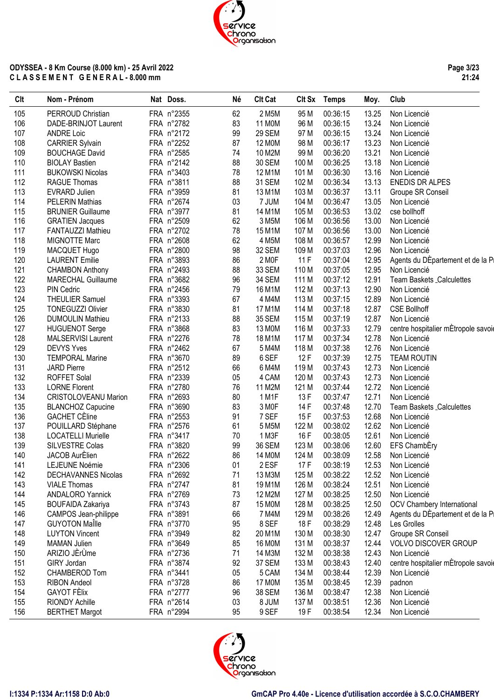**Page 3/23 21:24**

| Clt | Nom - Prénom                                        | Nat Doss.  | Né | <b>Clt Cat</b> |       | Clt Sx Temps | Moy.  | Club                                |
|-----|-----------------------------------------------------|------------|----|----------------|-------|--------------|-------|-------------------------------------|
| 105 | PERROUD Christian                                   | FRA n°2355 | 62 | 2 M5M          | 95 M  | 00:36:15     | 13.25 | Non Licencié                        |
| 106 | DADE-BRINJOT Laurent                                | FRA n°2782 | 83 | 11 M0M         | 96 M  | 00:36:15     | 13.24 | Non Licencié                        |
| 107 | <b>ANDRE Loic</b>                                   | FRA n°2172 | 99 | 29 SEM         | 97 M  | 00:36:15     | 13.24 | Non Licencié                        |
| 108 | <b>CARRIER Sylvain</b>                              | FRA n°2252 | 87 | 12 M0M         | 98 M  | 00:36:17     | 13.23 | Non Licencié                        |
| 109 | <b>BOUCHAGE David</b>                               | FRA n°2585 | 74 | 10 M2M         | 99 M  | 00:36:20     | 13.21 | Non Licencié                        |
| 110 | <b>BIOLAY Bastien</b>                               | FRA n°2142 | 88 | 30 SEM         | 100 M | 00:36:25     | 13.18 | Non Licencié                        |
| 111 | <b>BUKOWSKI Nicolas</b>                             | FRA n°3403 | 78 | 12 M1M         | 101 M | 00:36:30     | 13.16 | Non Licencié                        |
| 112 | <b>RAGUE Thomas</b>                                 | FRA n°3811 | 88 | 31 SEM         | 102 M | 00:36:34     | 13.13 | <b>ENEDIS DR ALPES</b>              |
| 113 | <b>EVRARD Julien</b>                                | FRA n°3959 | 81 | 13 M1M         | 103 M | 00:36:37     | 13.11 | Groupe SR Conseil                   |
| 114 | <b>PELERIN Mathias</b>                              | FRA n°2674 | 03 | 7 JUM          | 104 M | 00:36:47     | 13.05 | Non Licencié                        |
| 115 | <b>BRUNIER Guillaume</b>                            | FRA n°3977 | 81 | 14 M1M         | 105 M | 00:36:53     | 13.02 | cse bollhoff                        |
| 116 | <b>GRATIEN Jacques</b>                              | FRA n°2509 | 62 | 3 M5M          | 106 M | 00:36:56     | 13.00 | Non Licencié                        |
| 117 | FANTAUZZI Mathieu                                   | FRA n°2702 | 78 | 15 M1M         | 107 M | 00:36:56     | 13.00 | Non Licencié                        |
| 118 | <b>MIGNOTTE Marc</b>                                | FRA n°2608 | 62 | 4 M5M          | 108 M | 00:36:57     | 12.99 | Non Licencié                        |
| 119 | MACQUET Hugo                                        | FRA n°2800 | 98 | 32 SEM         | 109 M | 00:37:03     | 12.96 | Non Licencié                        |
| 120 | <b>LAURENT Emilie</b>                               | FRA n°3893 | 86 | 2 MOF          | 11F   | 00:37:04     | 12.95 | Agents du DEpartement et de la Pi   |
| 121 |                                                     | FRA n°2493 | 88 | 33 SEM         | 110 M | 00:37:05     | 12.95 | Non Licencié                        |
| 122 | <b>CHAMBON Anthony</b><br><b>MARECHAL Guillaume</b> | FRA n°3682 | 96 | 34 SEM         | 111 M | 00:37:12     | 12.91 | Team Baskets _Calculettes           |
|     |                                                     |            |    |                |       |              |       |                                     |
| 123 | <b>PIN Cedric</b>                                   | FRA n°2456 | 79 | 16 M1M         | 112 M | 00:37:13     | 12.90 | Non Licencié<br>Non Licencié        |
| 124 | <b>THEULIER Samuel</b>                              | FRA n°3393 | 67 | 4 M4M          | 113 M | 00:37:15     | 12.89 |                                     |
| 125 | <b>TONEGUZZI Olivier</b>                            | FRA n°3830 | 81 | 17 M1M         | 114 M | 00:37:18     | 12.87 | <b>CSE Bollhoff</b>                 |
| 126 | <b>DUMOULIN Mathieu</b>                             | FRA n°2133 | 88 | 35 SEM         | 115 M | 00:37:19     | 12.87 | Non Licencié                        |
| 127 | <b>HUGUENOT Serge</b>                               | FRA n°3868 | 83 | 13 MOM         | 116 M | 00:37:33     | 12.79 | centre hospitalier mÉtropole savoie |
| 128 | MALSERVISI Laurent                                  | FRA n°2276 | 78 | 18 M1M         | 117 M | 00:37:34     | 12.78 | Non Licencié                        |
| 129 | <b>DEVYS Yves</b>                                   | FRA n°2462 | 67 | 5 M4M          | 118 M | 00:37:38     | 12.76 | Non Licencié                        |
| 130 | <b>TEMPORAL Marine</b>                              | FRA n°3670 | 89 | 6 SEF          | 12F   | 00:37:39     | 12.75 | <b>TEAM ROUTIN</b>                  |
| 131 | <b>JARD Pierre</b>                                  | FRA n°2512 | 66 | 6 M4M          | 119 M | 00:37:43     | 12.73 | Non Licencié                        |
| 132 | <b>ROFFET Solal</b>                                 | FRA n°2339 | 05 | 4 CAM          | 120 M | 00:37:43     | 12.73 | Non Licencié                        |
| 133 | <b>LORNE Florent</b>                                | FRA n°2780 | 76 | 11 M2M         | 121 M | 00:37:44     | 12.72 | Non Licencié                        |
| 134 | <b>CRISTOLOVEANU Marion</b>                         | FRA n°2693 | 80 | 1 M1F          | 13 F  | 00:37:47     | 12.71 | Non Licencié                        |
| 135 | <b>BLANCHOZ Capucine</b>                            | FRA n°3690 | 83 | 3 MOF          | 14 F  | 00:37:48     | 12.70 | Team Baskets Calculettes            |
| 136 | <b>GACHET CÈline</b>                                | FRA n°2553 | 91 | 7 SEF          | 15F   | 00:37:53     | 12.68 | Non Licencié                        |
| 137 | POUILLARD Stéphane                                  | FRA n°2576 | 61 | 5 M5M          | 122 M | 00:38:02     | 12.62 | Non Licencié                        |
| 138 | <b>LOCATELLI Murielle</b>                           | FRA n°3417 | 70 | 1 M3F          | 16 F  | 00:38:05     | 12.61 | Non Licencié                        |
| 139 | SILVESTRE Colas                                     | FRA n°3820 | 99 | <b>36 SEM</b>  | 123 M | 00:38:06     | 12.60 | EFS ChambEry                        |
| 140 | JACOB AurElien                                      | FRA n°2622 | 86 | 14 M0M         | 124 M | 00:38:09     | 12.58 | Non Licencié                        |
| 141 | LEJEUNE Noémie                                      | FRA n°2306 | 01 | 2 ESF          | 17F   | 00:38:19     |       | 12.53 Non Licencié                  |
| 142 | <b>DECHAVANNES Nicolas</b>                          | FRA n°2692 | 71 | 13 M3M         | 125 M | 00:38:22     | 12.52 | Non Licencié                        |
| 143 | <b>VIALE Thomas</b>                                 | FRA n°2747 | 81 | 19 M1M         | 126 M | 00:38:24     | 12.51 | Non Licencié                        |
| 144 | <b>ANDALORO Yannick</b>                             | FRA n°2769 | 73 | 12 M2M         | 127 M | 00:38:25     | 12.50 | Non Licencié                        |
| 145 | <b>BOUFAIDA Zakariya</b>                            | FRA n°3743 | 87 | 15 M0M         | 128 M | 00:38:25     | 12.50 | OCV Chambery International          |
| 146 | CAMPOS Jean-philippe                                | FRA n°3891 | 66 | 7 M4M          | 129 M | 00:38:26     | 12.49 | Agents du DÉpartement et de la Pi   |
| 147 | <b>GUYOTON Maille</b>                               | FRA n°3770 | 95 | 8 SEF          | 18 F  | 00:38:29     | 12.48 | Les Grolles                         |
| 148 | <b>LUYTON Vincent</b>                               | FRA n°3949 | 82 | 20 M1M         | 130 M | 00:38:30     | 12.47 | Groupe SR Conseil                   |
| 149 | <b>MAMAN Julien</b>                                 | FRA n°3649 | 85 | 16 M0M         | 131 M | 00:38:37     | 12.44 | <b>VOLVO DISCOVER GROUP</b>         |
| 150 | ARIZIO JÈrÙme                                       | FRA n°2736 | 71 | 14 M3M         | 132 M | 00:38:38     | 12.43 | Non Licencié                        |
| 151 | GIRY Jordan                                         | FRA n°3874 | 92 | 37 SEM         | 133 M | 00:38:43     | 12.40 | centre hospitalier mÈtropole savoie |
| 152 | CHAMBEROD Tom                                       | FRA n°3441 | 05 | 5 CAM          | 134 M | 00:38:44     | 12.39 | Non Licencié                        |
| 153 | <b>RIBON Andeol</b>                                 | FRA n°3728 | 86 | 17 M0M         | 135 M | 00:38:45     | 12.39 | padnon                              |
| 154 | <b>GAYOT FÈlix</b>                                  | FRA n°2777 | 96 | 38 SEM         | 136 M | 00:38:47     | 12.38 | Non Licencié                        |
| 155 | <b>RIONDY Achille</b>                               | FRA n°2614 | 03 | 8 JUM          | 137 M | 00:38:51     | 12.36 | Non Licencié                        |
| 156 | <b>BERTHET Margot</b>                               | FRA n°2994 | 95 | 9 SEF          | 19 F  | 00:38:54     | 12.34 | Non Licencié                        |
|     |                                                     |            |    |                |       |              |       |                                     |

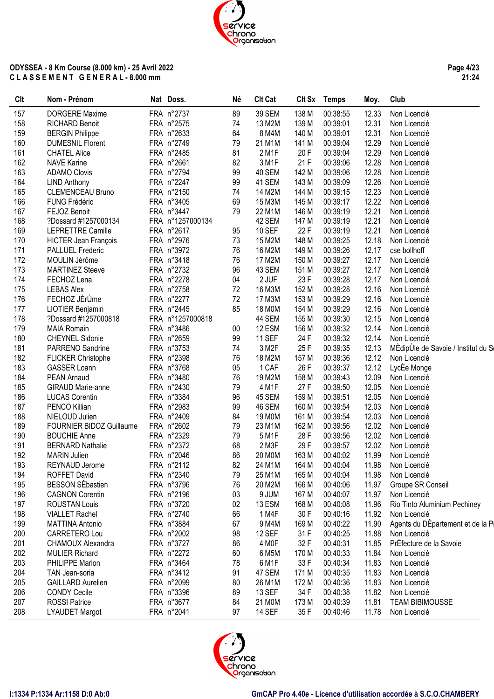#### 195 BESSON SÈbastien FRA n°3796 76 20 M2M 166 M 00:40:06 11.97 Groupe SR Conseil 196 CAGNON Corentin FRA n°2196 03 9 JUM 167 M 00:40:07 11.97 Non Licencié ROUSTAN Louis FRA n°3720 02 13 ESM 168 M 00:40:08 11.96 Rio Tinto Aluminium Pechiney 198 VIALLET Rachel FRA n°2740 66 1 M4F 30 F 00:40:16 11.92 Non Licencié 199 MATTINA Antonio FRA n°3884 67 9 M4M 169 M 00:40:22 11.90 Agents du DÈpartement et de la P

191 BERNARD Nathalie FRA n°2372 68 2 M3F 29 F 00:39:57 12.02 Non Licencié 192 MARIN Julien FRA n°2046 86 20 M0M 163 M 00:40:02 11.99 Non Licencié 193 REYNAUD Jerome FRA n°2112 82 24 M1M 164 M 00:40:04 11.98 Non Licencié 194 ROFFET David FRA n°2340 79 25 M1M 165 M 00:40:04 11.98 Non Licencié

200 CARRETERO Lou FRA n°2002 98 12 SEF 31 F 00:40:25 11.88 Non Licencié

202 MULIER Richard FRA n°2272 60 6 M5M 170 M 00:40:33 11.84 Non Licencié 203 PHILIPPE Marion FRA n°3464 78 6 M1F 33 F 00:40:34 11.83 Non Licencié 204 TAN Jean-soria FRA n°3412 91 47 SEM 171 M 00:40:35 11.83 Non Licencié 205 GAILLARD Aurelien FRA n°2099 80 26 M1M 172 M 00:40:36 11.83 Non Licencié 206 CONDY Cecile FRA n°3396 89 13 SEF 34 F 00:40:38 11.82 Non Licencié 207 ROSSI Patrice FRA n°3677 84 21 M0M 173 M 00:40:39 11.81 TEAM BIBIMOUSSE 208 LYAUDET Margot FRA n°2041 97 14 SEF 35 F 00:40:46 11.78 Non Licencié

201 CHAMOUX Alexandra FRA n°3727 86 4 M0F 32 F 00:40:31 11.85 PrÈfecture de la Savoie



## ervice Chrono Organisation

Clt Nom - Prénom Nat Doss. Né Clt Cat Clt Sx Temps Moy. Club

157 DORGERE Maxime FRA n°2737 89 39 SEM 138 M 00:38:55 12.33 Non Licencié 158 RICHARD Benoit FRA n°2575 74 13 M2M 139 M 00:39:01 12.31 Non Licencié 159 BERGIN Philippe FRA n°2633 64 8 M4M 140 M 00:39:01 12.31 Non Licencié 160 DUMESNIL Florent FRA n°2749 79 21 M1M 141 M 00:39:04 12.29 Non Licencié 161 CHATEL Alice FRA n°2485 81 2 M1F 20 F 00:39:04 12.29 Non Licencié 162 NAVE Karine FRA n°2661 82 3 M1F 21 F 00:39:06 12.28 Non Licencié 163 ADAMO Clovis FRA n°2794 99 40 SEM 142 M 00:39:06 12.28 Non Licencié 164 LIND Anthony FRA n°2247 99 41 SEM 143 M 00:39:09 12.26 Non Licencié

#### **ODYSSEA - 8 Km Course (8.000 km) - 25 Avril 2022 C L A S S E M E N T G E N E R A L - 8.000 mm**

**Page 4/23 21:24**



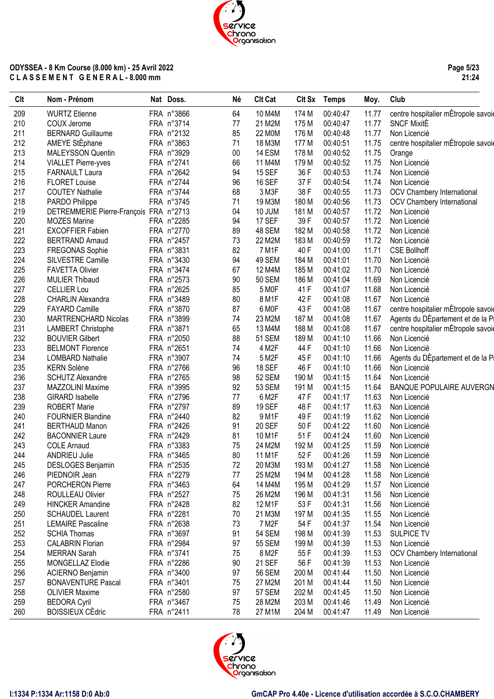**Page 5/23 21:24**

| 209<br><b>WURTZ Etienne</b><br>FRA n°3866<br>10 M4M<br>11.77<br>64<br>174 M<br>00:40:47<br>11.77<br>210<br>FRA n°3714<br>77<br>21 M2M<br><b>SNCF MixitE</b><br>COUX Jerome<br>175 M<br>00:40:47<br>211<br><b>BERNARD Guillaume</b><br>FRA n°2132<br>85<br>22 M0M<br>11.77<br>Non Licencié<br>176 M<br>00:40:48<br>212<br>AMEYE StÈphane<br>FRA n°3863<br>71<br>18 M3M<br>177 M<br>00:40:51<br>11.75<br>213<br>FRA n°3929<br>00<br>14 ESM<br>11.75<br><b>MALEYSSON Quentin</b><br>178 M<br>00:40:52<br>Orange<br>214<br>FRA n°2741<br>66<br>11.75<br><b>VIALLET Pierre-yves</b><br>11 M4M<br>179 M<br>00:40:52<br>Non Licencié<br>215<br>94<br>36 F<br>11.74<br><b>FARNAULT Laura</b><br>FRA n°2642<br><b>15 SEF</b><br>00:40:53<br>Non Licencié<br>216<br><b>FLORET Louise</b><br>FRA n°2744<br>96<br><b>16 SEF</b><br>37F<br>11.74<br>00:40:54<br>Non Licencié<br>217<br>FRA n°3744<br>68<br>3 M3F<br>38 F<br><b>COUTEY Nathalie</b><br>00:40:55<br>11.73<br>OCV Chambery International<br>218<br>PARDO Philippe<br>FRA n°3745<br>71<br>19 M3M<br>180 M<br>00:40:56<br>11.73<br><b>OCV Chambery International</b><br>219<br>04<br>11.72<br>DETREMMERIE Pierre-François FRA n°2713<br>10 JUM<br>181 M<br>00:40:57<br>Non Licencié<br>220<br>17 SEF<br>39F<br><b>MOZES Marine</b><br>FRA n°2285<br>94<br>00:40:57<br>11.72<br>Non Licencié<br>221<br>FRA n°2770<br><b>EXCOFFIER Fabien</b><br>89<br>48 SEM<br>182 M<br>00:40:58<br>11.72<br>Non Licencié<br>222<br>73<br>11.72<br>FRA n°2457<br>22 M2M<br>183 M<br>00:40:59<br><b>BERTRAND Arnaud</b><br>Non Licencié<br>223<br>FRA n°3831<br>82<br>7 M1F<br>40 F<br>11.71<br>FREGONAS Sophie<br>00:41:00<br><b>CSE Bollhoff</b><br>224<br>FRA n°3430<br>94<br>49 SEM<br>11.70<br>SILVESTRE Camille<br>184 M<br>00:41:01<br>Non Licencié<br>225<br>FRA n°3474<br>67<br>12 M4M<br>11.70<br><b>FAVETTA Olivier</b><br>185 M<br>00:41:02<br>Non Licencié<br>226<br>FRA n°2573<br>90<br>11.69<br><b>MULIER Thibaud</b><br><b>50 SEM</b><br>186 M<br>00:41:04<br>Non Licencié<br>227<br><b>CELLIER Lou</b><br>FRA n°2625<br>5 M <sub>OF</sub><br>41 F<br>11.68<br>85<br>00:41:07<br>Non Licencié<br>11.67<br>228<br>FRA n°3489<br>80<br>8 M1F<br>42 F<br><b>CHARLIN Alexandra</b><br>00:41:08<br>Non Licencié<br>229<br>FRA n°3870<br>87<br>6 MOF<br>43 F<br>11.67<br>centre hospitalier mÈtropole savoie<br><b>FAYARD Camille</b><br>00:41:08<br>230<br>FRA n°3899<br>74<br>23 M2M<br>11.67<br>MARTRENCHARD Nicolas<br>187 M<br>00:41:08<br>231<br>FRA n°3871<br>65<br>13 M4M<br>11.67<br>LAMBERT Christophe<br>188 M<br>00:41:08<br>232<br><b>BOUVIER Gilbert</b><br>FRA n°2050<br>88<br>51 SEM<br>189 M<br>00:41:10<br>11.66<br>Non Licencié<br>233<br>FRA n°2651<br>74<br>4 M2F<br>44 F<br>11.66<br><b>BELMONT Florence</b><br>00:41:10<br>Non Licencié<br>234<br>FRA n°3907<br>74<br>5 M2F<br>11.66<br><b>LOMBARD Nathalie</b><br>45 F<br>00:41:10<br>11.66<br>235<br>FRA n°2766<br>96<br><b>18 SEF</b><br>46 F<br><b>KERN Solène</b><br>00:41:10<br>Non Licencié<br>236<br>FRA n°2765<br>98<br>52 SEM<br>11.64<br><b>SCHUTZ Alexandre</b><br>190 M<br>00:41:15<br>Non Licencié<br>237<br>FRA n°3995<br>92<br>53 SEM<br>11.64<br>MAZZOLINI Maxime<br>191 M<br>00:41:15<br>238<br>FRA n°2796<br>77<br>6 M2F<br>47 F<br>11.63<br><b>GIRARD Isabelle</b><br>00:41:17<br>Non Licencié<br>239<br>FRA n°2797<br>11.63<br><b>ROBERT Marie</b><br>89<br><b>19 SEF</b><br>48 F<br>00:41:17<br>Non Licencié<br>240<br>FRA n°2440<br>82<br>9 M1F<br>11.62<br><b>FOURNIER Blandine</b><br>49 F<br>00:41:19<br>Non Licencié<br>241<br>FRA n°2426<br><b>20 SEF</b><br>11.60<br>91<br>50F<br>00:41:22<br>Non Licencié<br><b>BERTHAUD Manon</b><br>FRA n°2429<br>11.60<br>242<br><b>BACONNIER Laure</b><br>81<br>10 M1F<br>51 F<br>00:41:24<br>Non Licencié<br>243<br>FRA n°3383<br>24 M2M<br>11.59<br><b>COLE Arnaud</b><br>75<br>192 M<br>00:41:25<br>Non Licencié<br>244<br>80<br>11 M1F<br>52F<br>11.59<br><b>ANDRIEU Julie</b><br>FRA n°3465<br>00:41:26<br>Non Licencié<br>245<br>DESLOGES Benjamin<br>FRA n°2535<br>72<br>20 M3M<br>193 M<br>11.58<br>00:41:27<br>Non Licencié<br>246<br>PIEDNOIR Jean<br>FRA n°2279<br>77<br>25 M2M<br>194 M<br>00:41:28<br>11.58<br>Non Licencié<br>247<br>PORCHERON Pierre<br>FRA n°3463<br>64<br>14 M4M<br>11.57<br>195 M<br>00:41:29<br>Non Licencié<br>11.56<br>248<br>ROULLEAU Olivier<br>FRA n°2527<br>75<br>26 M2M<br>196 M<br>00:41:31<br>Non Licencié<br>12 M1F<br>249<br><b>HINCKER Amandine</b><br>FRA n°2428<br>82<br>53 F<br>00:41:31<br>11.56<br>Non Licencié<br>250<br>FRA n°2281<br>70<br>21 M3M<br>197 M<br>00:41:35<br>11.55<br><b>SCHAUDEL Laurent</b><br>Non Licencié<br>251<br>FRA n°2638<br>73<br>7 M <sub>2</sub> F<br>54 F<br>11.54<br><b>LEMAIRE Pascaline</b><br>00:41:37<br>Non Licencié<br>FRA n°3697<br><b>54 SEM</b><br>252<br><b>SCHIA Thomas</b><br>91<br>198 M<br>00:41:39<br>11.53<br><b>SULPICE TV</b><br>253<br><b>CALABRIN Florian</b><br>FRA n°2984<br>97<br><b>55 SEM</b><br>00:41:39<br>11.53<br>Non Licencié<br>199 M<br>254<br>8 M2F<br>55F<br><b>MERRAN Sarah</b><br>FRA n°3741<br>75<br>00:41:39<br>11.53<br><b>OCV Chambery International</b><br>FRA n°2286<br>90<br><b>21 SEF</b><br>255<br>MONGELLAZ Elodie<br>56 F<br>00:41:39<br>11.53<br>Non Licencié<br>256<br>11.50<br>ACIERNO Benjamin<br>FRA n°3400<br>97<br><b>56 SEM</b><br>200 M<br>00:41:44<br>Non Licencié<br>257<br>FRA n°3401<br>75<br>27 M2M<br>201 M<br>00:41:44<br>11.50<br>Non Licencié<br><b>BONAVENTURE Pascal</b><br>258<br><b>OLIVIER Maxime</b><br>FRA n°2580<br>97<br><b>57 SEM</b><br>202 M<br>00:41:45<br>11.50<br>Non Licencié<br>259<br><b>BEDORA Cyril</b><br>FRA n°3467<br>75<br>28 M2M<br>203 M<br>00:41:46<br>11.49<br>Non Licencié<br><b>BOISSIEUX CEdric</b><br>78<br>260<br>FRA n°2411<br>27 M1M<br>204 M<br>00:41:47<br>11.49<br>Non Licencié | <b>Clt</b> | Nom - Prénom | Nat Doss. | Né | <b>Clt Cat</b> | Clt Sx Temps | Moy. | Club                                |
|----------------------------------------------------------------------------------------------------------------------------------------------------------------------------------------------------------------------------------------------------------------------------------------------------------------------------------------------------------------------------------------------------------------------------------------------------------------------------------------------------------------------------------------------------------------------------------------------------------------------------------------------------------------------------------------------------------------------------------------------------------------------------------------------------------------------------------------------------------------------------------------------------------------------------------------------------------------------------------------------------------------------------------------------------------------------------------------------------------------------------------------------------------------------------------------------------------------------------------------------------------------------------------------------------------------------------------------------------------------------------------------------------------------------------------------------------------------------------------------------------------------------------------------------------------------------------------------------------------------------------------------------------------------------------------------------------------------------------------------------------------------------------------------------------------------------------------------------------------------------------------------------------------------------------------------------------------------------------------------------------------------------------------------------------------------------------------------------------------------------------------------------------------------------------------------------------------------------------------------------------------------------------------------------------------------------------------------------------------------------------------------------------------------------------------------------------------------------------------------------------------------------------------------------------------------------------------------------------------------------------------------------------------------------------------------------------------------------------------------------------------------------------------------------------------------------------------------------------------------------------------------------------------------------------------------------------------------------------------------------------------------------------------------------------------------------------------------------------------------------------------------------------------------------------------------------------------------------------------------------------------------------------------------------------------------------------------------------------------------------------------------------------------------------------------------------------------------------------------------------------------------------------------------------------------------------------------------------------------------------------------------------------------------------------------------------------------------------------------------------------------------------------------------------------------------------------------------------------------------------------------------------------------------------------------------------------------------------------------------------------------------------------------------------------------------------------------------------------------------------------------------------------------------------------------------------------------------------------------------------------------------------------------------------------------------------------------------------------------------------------------------------------------------------------------------------------------------------------------------------------------------------------------------------------------------------------------------------------------------------------------------------------------------------------------------------------------------------------------------------------------------------------------------------------------------------------------------------------------------------------------------------------------------------------------------------------------------------------------------------------------------------------------------------------------------------------------------------------------------------------------------------------------------------------------------------------------------------------------------------------------------------------------------------------------------------------------------------------------------------------------------------------------------------------------------------------------------------------------------------------------------------------------------------------------------------------------------------------------------------------------------------------------------------------------------------------------------------------------------------------------------------------------------------------------------------------------------------------------|------------|--------------|-----------|----|----------------|--------------|------|-------------------------------------|
|                                                                                                                                                                                                                                                                                                                                                                                                                                                                                                                                                                                                                                                                                                                                                                                                                                                                                                                                                                                                                                                                                                                                                                                                                                                                                                                                                                                                                                                                                                                                                                                                                                                                                                                                                                                                                                                                                                                                                                                                                                                                                                                                                                                                                                                                                                                                                                                                                                                                                                                                                                                                                                                                                                                                                                                                                                                                                                                                                                                                                                                                                                                                                                                                                                                                                                                                                                                                                                                                                                                                                                                                                                                                                                                                                                                                                                                                                                                                                                                                                                                                                                                                                                                                                                                                                                                                                                                                                                                                                                                                                                                                                                                                                                                                                                                                                                                                                                                                                                                                                                                                                                                                                                                                                                                                                                                                                                                                                                                                                                                                                                                                                                                                                                                                                                                                                                                          |            |              |           |    |                |              |      | centre hospitalier mÉtropole savoie |
|                                                                                                                                                                                                                                                                                                                                                                                                                                                                                                                                                                                                                                                                                                                                                                                                                                                                                                                                                                                                                                                                                                                                                                                                                                                                                                                                                                                                                                                                                                                                                                                                                                                                                                                                                                                                                                                                                                                                                                                                                                                                                                                                                                                                                                                                                                                                                                                                                                                                                                                                                                                                                                                                                                                                                                                                                                                                                                                                                                                                                                                                                                                                                                                                                                                                                                                                                                                                                                                                                                                                                                                                                                                                                                                                                                                                                                                                                                                                                                                                                                                                                                                                                                                                                                                                                                                                                                                                                                                                                                                                                                                                                                                                                                                                                                                                                                                                                                                                                                                                                                                                                                                                                                                                                                                                                                                                                                                                                                                                                                                                                                                                                                                                                                                                                                                                                                                          |            |              |           |    |                |              |      |                                     |
|                                                                                                                                                                                                                                                                                                                                                                                                                                                                                                                                                                                                                                                                                                                                                                                                                                                                                                                                                                                                                                                                                                                                                                                                                                                                                                                                                                                                                                                                                                                                                                                                                                                                                                                                                                                                                                                                                                                                                                                                                                                                                                                                                                                                                                                                                                                                                                                                                                                                                                                                                                                                                                                                                                                                                                                                                                                                                                                                                                                                                                                                                                                                                                                                                                                                                                                                                                                                                                                                                                                                                                                                                                                                                                                                                                                                                                                                                                                                                                                                                                                                                                                                                                                                                                                                                                                                                                                                                                                                                                                                                                                                                                                                                                                                                                                                                                                                                                                                                                                                                                                                                                                                                                                                                                                                                                                                                                                                                                                                                                                                                                                                                                                                                                                                                                                                                                                          |            |              |           |    |                |              |      |                                     |
|                                                                                                                                                                                                                                                                                                                                                                                                                                                                                                                                                                                                                                                                                                                                                                                                                                                                                                                                                                                                                                                                                                                                                                                                                                                                                                                                                                                                                                                                                                                                                                                                                                                                                                                                                                                                                                                                                                                                                                                                                                                                                                                                                                                                                                                                                                                                                                                                                                                                                                                                                                                                                                                                                                                                                                                                                                                                                                                                                                                                                                                                                                                                                                                                                                                                                                                                                                                                                                                                                                                                                                                                                                                                                                                                                                                                                                                                                                                                                                                                                                                                                                                                                                                                                                                                                                                                                                                                                                                                                                                                                                                                                                                                                                                                                                                                                                                                                                                                                                                                                                                                                                                                                                                                                                                                                                                                                                                                                                                                                                                                                                                                                                                                                                                                                                                                                                                          |            |              |           |    |                |              |      | centre hospitalier mÉtropole savoie |
|                                                                                                                                                                                                                                                                                                                                                                                                                                                                                                                                                                                                                                                                                                                                                                                                                                                                                                                                                                                                                                                                                                                                                                                                                                                                                                                                                                                                                                                                                                                                                                                                                                                                                                                                                                                                                                                                                                                                                                                                                                                                                                                                                                                                                                                                                                                                                                                                                                                                                                                                                                                                                                                                                                                                                                                                                                                                                                                                                                                                                                                                                                                                                                                                                                                                                                                                                                                                                                                                                                                                                                                                                                                                                                                                                                                                                                                                                                                                                                                                                                                                                                                                                                                                                                                                                                                                                                                                                                                                                                                                                                                                                                                                                                                                                                                                                                                                                                                                                                                                                                                                                                                                                                                                                                                                                                                                                                                                                                                                                                                                                                                                                                                                                                                                                                                                                                                          |            |              |           |    |                |              |      |                                     |
|                                                                                                                                                                                                                                                                                                                                                                                                                                                                                                                                                                                                                                                                                                                                                                                                                                                                                                                                                                                                                                                                                                                                                                                                                                                                                                                                                                                                                                                                                                                                                                                                                                                                                                                                                                                                                                                                                                                                                                                                                                                                                                                                                                                                                                                                                                                                                                                                                                                                                                                                                                                                                                                                                                                                                                                                                                                                                                                                                                                                                                                                                                                                                                                                                                                                                                                                                                                                                                                                                                                                                                                                                                                                                                                                                                                                                                                                                                                                                                                                                                                                                                                                                                                                                                                                                                                                                                                                                                                                                                                                                                                                                                                                                                                                                                                                                                                                                                                                                                                                                                                                                                                                                                                                                                                                                                                                                                                                                                                                                                                                                                                                                                                                                                                                                                                                                                                          |            |              |           |    |                |              |      |                                     |
|                                                                                                                                                                                                                                                                                                                                                                                                                                                                                                                                                                                                                                                                                                                                                                                                                                                                                                                                                                                                                                                                                                                                                                                                                                                                                                                                                                                                                                                                                                                                                                                                                                                                                                                                                                                                                                                                                                                                                                                                                                                                                                                                                                                                                                                                                                                                                                                                                                                                                                                                                                                                                                                                                                                                                                                                                                                                                                                                                                                                                                                                                                                                                                                                                                                                                                                                                                                                                                                                                                                                                                                                                                                                                                                                                                                                                                                                                                                                                                                                                                                                                                                                                                                                                                                                                                                                                                                                                                                                                                                                                                                                                                                                                                                                                                                                                                                                                                                                                                                                                                                                                                                                                                                                                                                                                                                                                                                                                                                                                                                                                                                                                                                                                                                                                                                                                                                          |            |              |           |    |                |              |      |                                     |
|                                                                                                                                                                                                                                                                                                                                                                                                                                                                                                                                                                                                                                                                                                                                                                                                                                                                                                                                                                                                                                                                                                                                                                                                                                                                                                                                                                                                                                                                                                                                                                                                                                                                                                                                                                                                                                                                                                                                                                                                                                                                                                                                                                                                                                                                                                                                                                                                                                                                                                                                                                                                                                                                                                                                                                                                                                                                                                                                                                                                                                                                                                                                                                                                                                                                                                                                                                                                                                                                                                                                                                                                                                                                                                                                                                                                                                                                                                                                                                                                                                                                                                                                                                                                                                                                                                                                                                                                                                                                                                                                                                                                                                                                                                                                                                                                                                                                                                                                                                                                                                                                                                                                                                                                                                                                                                                                                                                                                                                                                                                                                                                                                                                                                                                                                                                                                                                          |            |              |           |    |                |              |      |                                     |
|                                                                                                                                                                                                                                                                                                                                                                                                                                                                                                                                                                                                                                                                                                                                                                                                                                                                                                                                                                                                                                                                                                                                                                                                                                                                                                                                                                                                                                                                                                                                                                                                                                                                                                                                                                                                                                                                                                                                                                                                                                                                                                                                                                                                                                                                                                                                                                                                                                                                                                                                                                                                                                                                                                                                                                                                                                                                                                                                                                                                                                                                                                                                                                                                                                                                                                                                                                                                                                                                                                                                                                                                                                                                                                                                                                                                                                                                                                                                                                                                                                                                                                                                                                                                                                                                                                                                                                                                                                                                                                                                                                                                                                                                                                                                                                                                                                                                                                                                                                                                                                                                                                                                                                                                                                                                                                                                                                                                                                                                                                                                                                                                                                                                                                                                                                                                                                                          |            |              |           |    |                |              |      |                                     |
|                                                                                                                                                                                                                                                                                                                                                                                                                                                                                                                                                                                                                                                                                                                                                                                                                                                                                                                                                                                                                                                                                                                                                                                                                                                                                                                                                                                                                                                                                                                                                                                                                                                                                                                                                                                                                                                                                                                                                                                                                                                                                                                                                                                                                                                                                                                                                                                                                                                                                                                                                                                                                                                                                                                                                                                                                                                                                                                                                                                                                                                                                                                                                                                                                                                                                                                                                                                                                                                                                                                                                                                                                                                                                                                                                                                                                                                                                                                                                                                                                                                                                                                                                                                                                                                                                                                                                                                                                                                                                                                                                                                                                                                                                                                                                                                                                                                                                                                                                                                                                                                                                                                                                                                                                                                                                                                                                                                                                                                                                                                                                                                                                                                                                                                                                                                                                                                          |            |              |           |    |                |              |      |                                     |
|                                                                                                                                                                                                                                                                                                                                                                                                                                                                                                                                                                                                                                                                                                                                                                                                                                                                                                                                                                                                                                                                                                                                                                                                                                                                                                                                                                                                                                                                                                                                                                                                                                                                                                                                                                                                                                                                                                                                                                                                                                                                                                                                                                                                                                                                                                                                                                                                                                                                                                                                                                                                                                                                                                                                                                                                                                                                                                                                                                                                                                                                                                                                                                                                                                                                                                                                                                                                                                                                                                                                                                                                                                                                                                                                                                                                                                                                                                                                                                                                                                                                                                                                                                                                                                                                                                                                                                                                                                                                                                                                                                                                                                                                                                                                                                                                                                                                                                                                                                                                                                                                                                                                                                                                                                                                                                                                                                                                                                                                                                                                                                                                                                                                                                                                                                                                                                                          |            |              |           |    |                |              |      |                                     |
|                                                                                                                                                                                                                                                                                                                                                                                                                                                                                                                                                                                                                                                                                                                                                                                                                                                                                                                                                                                                                                                                                                                                                                                                                                                                                                                                                                                                                                                                                                                                                                                                                                                                                                                                                                                                                                                                                                                                                                                                                                                                                                                                                                                                                                                                                                                                                                                                                                                                                                                                                                                                                                                                                                                                                                                                                                                                                                                                                                                                                                                                                                                                                                                                                                                                                                                                                                                                                                                                                                                                                                                                                                                                                                                                                                                                                                                                                                                                                                                                                                                                                                                                                                                                                                                                                                                                                                                                                                                                                                                                                                                                                                                                                                                                                                                                                                                                                                                                                                                                                                                                                                                                                                                                                                                                                                                                                                                                                                                                                                                                                                                                                                                                                                                                                                                                                                                          |            |              |           |    |                |              |      |                                     |
|                                                                                                                                                                                                                                                                                                                                                                                                                                                                                                                                                                                                                                                                                                                                                                                                                                                                                                                                                                                                                                                                                                                                                                                                                                                                                                                                                                                                                                                                                                                                                                                                                                                                                                                                                                                                                                                                                                                                                                                                                                                                                                                                                                                                                                                                                                                                                                                                                                                                                                                                                                                                                                                                                                                                                                                                                                                                                                                                                                                                                                                                                                                                                                                                                                                                                                                                                                                                                                                                                                                                                                                                                                                                                                                                                                                                                                                                                                                                                                                                                                                                                                                                                                                                                                                                                                                                                                                                                                                                                                                                                                                                                                                                                                                                                                                                                                                                                                                                                                                                                                                                                                                                                                                                                                                                                                                                                                                                                                                                                                                                                                                                                                                                                                                                                                                                                                                          |            |              |           |    |                |              |      |                                     |
|                                                                                                                                                                                                                                                                                                                                                                                                                                                                                                                                                                                                                                                                                                                                                                                                                                                                                                                                                                                                                                                                                                                                                                                                                                                                                                                                                                                                                                                                                                                                                                                                                                                                                                                                                                                                                                                                                                                                                                                                                                                                                                                                                                                                                                                                                                                                                                                                                                                                                                                                                                                                                                                                                                                                                                                                                                                                                                                                                                                                                                                                                                                                                                                                                                                                                                                                                                                                                                                                                                                                                                                                                                                                                                                                                                                                                                                                                                                                                                                                                                                                                                                                                                                                                                                                                                                                                                                                                                                                                                                                                                                                                                                                                                                                                                                                                                                                                                                                                                                                                                                                                                                                                                                                                                                                                                                                                                                                                                                                                                                                                                                                                                                                                                                                                                                                                                                          |            |              |           |    |                |              |      |                                     |
|                                                                                                                                                                                                                                                                                                                                                                                                                                                                                                                                                                                                                                                                                                                                                                                                                                                                                                                                                                                                                                                                                                                                                                                                                                                                                                                                                                                                                                                                                                                                                                                                                                                                                                                                                                                                                                                                                                                                                                                                                                                                                                                                                                                                                                                                                                                                                                                                                                                                                                                                                                                                                                                                                                                                                                                                                                                                                                                                                                                                                                                                                                                                                                                                                                                                                                                                                                                                                                                                                                                                                                                                                                                                                                                                                                                                                                                                                                                                                                                                                                                                                                                                                                                                                                                                                                                                                                                                                                                                                                                                                                                                                                                                                                                                                                                                                                                                                                                                                                                                                                                                                                                                                                                                                                                                                                                                                                                                                                                                                                                                                                                                                                                                                                                                                                                                                                                          |            |              |           |    |                |              |      |                                     |
|                                                                                                                                                                                                                                                                                                                                                                                                                                                                                                                                                                                                                                                                                                                                                                                                                                                                                                                                                                                                                                                                                                                                                                                                                                                                                                                                                                                                                                                                                                                                                                                                                                                                                                                                                                                                                                                                                                                                                                                                                                                                                                                                                                                                                                                                                                                                                                                                                                                                                                                                                                                                                                                                                                                                                                                                                                                                                                                                                                                                                                                                                                                                                                                                                                                                                                                                                                                                                                                                                                                                                                                                                                                                                                                                                                                                                                                                                                                                                                                                                                                                                                                                                                                                                                                                                                                                                                                                                                                                                                                                                                                                                                                                                                                                                                                                                                                                                                                                                                                                                                                                                                                                                                                                                                                                                                                                                                                                                                                                                                                                                                                                                                                                                                                                                                                                                                                          |            |              |           |    |                |              |      |                                     |
|                                                                                                                                                                                                                                                                                                                                                                                                                                                                                                                                                                                                                                                                                                                                                                                                                                                                                                                                                                                                                                                                                                                                                                                                                                                                                                                                                                                                                                                                                                                                                                                                                                                                                                                                                                                                                                                                                                                                                                                                                                                                                                                                                                                                                                                                                                                                                                                                                                                                                                                                                                                                                                                                                                                                                                                                                                                                                                                                                                                                                                                                                                                                                                                                                                                                                                                                                                                                                                                                                                                                                                                                                                                                                                                                                                                                                                                                                                                                                                                                                                                                                                                                                                                                                                                                                                                                                                                                                                                                                                                                                                                                                                                                                                                                                                                                                                                                                                                                                                                                                                                                                                                                                                                                                                                                                                                                                                                                                                                                                                                                                                                                                                                                                                                                                                                                                                                          |            |              |           |    |                |              |      |                                     |
|                                                                                                                                                                                                                                                                                                                                                                                                                                                                                                                                                                                                                                                                                                                                                                                                                                                                                                                                                                                                                                                                                                                                                                                                                                                                                                                                                                                                                                                                                                                                                                                                                                                                                                                                                                                                                                                                                                                                                                                                                                                                                                                                                                                                                                                                                                                                                                                                                                                                                                                                                                                                                                                                                                                                                                                                                                                                                                                                                                                                                                                                                                                                                                                                                                                                                                                                                                                                                                                                                                                                                                                                                                                                                                                                                                                                                                                                                                                                                                                                                                                                                                                                                                                                                                                                                                                                                                                                                                                                                                                                                                                                                                                                                                                                                                                                                                                                                                                                                                                                                                                                                                                                                                                                                                                                                                                                                                                                                                                                                                                                                                                                                                                                                                                                                                                                                                                          |            |              |           |    |                |              |      |                                     |
|                                                                                                                                                                                                                                                                                                                                                                                                                                                                                                                                                                                                                                                                                                                                                                                                                                                                                                                                                                                                                                                                                                                                                                                                                                                                                                                                                                                                                                                                                                                                                                                                                                                                                                                                                                                                                                                                                                                                                                                                                                                                                                                                                                                                                                                                                                                                                                                                                                                                                                                                                                                                                                                                                                                                                                                                                                                                                                                                                                                                                                                                                                                                                                                                                                                                                                                                                                                                                                                                                                                                                                                                                                                                                                                                                                                                                                                                                                                                                                                                                                                                                                                                                                                                                                                                                                                                                                                                                                                                                                                                                                                                                                                                                                                                                                                                                                                                                                                                                                                                                                                                                                                                                                                                                                                                                                                                                                                                                                                                                                                                                                                                                                                                                                                                                                                                                                                          |            |              |           |    |                |              |      |                                     |
|                                                                                                                                                                                                                                                                                                                                                                                                                                                                                                                                                                                                                                                                                                                                                                                                                                                                                                                                                                                                                                                                                                                                                                                                                                                                                                                                                                                                                                                                                                                                                                                                                                                                                                                                                                                                                                                                                                                                                                                                                                                                                                                                                                                                                                                                                                                                                                                                                                                                                                                                                                                                                                                                                                                                                                                                                                                                                                                                                                                                                                                                                                                                                                                                                                                                                                                                                                                                                                                                                                                                                                                                                                                                                                                                                                                                                                                                                                                                                                                                                                                                                                                                                                                                                                                                                                                                                                                                                                                                                                                                                                                                                                                                                                                                                                                                                                                                                                                                                                                                                                                                                                                                                                                                                                                                                                                                                                                                                                                                                                                                                                                                                                                                                                                                                                                                                                                          |            |              |           |    |                |              |      |                                     |
|                                                                                                                                                                                                                                                                                                                                                                                                                                                                                                                                                                                                                                                                                                                                                                                                                                                                                                                                                                                                                                                                                                                                                                                                                                                                                                                                                                                                                                                                                                                                                                                                                                                                                                                                                                                                                                                                                                                                                                                                                                                                                                                                                                                                                                                                                                                                                                                                                                                                                                                                                                                                                                                                                                                                                                                                                                                                                                                                                                                                                                                                                                                                                                                                                                                                                                                                                                                                                                                                                                                                                                                                                                                                                                                                                                                                                                                                                                                                                                                                                                                                                                                                                                                                                                                                                                                                                                                                                                                                                                                                                                                                                                                                                                                                                                                                                                                                                                                                                                                                                                                                                                                                                                                                                                                                                                                                                                                                                                                                                                                                                                                                                                                                                                                                                                                                                                                          |            |              |           |    |                |              |      |                                     |
|                                                                                                                                                                                                                                                                                                                                                                                                                                                                                                                                                                                                                                                                                                                                                                                                                                                                                                                                                                                                                                                                                                                                                                                                                                                                                                                                                                                                                                                                                                                                                                                                                                                                                                                                                                                                                                                                                                                                                                                                                                                                                                                                                                                                                                                                                                                                                                                                                                                                                                                                                                                                                                                                                                                                                                                                                                                                                                                                                                                                                                                                                                                                                                                                                                                                                                                                                                                                                                                                                                                                                                                                                                                                                                                                                                                                                                                                                                                                                                                                                                                                                                                                                                                                                                                                                                                                                                                                                                                                                                                                                                                                                                                                                                                                                                                                                                                                                                                                                                                                                                                                                                                                                                                                                                                                                                                                                                                                                                                                                                                                                                                                                                                                                                                                                                                                                                                          |            |              |           |    |                |              |      |                                     |
|                                                                                                                                                                                                                                                                                                                                                                                                                                                                                                                                                                                                                                                                                                                                                                                                                                                                                                                                                                                                                                                                                                                                                                                                                                                                                                                                                                                                                                                                                                                                                                                                                                                                                                                                                                                                                                                                                                                                                                                                                                                                                                                                                                                                                                                                                                                                                                                                                                                                                                                                                                                                                                                                                                                                                                                                                                                                                                                                                                                                                                                                                                                                                                                                                                                                                                                                                                                                                                                                                                                                                                                                                                                                                                                                                                                                                                                                                                                                                                                                                                                                                                                                                                                                                                                                                                                                                                                                                                                                                                                                                                                                                                                                                                                                                                                                                                                                                                                                                                                                                                                                                                                                                                                                                                                                                                                                                                                                                                                                                                                                                                                                                                                                                                                                                                                                                                                          |            |              |           |    |                |              |      | Agents du DEpartement et de la Pi   |
|                                                                                                                                                                                                                                                                                                                                                                                                                                                                                                                                                                                                                                                                                                                                                                                                                                                                                                                                                                                                                                                                                                                                                                                                                                                                                                                                                                                                                                                                                                                                                                                                                                                                                                                                                                                                                                                                                                                                                                                                                                                                                                                                                                                                                                                                                                                                                                                                                                                                                                                                                                                                                                                                                                                                                                                                                                                                                                                                                                                                                                                                                                                                                                                                                                                                                                                                                                                                                                                                                                                                                                                                                                                                                                                                                                                                                                                                                                                                                                                                                                                                                                                                                                                                                                                                                                                                                                                                                                                                                                                                                                                                                                                                                                                                                                                                                                                                                                                                                                                                                                                                                                                                                                                                                                                                                                                                                                                                                                                                                                                                                                                                                                                                                                                                                                                                                                                          |            |              |           |    |                |              |      | centre hospitalier mÈtropole savoie |
|                                                                                                                                                                                                                                                                                                                                                                                                                                                                                                                                                                                                                                                                                                                                                                                                                                                                                                                                                                                                                                                                                                                                                                                                                                                                                                                                                                                                                                                                                                                                                                                                                                                                                                                                                                                                                                                                                                                                                                                                                                                                                                                                                                                                                                                                                                                                                                                                                                                                                                                                                                                                                                                                                                                                                                                                                                                                                                                                                                                                                                                                                                                                                                                                                                                                                                                                                                                                                                                                                                                                                                                                                                                                                                                                                                                                                                                                                                                                                                                                                                                                                                                                                                                                                                                                                                                                                                                                                                                                                                                                                                                                                                                                                                                                                                                                                                                                                                                                                                                                                                                                                                                                                                                                                                                                                                                                                                                                                                                                                                                                                                                                                                                                                                                                                                                                                                                          |            |              |           |    |                |              |      |                                     |
|                                                                                                                                                                                                                                                                                                                                                                                                                                                                                                                                                                                                                                                                                                                                                                                                                                                                                                                                                                                                                                                                                                                                                                                                                                                                                                                                                                                                                                                                                                                                                                                                                                                                                                                                                                                                                                                                                                                                                                                                                                                                                                                                                                                                                                                                                                                                                                                                                                                                                                                                                                                                                                                                                                                                                                                                                                                                                                                                                                                                                                                                                                                                                                                                                                                                                                                                                                                                                                                                                                                                                                                                                                                                                                                                                                                                                                                                                                                                                                                                                                                                                                                                                                                                                                                                                                                                                                                                                                                                                                                                                                                                                                                                                                                                                                                                                                                                                                                                                                                                                                                                                                                                                                                                                                                                                                                                                                                                                                                                                                                                                                                                                                                                                                                                                                                                                                                          |            |              |           |    |                |              |      |                                     |
|                                                                                                                                                                                                                                                                                                                                                                                                                                                                                                                                                                                                                                                                                                                                                                                                                                                                                                                                                                                                                                                                                                                                                                                                                                                                                                                                                                                                                                                                                                                                                                                                                                                                                                                                                                                                                                                                                                                                                                                                                                                                                                                                                                                                                                                                                                                                                                                                                                                                                                                                                                                                                                                                                                                                                                                                                                                                                                                                                                                                                                                                                                                                                                                                                                                                                                                                                                                                                                                                                                                                                                                                                                                                                                                                                                                                                                                                                                                                                                                                                                                                                                                                                                                                                                                                                                                                                                                                                                                                                                                                                                                                                                                                                                                                                                                                                                                                                                                                                                                                                                                                                                                                                                                                                                                                                                                                                                                                                                                                                                                                                                                                                                                                                                                                                                                                                                                          |            |              |           |    |                |              |      | Agents du DÉpartement et de la Pi   |
|                                                                                                                                                                                                                                                                                                                                                                                                                                                                                                                                                                                                                                                                                                                                                                                                                                                                                                                                                                                                                                                                                                                                                                                                                                                                                                                                                                                                                                                                                                                                                                                                                                                                                                                                                                                                                                                                                                                                                                                                                                                                                                                                                                                                                                                                                                                                                                                                                                                                                                                                                                                                                                                                                                                                                                                                                                                                                                                                                                                                                                                                                                                                                                                                                                                                                                                                                                                                                                                                                                                                                                                                                                                                                                                                                                                                                                                                                                                                                                                                                                                                                                                                                                                                                                                                                                                                                                                                                                                                                                                                                                                                                                                                                                                                                                                                                                                                                                                                                                                                                                                                                                                                                                                                                                                                                                                                                                                                                                                                                                                                                                                                                                                                                                                                                                                                                                                          |            |              |           |    |                |              |      |                                     |
|                                                                                                                                                                                                                                                                                                                                                                                                                                                                                                                                                                                                                                                                                                                                                                                                                                                                                                                                                                                                                                                                                                                                                                                                                                                                                                                                                                                                                                                                                                                                                                                                                                                                                                                                                                                                                                                                                                                                                                                                                                                                                                                                                                                                                                                                                                                                                                                                                                                                                                                                                                                                                                                                                                                                                                                                                                                                                                                                                                                                                                                                                                                                                                                                                                                                                                                                                                                                                                                                                                                                                                                                                                                                                                                                                                                                                                                                                                                                                                                                                                                                                                                                                                                                                                                                                                                                                                                                                                                                                                                                                                                                                                                                                                                                                                                                                                                                                                                                                                                                                                                                                                                                                                                                                                                                                                                                                                                                                                                                                                                                                                                                                                                                                                                                                                                                                                                          |            |              |           |    |                |              |      |                                     |
|                                                                                                                                                                                                                                                                                                                                                                                                                                                                                                                                                                                                                                                                                                                                                                                                                                                                                                                                                                                                                                                                                                                                                                                                                                                                                                                                                                                                                                                                                                                                                                                                                                                                                                                                                                                                                                                                                                                                                                                                                                                                                                                                                                                                                                                                                                                                                                                                                                                                                                                                                                                                                                                                                                                                                                                                                                                                                                                                                                                                                                                                                                                                                                                                                                                                                                                                                                                                                                                                                                                                                                                                                                                                                                                                                                                                                                                                                                                                                                                                                                                                                                                                                                                                                                                                                                                                                                                                                                                                                                                                                                                                                                                                                                                                                                                                                                                                                                                                                                                                                                                                                                                                                                                                                                                                                                                                                                                                                                                                                                                                                                                                                                                                                                                                                                                                                                                          |            |              |           |    |                |              |      | <b>BANQUE POPULAIRE AUVERGN</b>     |
|                                                                                                                                                                                                                                                                                                                                                                                                                                                                                                                                                                                                                                                                                                                                                                                                                                                                                                                                                                                                                                                                                                                                                                                                                                                                                                                                                                                                                                                                                                                                                                                                                                                                                                                                                                                                                                                                                                                                                                                                                                                                                                                                                                                                                                                                                                                                                                                                                                                                                                                                                                                                                                                                                                                                                                                                                                                                                                                                                                                                                                                                                                                                                                                                                                                                                                                                                                                                                                                                                                                                                                                                                                                                                                                                                                                                                                                                                                                                                                                                                                                                                                                                                                                                                                                                                                                                                                                                                                                                                                                                                                                                                                                                                                                                                                                                                                                                                                                                                                                                                                                                                                                                                                                                                                                                                                                                                                                                                                                                                                                                                                                                                                                                                                                                                                                                                                                          |            |              |           |    |                |              |      |                                     |
|                                                                                                                                                                                                                                                                                                                                                                                                                                                                                                                                                                                                                                                                                                                                                                                                                                                                                                                                                                                                                                                                                                                                                                                                                                                                                                                                                                                                                                                                                                                                                                                                                                                                                                                                                                                                                                                                                                                                                                                                                                                                                                                                                                                                                                                                                                                                                                                                                                                                                                                                                                                                                                                                                                                                                                                                                                                                                                                                                                                                                                                                                                                                                                                                                                                                                                                                                                                                                                                                                                                                                                                                                                                                                                                                                                                                                                                                                                                                                                                                                                                                                                                                                                                                                                                                                                                                                                                                                                                                                                                                                                                                                                                                                                                                                                                                                                                                                                                                                                                                                                                                                                                                                                                                                                                                                                                                                                                                                                                                                                                                                                                                                                                                                                                                                                                                                                                          |            |              |           |    |                |              |      |                                     |
|                                                                                                                                                                                                                                                                                                                                                                                                                                                                                                                                                                                                                                                                                                                                                                                                                                                                                                                                                                                                                                                                                                                                                                                                                                                                                                                                                                                                                                                                                                                                                                                                                                                                                                                                                                                                                                                                                                                                                                                                                                                                                                                                                                                                                                                                                                                                                                                                                                                                                                                                                                                                                                                                                                                                                                                                                                                                                                                                                                                                                                                                                                                                                                                                                                                                                                                                                                                                                                                                                                                                                                                                                                                                                                                                                                                                                                                                                                                                                                                                                                                                                                                                                                                                                                                                                                                                                                                                                                                                                                                                                                                                                                                                                                                                                                                                                                                                                                                                                                                                                                                                                                                                                                                                                                                                                                                                                                                                                                                                                                                                                                                                                                                                                                                                                                                                                                                          |            |              |           |    |                |              |      |                                     |
|                                                                                                                                                                                                                                                                                                                                                                                                                                                                                                                                                                                                                                                                                                                                                                                                                                                                                                                                                                                                                                                                                                                                                                                                                                                                                                                                                                                                                                                                                                                                                                                                                                                                                                                                                                                                                                                                                                                                                                                                                                                                                                                                                                                                                                                                                                                                                                                                                                                                                                                                                                                                                                                                                                                                                                                                                                                                                                                                                                                                                                                                                                                                                                                                                                                                                                                                                                                                                                                                                                                                                                                                                                                                                                                                                                                                                                                                                                                                                                                                                                                                                                                                                                                                                                                                                                                                                                                                                                                                                                                                                                                                                                                                                                                                                                                                                                                                                                                                                                                                                                                                                                                                                                                                                                                                                                                                                                                                                                                                                                                                                                                                                                                                                                                                                                                                                                                          |            |              |           |    |                |              |      |                                     |
|                                                                                                                                                                                                                                                                                                                                                                                                                                                                                                                                                                                                                                                                                                                                                                                                                                                                                                                                                                                                                                                                                                                                                                                                                                                                                                                                                                                                                                                                                                                                                                                                                                                                                                                                                                                                                                                                                                                                                                                                                                                                                                                                                                                                                                                                                                                                                                                                                                                                                                                                                                                                                                                                                                                                                                                                                                                                                                                                                                                                                                                                                                                                                                                                                                                                                                                                                                                                                                                                                                                                                                                                                                                                                                                                                                                                                                                                                                                                                                                                                                                                                                                                                                                                                                                                                                                                                                                                                                                                                                                                                                                                                                                                                                                                                                                                                                                                                                                                                                                                                                                                                                                                                                                                                                                                                                                                                                                                                                                                                                                                                                                                                                                                                                                                                                                                                                                          |            |              |           |    |                |              |      |                                     |
|                                                                                                                                                                                                                                                                                                                                                                                                                                                                                                                                                                                                                                                                                                                                                                                                                                                                                                                                                                                                                                                                                                                                                                                                                                                                                                                                                                                                                                                                                                                                                                                                                                                                                                                                                                                                                                                                                                                                                                                                                                                                                                                                                                                                                                                                                                                                                                                                                                                                                                                                                                                                                                                                                                                                                                                                                                                                                                                                                                                                                                                                                                                                                                                                                                                                                                                                                                                                                                                                                                                                                                                                                                                                                                                                                                                                                                                                                                                                                                                                                                                                                                                                                                                                                                                                                                                                                                                                                                                                                                                                                                                                                                                                                                                                                                                                                                                                                                                                                                                                                                                                                                                                                                                                                                                                                                                                                                                                                                                                                                                                                                                                                                                                                                                                                                                                                                                          |            |              |           |    |                |              |      |                                     |
|                                                                                                                                                                                                                                                                                                                                                                                                                                                                                                                                                                                                                                                                                                                                                                                                                                                                                                                                                                                                                                                                                                                                                                                                                                                                                                                                                                                                                                                                                                                                                                                                                                                                                                                                                                                                                                                                                                                                                                                                                                                                                                                                                                                                                                                                                                                                                                                                                                                                                                                                                                                                                                                                                                                                                                                                                                                                                                                                                                                                                                                                                                                                                                                                                                                                                                                                                                                                                                                                                                                                                                                                                                                                                                                                                                                                                                                                                                                                                                                                                                                                                                                                                                                                                                                                                                                                                                                                                                                                                                                                                                                                                                                                                                                                                                                                                                                                                                                                                                                                                                                                                                                                                                                                                                                                                                                                                                                                                                                                                                                                                                                                                                                                                                                                                                                                                                                          |            |              |           |    |                |              |      |                                     |
|                                                                                                                                                                                                                                                                                                                                                                                                                                                                                                                                                                                                                                                                                                                                                                                                                                                                                                                                                                                                                                                                                                                                                                                                                                                                                                                                                                                                                                                                                                                                                                                                                                                                                                                                                                                                                                                                                                                                                                                                                                                                                                                                                                                                                                                                                                                                                                                                                                                                                                                                                                                                                                                                                                                                                                                                                                                                                                                                                                                                                                                                                                                                                                                                                                                                                                                                                                                                                                                                                                                                                                                                                                                                                                                                                                                                                                                                                                                                                                                                                                                                                                                                                                                                                                                                                                                                                                                                                                                                                                                                                                                                                                                                                                                                                                                                                                                                                                                                                                                                                                                                                                                                                                                                                                                                                                                                                                                                                                                                                                                                                                                                                                                                                                                                                                                                                                                          |            |              |           |    |                |              |      |                                     |
|                                                                                                                                                                                                                                                                                                                                                                                                                                                                                                                                                                                                                                                                                                                                                                                                                                                                                                                                                                                                                                                                                                                                                                                                                                                                                                                                                                                                                                                                                                                                                                                                                                                                                                                                                                                                                                                                                                                                                                                                                                                                                                                                                                                                                                                                                                                                                                                                                                                                                                                                                                                                                                                                                                                                                                                                                                                                                                                                                                                                                                                                                                                                                                                                                                                                                                                                                                                                                                                                                                                                                                                                                                                                                                                                                                                                                                                                                                                                                                                                                                                                                                                                                                                                                                                                                                                                                                                                                                                                                                                                                                                                                                                                                                                                                                                                                                                                                                                                                                                                                                                                                                                                                                                                                                                                                                                                                                                                                                                                                                                                                                                                                                                                                                                                                                                                                                                          |            |              |           |    |                |              |      |                                     |
|                                                                                                                                                                                                                                                                                                                                                                                                                                                                                                                                                                                                                                                                                                                                                                                                                                                                                                                                                                                                                                                                                                                                                                                                                                                                                                                                                                                                                                                                                                                                                                                                                                                                                                                                                                                                                                                                                                                                                                                                                                                                                                                                                                                                                                                                                                                                                                                                                                                                                                                                                                                                                                                                                                                                                                                                                                                                                                                                                                                                                                                                                                                                                                                                                                                                                                                                                                                                                                                                                                                                                                                                                                                                                                                                                                                                                                                                                                                                                                                                                                                                                                                                                                                                                                                                                                                                                                                                                                                                                                                                                                                                                                                                                                                                                                                                                                                                                                                                                                                                                                                                                                                                                                                                                                                                                                                                                                                                                                                                                                                                                                                                                                                                                                                                                                                                                                                          |            |              |           |    |                |              |      |                                     |
|                                                                                                                                                                                                                                                                                                                                                                                                                                                                                                                                                                                                                                                                                                                                                                                                                                                                                                                                                                                                                                                                                                                                                                                                                                                                                                                                                                                                                                                                                                                                                                                                                                                                                                                                                                                                                                                                                                                                                                                                                                                                                                                                                                                                                                                                                                                                                                                                                                                                                                                                                                                                                                                                                                                                                                                                                                                                                                                                                                                                                                                                                                                                                                                                                                                                                                                                                                                                                                                                                                                                                                                                                                                                                                                                                                                                                                                                                                                                                                                                                                                                                                                                                                                                                                                                                                                                                                                                                                                                                                                                                                                                                                                                                                                                                                                                                                                                                                                                                                                                                                                                                                                                                                                                                                                                                                                                                                                                                                                                                                                                                                                                                                                                                                                                                                                                                                                          |            |              |           |    |                |              |      |                                     |
|                                                                                                                                                                                                                                                                                                                                                                                                                                                                                                                                                                                                                                                                                                                                                                                                                                                                                                                                                                                                                                                                                                                                                                                                                                                                                                                                                                                                                                                                                                                                                                                                                                                                                                                                                                                                                                                                                                                                                                                                                                                                                                                                                                                                                                                                                                                                                                                                                                                                                                                                                                                                                                                                                                                                                                                                                                                                                                                                                                                                                                                                                                                                                                                                                                                                                                                                                                                                                                                                                                                                                                                                                                                                                                                                                                                                                                                                                                                                                                                                                                                                                                                                                                                                                                                                                                                                                                                                                                                                                                                                                                                                                                                                                                                                                                                                                                                                                                                                                                                                                                                                                                                                                                                                                                                                                                                                                                                                                                                                                                                                                                                                                                                                                                                                                                                                                                                          |            |              |           |    |                |              |      |                                     |
|                                                                                                                                                                                                                                                                                                                                                                                                                                                                                                                                                                                                                                                                                                                                                                                                                                                                                                                                                                                                                                                                                                                                                                                                                                                                                                                                                                                                                                                                                                                                                                                                                                                                                                                                                                                                                                                                                                                                                                                                                                                                                                                                                                                                                                                                                                                                                                                                                                                                                                                                                                                                                                                                                                                                                                                                                                                                                                                                                                                                                                                                                                                                                                                                                                                                                                                                                                                                                                                                                                                                                                                                                                                                                                                                                                                                                                                                                                                                                                                                                                                                                                                                                                                                                                                                                                                                                                                                                                                                                                                                                                                                                                                                                                                                                                                                                                                                                                                                                                                                                                                                                                                                                                                                                                                                                                                                                                                                                                                                                                                                                                                                                                                                                                                                                                                                                                                          |            |              |           |    |                |              |      |                                     |
|                                                                                                                                                                                                                                                                                                                                                                                                                                                                                                                                                                                                                                                                                                                                                                                                                                                                                                                                                                                                                                                                                                                                                                                                                                                                                                                                                                                                                                                                                                                                                                                                                                                                                                                                                                                                                                                                                                                                                                                                                                                                                                                                                                                                                                                                                                                                                                                                                                                                                                                                                                                                                                                                                                                                                                                                                                                                                                                                                                                                                                                                                                                                                                                                                                                                                                                                                                                                                                                                                                                                                                                                                                                                                                                                                                                                                                                                                                                                                                                                                                                                                                                                                                                                                                                                                                                                                                                                                                                                                                                                                                                                                                                                                                                                                                                                                                                                                                                                                                                                                                                                                                                                                                                                                                                                                                                                                                                                                                                                                                                                                                                                                                                                                                                                                                                                                                                          |            |              |           |    |                |              |      |                                     |
|                                                                                                                                                                                                                                                                                                                                                                                                                                                                                                                                                                                                                                                                                                                                                                                                                                                                                                                                                                                                                                                                                                                                                                                                                                                                                                                                                                                                                                                                                                                                                                                                                                                                                                                                                                                                                                                                                                                                                                                                                                                                                                                                                                                                                                                                                                                                                                                                                                                                                                                                                                                                                                                                                                                                                                                                                                                                                                                                                                                                                                                                                                                                                                                                                                                                                                                                                                                                                                                                                                                                                                                                                                                                                                                                                                                                                                                                                                                                                                                                                                                                                                                                                                                                                                                                                                                                                                                                                                                                                                                                                                                                                                                                                                                                                                                                                                                                                                                                                                                                                                                                                                                                                                                                                                                                                                                                                                                                                                                                                                                                                                                                                                                                                                                                                                                                                                                          |            |              |           |    |                |              |      |                                     |
|                                                                                                                                                                                                                                                                                                                                                                                                                                                                                                                                                                                                                                                                                                                                                                                                                                                                                                                                                                                                                                                                                                                                                                                                                                                                                                                                                                                                                                                                                                                                                                                                                                                                                                                                                                                                                                                                                                                                                                                                                                                                                                                                                                                                                                                                                                                                                                                                                                                                                                                                                                                                                                                                                                                                                                                                                                                                                                                                                                                                                                                                                                                                                                                                                                                                                                                                                                                                                                                                                                                                                                                                                                                                                                                                                                                                                                                                                                                                                                                                                                                                                                                                                                                                                                                                                                                                                                                                                                                                                                                                                                                                                                                                                                                                                                                                                                                                                                                                                                                                                                                                                                                                                                                                                                                                                                                                                                                                                                                                                                                                                                                                                                                                                                                                                                                                                                                          |            |              |           |    |                |              |      |                                     |
|                                                                                                                                                                                                                                                                                                                                                                                                                                                                                                                                                                                                                                                                                                                                                                                                                                                                                                                                                                                                                                                                                                                                                                                                                                                                                                                                                                                                                                                                                                                                                                                                                                                                                                                                                                                                                                                                                                                                                                                                                                                                                                                                                                                                                                                                                                                                                                                                                                                                                                                                                                                                                                                                                                                                                                                                                                                                                                                                                                                                                                                                                                                                                                                                                                                                                                                                                                                                                                                                                                                                                                                                                                                                                                                                                                                                                                                                                                                                                                                                                                                                                                                                                                                                                                                                                                                                                                                                                                                                                                                                                                                                                                                                                                                                                                                                                                                                                                                                                                                                                                                                                                                                                                                                                                                                                                                                                                                                                                                                                                                                                                                                                                                                                                                                                                                                                                                          |            |              |           |    |                |              |      |                                     |
|                                                                                                                                                                                                                                                                                                                                                                                                                                                                                                                                                                                                                                                                                                                                                                                                                                                                                                                                                                                                                                                                                                                                                                                                                                                                                                                                                                                                                                                                                                                                                                                                                                                                                                                                                                                                                                                                                                                                                                                                                                                                                                                                                                                                                                                                                                                                                                                                                                                                                                                                                                                                                                                                                                                                                                                                                                                                                                                                                                                                                                                                                                                                                                                                                                                                                                                                                                                                                                                                                                                                                                                                                                                                                                                                                                                                                                                                                                                                                                                                                                                                                                                                                                                                                                                                                                                                                                                                                                                                                                                                                                                                                                                                                                                                                                                                                                                                                                                                                                                                                                                                                                                                                                                                                                                                                                                                                                                                                                                                                                                                                                                                                                                                                                                                                                                                                                                          |            |              |           |    |                |              |      |                                     |
|                                                                                                                                                                                                                                                                                                                                                                                                                                                                                                                                                                                                                                                                                                                                                                                                                                                                                                                                                                                                                                                                                                                                                                                                                                                                                                                                                                                                                                                                                                                                                                                                                                                                                                                                                                                                                                                                                                                                                                                                                                                                                                                                                                                                                                                                                                                                                                                                                                                                                                                                                                                                                                                                                                                                                                                                                                                                                                                                                                                                                                                                                                                                                                                                                                                                                                                                                                                                                                                                                                                                                                                                                                                                                                                                                                                                                                                                                                                                                                                                                                                                                                                                                                                                                                                                                                                                                                                                                                                                                                                                                                                                                                                                                                                                                                                                                                                                                                                                                                                                                                                                                                                                                                                                                                                                                                                                                                                                                                                                                                                                                                                                                                                                                                                                                                                                                                                          |            |              |           |    |                |              |      |                                     |
|                                                                                                                                                                                                                                                                                                                                                                                                                                                                                                                                                                                                                                                                                                                                                                                                                                                                                                                                                                                                                                                                                                                                                                                                                                                                                                                                                                                                                                                                                                                                                                                                                                                                                                                                                                                                                                                                                                                                                                                                                                                                                                                                                                                                                                                                                                                                                                                                                                                                                                                                                                                                                                                                                                                                                                                                                                                                                                                                                                                                                                                                                                                                                                                                                                                                                                                                                                                                                                                                                                                                                                                                                                                                                                                                                                                                                                                                                                                                                                                                                                                                                                                                                                                                                                                                                                                                                                                                                                                                                                                                                                                                                                                                                                                                                                                                                                                                                                                                                                                                                                                                                                                                                                                                                                                                                                                                                                                                                                                                                                                                                                                                                                                                                                                                                                                                                                                          |            |              |           |    |                |              |      |                                     |
|                                                                                                                                                                                                                                                                                                                                                                                                                                                                                                                                                                                                                                                                                                                                                                                                                                                                                                                                                                                                                                                                                                                                                                                                                                                                                                                                                                                                                                                                                                                                                                                                                                                                                                                                                                                                                                                                                                                                                                                                                                                                                                                                                                                                                                                                                                                                                                                                                                                                                                                                                                                                                                                                                                                                                                                                                                                                                                                                                                                                                                                                                                                                                                                                                                                                                                                                                                                                                                                                                                                                                                                                                                                                                                                                                                                                                                                                                                                                                                                                                                                                                                                                                                                                                                                                                                                                                                                                                                                                                                                                                                                                                                                                                                                                                                                                                                                                                                                                                                                                                                                                                                                                                                                                                                                                                                                                                                                                                                                                                                                                                                                                                                                                                                                                                                                                                                                          |            |              |           |    |                |              |      |                                     |
|                                                                                                                                                                                                                                                                                                                                                                                                                                                                                                                                                                                                                                                                                                                                                                                                                                                                                                                                                                                                                                                                                                                                                                                                                                                                                                                                                                                                                                                                                                                                                                                                                                                                                                                                                                                                                                                                                                                                                                                                                                                                                                                                                                                                                                                                                                                                                                                                                                                                                                                                                                                                                                                                                                                                                                                                                                                                                                                                                                                                                                                                                                                                                                                                                                                                                                                                                                                                                                                                                                                                                                                                                                                                                                                                                                                                                                                                                                                                                                                                                                                                                                                                                                                                                                                                                                                                                                                                                                                                                                                                                                                                                                                                                                                                                                                                                                                                                                                                                                                                                                                                                                                                                                                                                                                                                                                                                                                                                                                                                                                                                                                                                                                                                                                                                                                                                                                          |            |              |           |    |                |              |      |                                     |
|                                                                                                                                                                                                                                                                                                                                                                                                                                                                                                                                                                                                                                                                                                                                                                                                                                                                                                                                                                                                                                                                                                                                                                                                                                                                                                                                                                                                                                                                                                                                                                                                                                                                                                                                                                                                                                                                                                                                                                                                                                                                                                                                                                                                                                                                                                                                                                                                                                                                                                                                                                                                                                                                                                                                                                                                                                                                                                                                                                                                                                                                                                                                                                                                                                                                                                                                                                                                                                                                                                                                                                                                                                                                                                                                                                                                                                                                                                                                                                                                                                                                                                                                                                                                                                                                                                                                                                                                                                                                                                                                                                                                                                                                                                                                                                                                                                                                                                                                                                                                                                                                                                                                                                                                                                                                                                                                                                                                                                                                                                                                                                                                                                                                                                                                                                                                                                                          |            |              |           |    |                |              |      |                                     |
|                                                                                                                                                                                                                                                                                                                                                                                                                                                                                                                                                                                                                                                                                                                                                                                                                                                                                                                                                                                                                                                                                                                                                                                                                                                                                                                                                                                                                                                                                                                                                                                                                                                                                                                                                                                                                                                                                                                                                                                                                                                                                                                                                                                                                                                                                                                                                                                                                                                                                                                                                                                                                                                                                                                                                                                                                                                                                                                                                                                                                                                                                                                                                                                                                                                                                                                                                                                                                                                                                                                                                                                                                                                                                                                                                                                                                                                                                                                                                                                                                                                                                                                                                                                                                                                                                                                                                                                                                                                                                                                                                                                                                                                                                                                                                                                                                                                                                                                                                                                                                                                                                                                                                                                                                                                                                                                                                                                                                                                                                                                                                                                                                                                                                                                                                                                                                                                          |            |              |           |    |                |              |      |                                     |

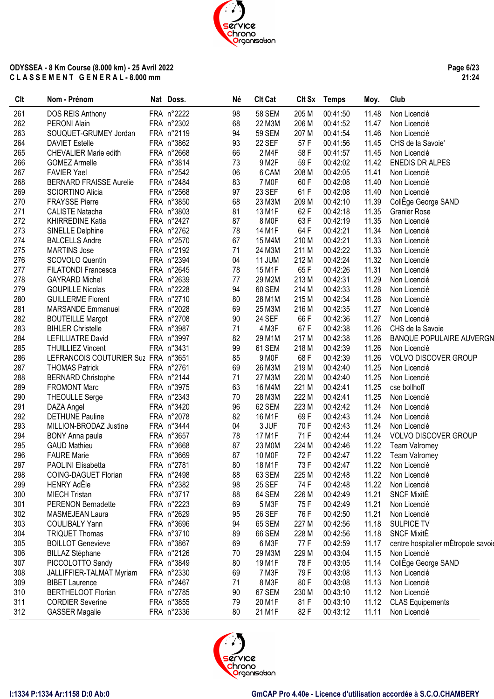**Page 6/23 21:24**

| Clt | Nom - Prénom                        | Nat Doss.  | Né | <b>Clt Cat</b> |       | Clt Sx Temps | Moy.  | Club                                |
|-----|-------------------------------------|------------|----|----------------|-------|--------------|-------|-------------------------------------|
| 261 | DOS REIS Anthony                    | FRA n°2222 | 98 | <b>58 SEM</b>  | 205 M | 00:41:50     | 11.48 | Non Licencié                        |
| 262 | PERONI Alain                        | FRA n°2302 | 68 | 22 M3M         | 206 M | 00:41:52     | 11.47 | Non Licencié                        |
| 263 | SOUQUET-GRUMEY Jordan               | FRA n°2119 | 94 | <b>59 SEM</b>  | 207 M | 00:41:54     | 11.46 | Non Licencié                        |
| 264 | <b>DAVIET Estelle</b>               | FRA n°3862 | 93 | 22 SEF         | 57F   | 00:41:56     | 11.45 | CHS de la Savoie'                   |
| 265 | CHEVALIER Marie edith               | FRA n°2668 | 66 | 2 M4F          | 58 F  | 00:41:57     | 11.45 | Non Licencié                        |
| 266 | <b>GOMEZ Armelle</b>                | FRA n°3814 | 73 | 9 M2F          | 59F   | 00:42:02     | 11.42 | <b>ENEDIS DR ALPES</b>              |
| 267 | <b>FAVIER Yael</b>                  | FRA n°2542 | 06 | 6 CAM          | 208 M | 00:42:05     | 11.41 | Non Licencié                        |
| 268 | <b>BERNARD FRAISSE Aurelie</b>      | FRA n°2484 | 83 | 7 MOF          | 60 F  | 00:42:08     | 11.40 | Non Licencié                        |
| 269 | <b>SCIORTINO Alicia</b>             | FRA n°2568 | 97 | 23 SEF         | 61 F  | 00:42:08     | 11.40 | Non Licencié                        |
| 270 | <b>FRAYSSE Pierre</b>               | FRA n°3850 | 68 | 23 M3M         | 209 M | 00:42:10     | 11.39 | CollEge George SAND                 |
| 271 | <b>CALISTE Natacha</b>              | FRA n°3803 | 81 | 13 M1F         | 62F   | 00:42:18     | 11.35 | <b>Granier Rose</b>                 |
| 272 | KHIRREDINE Katia                    | FRA n°2427 | 87 | 8 MOF          | 63F   | 00:42:19     | 11.35 | Non Licencié                        |
| 273 | SINELLE Delphine                    | FRA n°2762 | 78 | 14 M1F         | 64 F  | 00:42:21     | 11.34 | Non Licencié                        |
| 274 | <b>BALCELLS Andre</b>               | FRA n°2570 | 67 | 15 M4M         | 210 M | 00:42:21     | 11.33 | Non Licencié                        |
| 275 | <b>MARTINS Jose</b>                 | FRA n°2192 | 71 | 24 M3M         | 211 M | 00:42:22     | 11.33 | Non Licencié                        |
| 276 | SCOVOLO Quentin                     | FRA n°2394 | 04 | 11 JUM         | 212 M | 00:42:24     | 11.32 | Non Licencié                        |
| 277 | <b>FILATONDI Francesca</b>          | FRA n°2645 | 78 | 15 M1F         | 65F   | 00:42:26     | 11.31 | Non Licencié                        |
| 278 | <b>GAYRARD Michel</b>               | FRA n°2639 | 77 | 29 M2M         | 213 M | 00:42:31     | 11.29 | Non Licencié                        |
| 279 | <b>GOUPILLE Nicolas</b>             | FRA n°2228 | 94 | 60 SEM         | 214 M | 00:42:33     | 11.28 | Non Licencié                        |
| 280 | <b>GUILLERME Florent</b>            | FRA n°2710 | 80 | 28 M1M         | 215 M | 00:42:34     | 11.28 | Non Licencié                        |
| 281 | <b>MARSANDE Emmanuel</b>            | FRA n°2028 | 69 | 25 M3M         | 216 M | 00:42:35     | 11.27 | Non Licencié                        |
| 282 | <b>BOUTEILLE Margot</b>             | FRA n°2708 | 90 | 24 SEF         | 66 F  | 00:42:36     | 11.27 | Non Licencié                        |
| 283 | <b>BIHLER Christelle</b>            | FRA n°3987 | 71 | 4 M3F          | 67F   | 00:42:38     | 11.26 | CHS de la Savoie                    |
| 284 | <b>LEFILLIATRE David</b>            | FRA n°3997 | 82 | 29 M1M         | 217 M | 00:42:38     | 11.26 | <b>BANQUE POPULAIRE AUVERGN</b>     |
| 285 | <b>THUILLIEZ Vincent</b>            | FRA n°3431 | 99 | 61 SEM         | 218 M | 00:42:39     | 11.26 | Non Licencié                        |
| 286 | LEFRANCOIS COUTURIER Suz FRA n°3651 |            | 85 | 9 MOF          | 68 F  | 00:42:39     | 11.26 | <b>VOLVO DISCOVER GROUP</b>         |
| 287 |                                     | FRA n°2761 | 69 | 26 M3M         | 219 M | 00:42:40     | 11.25 |                                     |
|     | <b>THOMAS Patrick</b>               |            | 71 | 27 M3M         |       |              |       | Non Licencié                        |
| 288 | <b>BERNARD Christophe</b>           | FRA n°2144 |    |                | 220 M | 00:42:40     | 11.25 | Non Licencié                        |
| 289 | <b>FROMONT Marc</b>                 | FRA n°3975 | 63 | 16 M4M         | 221 M | 00:42:41     | 11.25 | cse bollhoff                        |
| 290 | <b>THEOULLE Serge</b>               | FRA n°2343 | 70 | 28 M3M         | 222 M | 00:42:41     | 11.25 | Non Licencié                        |
| 291 | DAZA Angel                          | FRA n°3420 | 96 | 62 SEM         | 223 M | 00:42:42     | 11.24 | Non Licencié                        |
| 292 | <b>DETHUNE Pauline</b>              | FRA n°2078 | 82 | 16 M1F         | 69F   | 00:42:43     | 11.24 | Non Licencié                        |
| 293 | MILLION-BRODAZ Justine              | FRA n°3444 | 04 | 3 JUF          | 70 F  | 00:42:43     | 11.24 | Non Licencié                        |
| 294 | BONY Anna paula                     | FRA n°3657 | 78 | 17 M1F         | 71 F  | 00:42:44     | 11.24 | <b>VOLVO DISCOVER GROUP</b>         |
| 295 | <b>GAUD Mathieu</b>                 | FRA n°3668 | 87 | 23 MOM         | 224 M | 00:42:46     | 11.22 | Team Valromey                       |
| 296 | <b>FAURE Marie</b>                  | FRA n°3669 | 87 | 10 MOF         | 72 F  | 00:42:47     | 11.22 | <b>Team Valromey</b>                |
| 297 | PAOLINI Elisabetta                  | FRA n°2781 | 80 | 18 M1F         | 73 F  | 00:42:47     |       | 11.22 Non Licencié                  |
| 298 | COING-DAGUET Florian                | FRA n°2498 | 88 | 63 SEM         | 225 M | 00:42:48     | 11.22 | Non Licencié                        |
| 299 | <b>HENRY AdEle</b>                  | FRA n°2382 | 98 | <b>25 SEF</b>  | 74 F  | 00:42:48     | 11.22 | Non Licencié                        |
| 300 | <b>MIECH Tristan</b>                | FRA n°3717 | 88 | 64 SEM         | 226 M | 00:42:49     | 11.21 | <b>SNCF MixitE</b>                  |
| 301 | <b>PERENON Bernadette</b>           | FRA n°2223 | 69 | 5 M3F          | 75 F  | 00:42:49     | 11.21 | Non Licencié                        |
| 302 | MASMEJEAN Laura                     | FRA n°2629 | 95 | 26 SEF         | 76 F  | 00:42:50     | 11.21 | Non Licencié                        |
| 303 | <b>COULIBALY Yann</b>               | FRA n°3696 | 94 | 65 SEM         | 227 M | 00:42:56     | 11.18 | <b>SULPICE TV</b>                   |
| 304 | <b>TRIQUET Thomas</b>               | FRA n°3710 | 89 | 66 SEM         | 228 M | 00:42:56     | 11.18 | <b>SNCF MixitE</b>                  |
| 305 | <b>BOILLOT Genevieve</b>            | FRA n°3867 | 69 | 6 M3F          | 77 F  | 00:42:59     | 11.17 | centre hospitalier mÉtropole savoie |
| 306 | <b>BILLAZ Stéphane</b>              | FRA n°2126 | 70 | 29 M3M         | 229 M | 00:43:04     | 11.15 | Non Licencié                        |
| 307 | PICCOLOTTO Sandy                    | FRA n°3849 | 80 | 19 M1F         | 78 F  | 00:43:05     | 11.14 | CollEge George SAND                 |
| 308 | JALLIFFIER-TALMAT Myriam            | FRA n°2330 | 69 | 7 M3F          | 79 F  | 00:43:08     | 11.13 | Non Licencié                        |
| 309 | <b>BIBET Laurence</b>               | FRA n°2467 | 71 | 8 M3F          | 80F   | 00:43:08     | 11.13 | Non Licencié                        |
| 310 | <b>BERTHELOOT Florian</b>           | FRA n°2785 | 90 | 67 SEM         | 230 M | 00:43:10     | 11.12 | Non Licencié                        |
| 311 | <b>CORDIER Severine</b>             | FRA n°3855 | 79 | 20 M1F         | 81 F  | 00:43:10     | 11.12 | <b>CLAS Equipements</b>             |
| 312 | <b>GASSER Magalie</b>               | FRA n°2336 | 80 | 21 M1F         | 82 F  | 00:43:12     | 11.11 | Non Licencié                        |

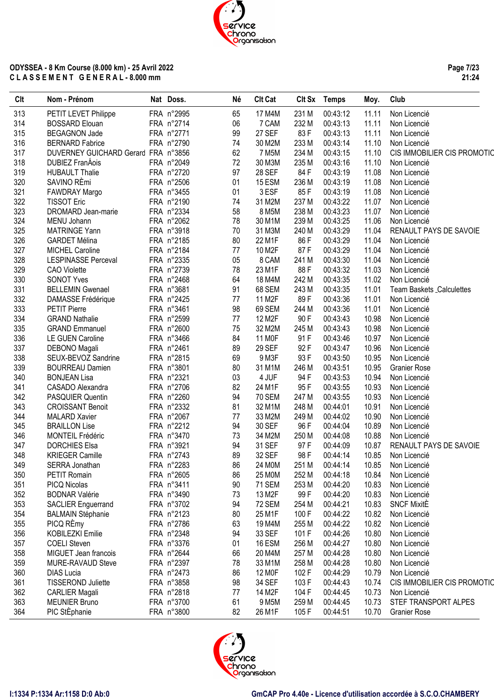

**Page 7/23 21:24**

| Clt | Nom - Prénom                         | Nat Doss.  | Né | <b>Clt Cat</b>      |       | Clt Sx Temps | Moy.  | Club                        |
|-----|--------------------------------------|------------|----|---------------------|-------|--------------|-------|-----------------------------|
| 313 | PETIT LEVET Philippe                 | FRA n°2995 | 65 | 17 M4M              | 231 M | 00:43:12     | 11.11 | Non Licencié                |
| 314 | <b>BOSSARD Elouan</b>                | FRA n°2714 | 06 | 7 CAM               | 232 M | 00:43:13     | 11.11 | Non Licencié                |
| 315 | <b>BEGAGNON Jade</b>                 | FRA n°2771 | 99 | 27 SEF              | 83F   | 00:43:13     | 11.11 | Non Licencié                |
| 316 | <b>BERNARD Fabrice</b>               | FRA n°2790 | 74 | 30 M2M              | 233 M | 00:43:14     | 11.10 | Non Licencié                |
| 317 | DUVERNEY GUICHARD Gerard FRA n°3856  |            | 62 | 7 M <sub>5</sub> M  | 234 M | 00:43:15     | 11.10 | CIS IMMOBILIER CIS PROMOTIC |
| 318 | <b>DUBIEZ FranÁois</b>               | FRA n°2049 | 72 | 30 M3M              | 235 M | 00:43:16     | 11.10 | Non Licencié                |
| 319 | <b>HUBAULT Thalie</b>                | FRA n°2720 | 97 | <b>28 SEF</b>       | 84 F  | 00:43:19     | 11.08 | Non Licencié                |
| 320 | SAVINO RÈmi                          | FRA n°2506 | 01 | 15 ESM              | 236 M | 00:43:19     | 11.08 | Non Licencié                |
| 321 | FAWDRAY Margo                        | FRA n°3455 | 01 | 3 ESF               | 85F   | 00:43:19     | 11.08 | Non Licencié                |
| 322 | <b>TISSOT Eric</b>                   | FRA n°2190 | 74 | 31 M2M              | 237 M | 00:43:22     | 11.07 | Non Licencié                |
| 323 | DROMARD Jean-marie                   | FRA n°2334 | 58 | 8 M5M               | 238 M | 00:43:23     | 11.07 | Non Licencié                |
| 324 | MENU Johann                          | FRA n°2062 | 78 | 30 M1M              | 239 M | 00:43:25     | 11.06 | Non Licencié                |
| 325 | <b>MATRINGE Yann</b>                 | FRA n°3918 | 70 | 31 M3M              | 240 M | 00:43:29     | 11.04 | RENAULT PAYS DE SAVOIE      |
| 326 | <b>GARDET Mélina</b>                 | FRA n°2185 | 80 | 22 M1F              | 86 F  | 00:43:29     | 11.04 | Non Licencié                |
| 327 | <b>MICHEL Caroline</b>               | FRA n°2184 | 77 | 10 M2F              | 87F   | 00:43:29     | 11.04 | Non Licencié                |
| 328 | <b>LESPINASSE Perceval</b>           | FRA n°2335 | 05 | 8 CAM               | 241 M | 00:43:30     | 11.04 | Non Licencié                |
| 329 | <b>CAO</b> Violette                  | FRA n°2739 | 78 | 23 M1F              | 88F   | 00:43:32     | 11.03 | Non Licencié                |
| 330 | <b>SONOT Yves</b>                    | FRA n°2468 | 64 | 18 M4M              | 242 M | 00:43:35     | 11.02 | Non Licencié                |
| 331 | <b>BELLEMIN Gwenael</b>              | FRA n°3681 | 91 | 68 SEM              | 243 M | 00:43:35     | 11.01 | Team Baskets _Calculettes   |
| 332 | DAMASSE Frédérique                   | FRA n°2425 | 77 | 11 M2F              | 89F   | 00:43:36     | 11.01 | Non Licencié                |
| 333 | <b>PETIT Pierre</b>                  | FRA n°3461 | 98 | 69 SEM              | 244 M | 00:43:36     | 11.01 | Non Licencié                |
| 334 | <b>GRAND Nathalie</b>                | FRA n°2599 | 77 | 12 M <sub>2</sub> F | 90F   | 00:43:43     | 10.98 | Non Licencié                |
| 335 | <b>GRAND Emmanuel</b>                | FRA n°2600 | 75 | 32 M2M              | 245 M | 00:43:43     | 10.98 | Non Licencié                |
| 336 | <b>LE GUEN Caroline</b>              | FRA n°3466 | 84 | 11 M <sub>OF</sub>  | 91 F  | 00:43:46     | 10.97 | Non Licencié                |
| 337 |                                      | FRA n°2461 | 89 | 29 SEF              | 92 F  | 00:43:47     | 10.96 | Non Licencié                |
| 338 | DEBONO Magali<br>SEUX-BEVOZ Sandrine | FRA n°2815 | 69 | 9 M3F               | 93 F  | 00:43:50     | 10.95 | Non Licencié                |
| 339 | <b>BOURREAU Damien</b>               | FRA n°3801 | 80 | 31 M1M              | 246 M | 00:43:51     | 10.95 | <b>Granier Rose</b>         |
| 340 | <b>BONJEAN Lisa</b>                  | FRA n°2321 | 03 | 4 JUF               | 94 F  | 00:43:53     | 10.94 | Non Licencié                |
| 341 |                                      | FRA n°2706 | 82 | 24 M1F              | 95F   | 00:43:55     | 10.93 | Non Licencié                |
| 342 | CASADO Alexandra                     |            |    |                     |       |              |       |                             |
|     | PASQUIER Quentin                     | FRA n°2260 | 94 | <b>70 SEM</b>       | 247 M | 00:43:55     | 10.93 | Non Licencié                |
| 343 | <b>CROISSANT Benoit</b>              | FRA n°2332 | 81 | 32 M1M              | 248 M | 00:44:01     | 10.91 | Non Licencié                |
| 344 | <b>MALARD Xavier</b>                 | FRA n°2067 | 77 | 33 M2M              | 249 M | 00:44:02     | 10.90 | Non Licencié                |
| 345 | <b>BRAILLON Lise</b>                 | FRA n°2212 | 94 | 30 SEF              | 96 F  | 00:44:04     | 10.89 | Non Licencié                |
| 346 | MONTEIL Frédéric                     | FRA n°3470 | 73 | 34 M2M              | 250 M | 00:44:08     | 10.88 | Non Licencié                |
| 347 | <b>DORCHIES Elsa</b>                 | FRA n°3921 | 94 | 31 SEF              | 97F   | 00:44:09     | 10.87 | RENAULT PAYS DE SAVOIE      |
| 348 | <b>KRIEGER Camille</b>               | FRA n°2743 | 89 | 32 SEF              | 98 F  | 00:44:14     | 10.85 | Non Licencié                |
| 349 | SERRA Jonathan                       | FRA n°2283 | 86 | 24 M0M              | 251 M | 00:44:14     |       | 10.85 Non Licencié          |
| 350 | PETIT Romain                         | FRA n°2605 | 86 | 25 M0M              | 252 M | 00:44:18     | 10.84 | Non Licencié                |
| 351 | PICQ Nicolas                         | FRA n°3411 | 90 | <b>71 SEM</b>       | 253 M | 00:44:20     | 10.83 | Non Licencié                |
| 352 | <b>BODNAR Valérie</b>                | FRA n°3490 | 73 | 13 M2F              | 99 F  | 00:44:20     | 10.83 | Non Licencié                |
| 353 | <b>SACLIER Enguerrand</b>            | FRA n°3702 | 94 | <b>72 SEM</b>       | 254 M | 00:44:21     | 10.83 | <b>SNCF MixitE</b>          |
| 354 | <b>BALMAIN Stéphanie</b>             | FRA n°2123 | 80 | 25 M1F              | 100 F | 00:44:22     | 10.82 | Non Licencié                |
| 355 | PICQ RÈmy                            | FRA n°2786 | 63 | 19 M4M              | 255 M | 00:44:22     | 10.82 | Non Licencié                |
| 356 | <b>KOBILEZKI Emilie</b>              | FRA n°2348 | 94 | 33 SEF              | 101 F | 00:44:26     | 10.80 | Non Licencié                |
| 357 | <b>COELI Steven</b>                  | FRA n°3376 | 01 | 16 ESM              | 256 M | 00:44:27     | 10.80 | Non Licencié                |
| 358 | MIGUET Jean francois                 | FRA n°2644 | 66 | 20 M4M              | 257 M | 00:44:28     | 10.80 | Non Licencié                |
| 359 | MURE-RAVAUD Steve                    | FRA n°2397 | 78 | 33 M1M              | 258 M | 00:44:28     | 10.80 | Non Licencié                |
| 360 | <b>DIAS Lucia</b>                    | FRA n°2473 | 86 | 12 MOF              | 102 F | 00:44:29     | 10.79 | Non Licencié                |
| 361 | <b>TISSEROND Juliette</b>            | FRA n°3858 | 98 | 34 SEF              | 103 F | 00:44:43     | 10.74 | CIS IMMOBILIER CIS PROMOTIO |
| 362 | <b>CARLIER Magali</b>                | FRA n°2818 | 77 | 14 M2F              | 104 F | 00:44:45     | 10.73 | Non Licencié                |
| 363 | <b>MEUNIER Bruno</b>                 | FRA n°3700 | 61 | 9 M <sub>5</sub> M  | 259 M | 00:44:45     | 10.73 | STEF TRANSPORT ALPES        |
| 364 | PIC StÈphanie                        | FRA n°3800 | 82 | 26 M1F              | 105F  | 00:44:51     | 10.70 | <b>Granier Rose</b>         |

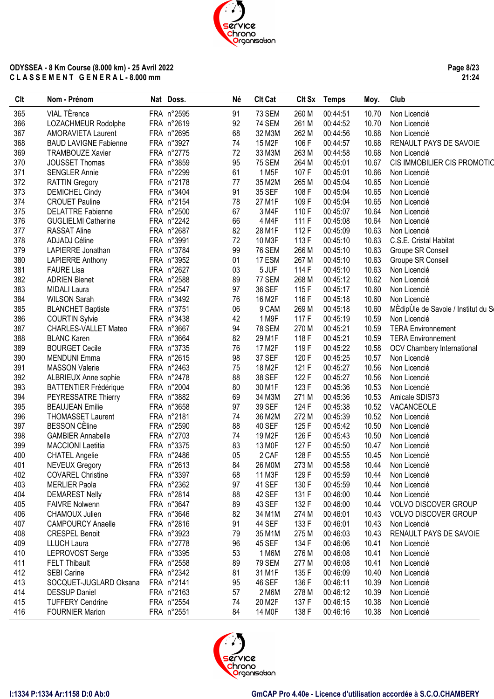**Page 8/23 21:24**

| Clt | Nom - Prénom                 | Nat Doss.  | Né | <b>Clt Cat</b>      |       | Clt Sx Temps | Moy.  | Club                                |
|-----|------------------------------|------------|----|---------------------|-------|--------------|-------|-------------------------------------|
| 365 | VIAL TÈrence                 | FRA n°2595 | 91 | 73 SEM              | 260 M | 00:44:51     | 10.70 | Non Licencié                        |
| 366 | LOZACHMEUR Rodolphe          | FRA n°2619 | 92 | <b>74 SEM</b>       | 261 M | 00:44:52     | 10.70 | Non Licencié                        |
| 367 | AMORAVIETA Laurent           | FRA n°2695 | 68 | 32 M3M              | 262 M | 00:44:56     | 10.68 | Non Licencié                        |
| 368 | <b>BAUD LAVIGNE Fabienne</b> | FRA n°3927 | 74 | 15 M <sub>2</sub> F | 106 F | 00:44:57     | 10.68 | RENAULT PAYS DE SAVOIE              |
| 369 | <b>TRAMBOUZE Xavier</b>      | FRA n°2775 | 72 | 33 M3M              | 263 M | 00:44:58     | 10.68 | Non Licencié                        |
| 370 | JOUSSET Thomas               | FRA n°3859 | 95 | <b>75 SEM</b>       | 264 M | 00:45:01     | 10.67 | CIS IMMOBILIER CIS PROMOTIC         |
| 371 | <b>SENGLER Annie</b>         | FRA n°2299 | 61 | 1 M <sub>5</sub> F  | 107 F | 00:45:01     | 10.66 | Non Licencié                        |
| 372 | <b>RATTIN Gregory</b>        | FRA n°2178 | 77 | 35 M2M              | 265 M | 00:45:04     | 10.65 | Non Licencié                        |
| 373 | <b>DEMICHEL Cindy</b>        | FRA n°3404 | 91 | 35 SEF              | 108 F | 00:45:04     | 10.65 | Non Licencié                        |
| 374 | <b>CROUET Pauline</b>        | FRA n°2154 | 78 | 27 M1F              | 109F  | 00:45:04     | 10.65 | Non Licencié                        |
| 375 | <b>DELATTRE Fabienne</b>     | FRA n°2500 | 67 | 3 M4F               | 110F  | 00:45:07     | 10.64 | Non Licencié                        |
| 376 | <b>GUGLIELMI Catherine</b>   | FRA n°2242 | 66 | 4 M4F               | 111 F | 00:45:08     | 10.64 | Non Licencié                        |
| 377 | <b>RASSAT Aline</b>          | FRA n°2687 | 82 | 28 M1F              | 112F  | 00:45:09     | 10.63 | Non Licencié                        |
| 378 | ADJADJ Céline                | FRA n°3991 | 72 | 10 M3F              | 113F  | 00:45:10     | 10.63 | C.S.E. Cristal Habitat              |
| 379 | LAPIERRE Jonathan            | FRA n°3784 | 99 | <b>76 SEM</b>       | 266 M | 00:45:10     | 10.63 | Groupe SR Conseil                   |
| 380 | <b>LAPIERRE Anthony</b>      | FRA n°3952 | 01 | 17 ESM              | 267 M | 00:45:10     | 10.63 | Groupe SR Conseil                   |
| 381 | <b>FAURE Lisa</b>            | FRA n°2627 | 03 | 5 JUF               | 114 F | 00:45:10     | 10.63 | Non Licencié                        |
| 382 | <b>ADRIEN Blenet</b>         | FRA n°2588 | 89 | 77 SEM              | 268 M | 00:45:12     | 10.62 | Non Licencié                        |
| 383 | <b>MIDALI Laura</b>          | FRA n°2547 | 97 | 36 SEF              | 115F  | 00:45:17     | 10.60 | Non Licencié                        |
| 384 | <b>WILSON Sarah</b>          | FRA n°3492 | 76 | 16 M <sub>2</sub> F | 116 F | 00:45:18     | 10.60 | Non Licencié                        |
| 385 | <b>BLANCHET Baptiste</b>     | FRA n°3751 | 06 | 9 CAM               | 269 M | 00:45:18     | 10.60 | MÈdipUle de Savoie / Institut du Se |
| 386 | <b>COURTIN Sylvie</b>        | FRA n°3438 | 42 | 1 M9F               | 117 F | 00:45:19     | 10.59 | Non Licencié                        |
| 387 | <b>CHARLES-VALLET Mateo</b>  | FRA n°3667 | 94 | <b>78 SEM</b>       | 270 M | 00:45:21     | 10.59 | <b>TERA Environnement</b>           |
| 388 | <b>BLANC Karen</b>           | FRA n°3664 | 82 | 29 M1F              | 118F  | 00:45:21     | 10.59 | <b>TERA Environnement</b>           |
| 389 | <b>BOURGET Cecile</b>        | FRA n°3735 | 76 | 17 M <sub>2</sub> F | 119F  | 00:45:22     | 10.58 | OCV Chambery International          |
| 390 | <b>MENDUNI Emma</b>          | FRA n°2615 | 98 | 37 SEF              | 120 F | 00:45:25     | 10.57 | Non Licencié                        |
| 391 | <b>MASSON Valerie</b>        | FRA n°2463 | 75 | 18 M <sub>2</sub> F | 121 F | 00:45:27     | 10.56 | Non Licencié                        |
| 392 | ALBRIEUX Anne sophie         | FRA n°2478 | 88 | 38 SEF              | 122F  | 00:45:27     | 10.56 | Non Licencié                        |
| 393 | <b>BATTENTIER Frédérique</b> | FRA n°2004 | 80 | 30 M1F              | 123F  | 00:45:36     | 10.53 | Non Licencié                        |
| 394 | PEYRESSATRE Thierry          | FRA n°3882 | 69 | 34 M3M              | 271 M | 00:45:36     | 10.53 | Amicale SDIS73                      |
| 395 | <b>BEAUJEAN Emilie</b>       | FRA n°3658 | 97 | 39 SEF              | 124 F | 00:45:38     | 10.52 | VACANCEOLE                          |
| 396 | THOMASSET Laurent            | FRA n°2181 | 74 | 36 M2M              | 272 M | 00:45:39     | 10.52 | Non Licencié                        |
| 397 | <b>BESSON CÈline</b>         | FRA n°2590 | 88 | <b>40 SEF</b>       | 125F  | 00:45:42     | 10.50 | Non Licencié                        |
| 398 | <b>GAMBIER Annabelle</b>     | FRA n°2703 | 74 | 19 M2F              | 126 F | 00:45:43     | 10.50 | Non Licencié                        |
| 399 | <b>MACCIONI Laetitia</b>     | FRA n°3375 | 83 | 13 MOF              | 127 F | 00:45:50     | 10.47 | Non Licencié                        |
| 400 | <b>CHATEL Angelie</b>        | FRA n°2486 | 05 | 2 CAF               | 128 F | 00:45:55     | 10.45 | Non Licencié                        |
| 401 | <b>NEVEUX Gregory</b>        | FRA n°2613 | 84 | 26 M0M              | 273 M | 00:45:58     | 10.44 | Non Licencié                        |
| 402 | <b>COVAREL Christine</b>     | FRA n°3397 | 68 | 11 M3F              | 129 F | 00:45:59     | 10.44 | Non Licencié                        |
| 403 | <b>MERLIER Paola</b>         | FRA n°2362 | 97 | 41 SEF              | 130 F | 00:45:59     | 10.44 | Non Licencié                        |
| 404 | <b>DEMAREST Nelly</b>        | FRA n°2814 | 88 | 42 SEF              | 131 F | 00:46:00     | 10.44 | Non Licencié                        |
| 405 | <b>FAIVRE Nolwenn</b>        | FRA n°3647 | 89 | 43 SEF              | 132 F | 00:46:00     | 10.44 | VOLVO DISCOVER GROUP                |
| 406 | CHAMOUX Julien               | FRA n°3646 | 82 | 34 M1M              | 274 M | 00:46:01     | 10.43 | VOLVO DISCOVER GROUP                |
| 407 | <b>CAMPOURCY Anaelle</b>     | FRA n°2816 | 91 | 44 SEF              | 133 F | 00:46:01     | 10.43 | Non Licencié                        |
| 408 | <b>CRESPEL Benoit</b>        | FRA n°3923 | 79 | 35 M1M              | 275 M | 00:46:03     | 10.43 | RENAULT PAYS DE SAVOIE              |
| 409 | <b>LLUCH Laura</b>           | FRA n°2778 | 96 | 45 SEF              | 134 F | 00:46:06     | 10.41 | Non Licencié                        |
| 410 | LEPROVOST Serge              | FRA n°3395 | 53 | 1 M6M               | 276 M | 00:46:08     | 10.41 | Non Licencié                        |
| 411 |                              | FRA n°2558 | 89 | <b>79 SEM</b>       | 277 M | 00:46:08     | 10.41 |                                     |
|     | <b>FELT Thibault</b>         |            |    |                     |       |              |       | Non Licencié                        |
| 412 | <b>SEBI Carine</b>           | FRA n°2342 | 81 | 31 M1F              | 135 F | 00:46:09     | 10.40 | Non Licencié                        |
| 413 | SOCQUET-JUGLARD Oksana       | FRA n°2141 | 95 | 46 SEF              | 136 F | 00:46:11     | 10.39 | Non Licencié                        |
| 414 | <b>DESSUP Daniel</b>         | FRA n°2163 | 57 | 2 M6M               | 278 M | 00:46:12     | 10.39 | Non Licencié                        |
| 415 | <b>TUFFERY Cendrine</b>      | FRA n°2554 | 74 | 20 M2F              | 137 F | 00:46:15     | 10.38 | Non Licencié                        |
| 416 | <b>FOURNIER Marion</b>       | FRA n°2551 | 84 | 14 M <sub>OF</sub>  | 138 F | 00:46:16     | 10.38 | Non Licencié                        |

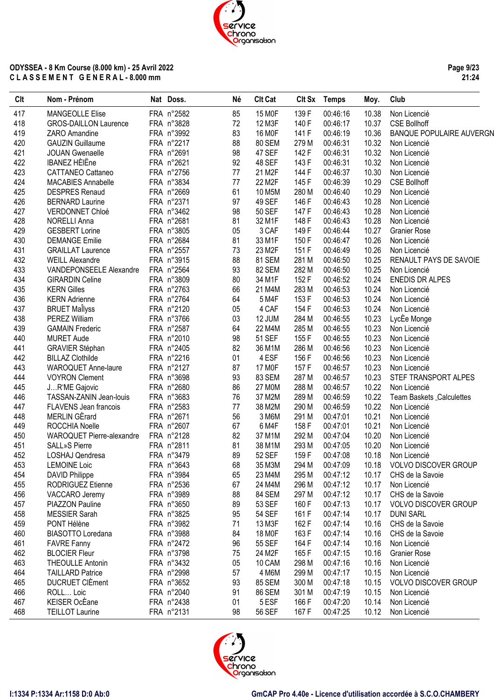**Page 9/23 21:24**

| Clt | Nom - Prénom                 | Nat Doss.  | Né | <b>Clt Cat</b>     | Clt Sx | Temps    | Moy.  | Club                            |
|-----|------------------------------|------------|----|--------------------|--------|----------|-------|---------------------------------|
| 417 | <b>MANGEOLLE Elise</b>       | FRA n°2582 | 85 | 15 MOF             | 139 F  | 00:46:16 | 10.38 | Non Licencié                    |
| 418 | <b>GROS-DAILLON Laurence</b> | FRA n°3828 | 72 | 12 M3F             | 140 F  | 00:46:17 | 10.37 | <b>CSE Bollhoff</b>             |
| 419 | ZARO Amandine                | FRA n°3992 | 83 | 16 MOF             | 141 F  | 00:46:19 | 10.36 | <b>BANQUE POPULAIRE AUVERGN</b> |
| 420 | <b>GAUZIN Guillaume</b>      | FRA n°2217 | 88 | 80 SEM             | 279 M  | 00:46:31 | 10.32 | Non Licencié                    |
| 421 | <b>JOUAN Gwenaelle</b>       | FRA n°2691 | 98 | 47 SEF             | 142 F  | 00:46:31 | 10.32 | Non Licencié                    |
| 422 | <b>IBANEZ HÈIËne</b>         | FRA n°2621 | 92 | 48 SEF             | 143 F  | 00:46:31 | 10.32 | Non Licencié                    |
| 423 | CATTANEO Cattaneo            | FRA n°2756 | 77 | 21 M2F             | 144 F  | 00:46:37 | 10.30 | Non Licencié                    |
| 424 | <b>MACABIES Annabelle</b>    | FRA n°3834 | 77 | 22 M2F             | 145F   | 00:46:39 | 10.29 | <b>CSE Bollhoff</b>             |
| 425 | <b>DESPRES Renaud</b>        | FRA n°2669 | 61 | 10 M5M             | 280 M  | 00:46:40 | 10.29 | Non Licencié                    |
| 426 | <b>BERNARD Laurine</b>       | FRA n°2371 | 97 | 49 SEF             | 146 F  | 00:46:43 | 10.28 | Non Licencié                    |
| 427 | VERDONNET Chloé              | FRA n°3462 | 98 | <b>50 SEF</b>      | 147 F  | 00:46:43 | 10.28 | Non Licencié                    |
| 428 | <b>NORELLI Anna</b>          | FRA n°2681 | 81 | 32 M1F             | 148 F  | 00:46:43 | 10.28 | Non Licencié                    |
| 429 | <b>GESBERT Lorine</b>        | FRA n°3805 | 05 | 3 CAF              | 149F   | 00:46:44 | 10.27 | <b>Granier Rose</b>             |
| 430 | <b>DEMANGE Emilie</b>        | FRA n°2684 | 81 | 33 M1F             | 150 F  | 00:46:47 | 10.26 | Non Licencié                    |
| 431 | <b>GRAILLAT Laurence</b>     | FRA n°2557 | 73 | 23 M2F             | 151 F  | 00:46:49 | 10.26 | Non Licencié                    |
| 432 | <b>WEILL Alexandre</b>       | FRA n°3915 | 88 | 81 SEM             | 281 M  | 00:46:50 | 10.25 | RENAULT PAYS DE SAVOIE          |
| 433 | VANDEPONSEELE Alexandre      | FRA n°2564 | 93 | 82 SEM             | 282 M  | 00:46:50 | 10.25 | Non Licencié                    |
| 434 | <b>GIRARDIN Celine</b>       | FRA n°3809 | 80 | 34 M1F             | 152 F  | 00:46:52 | 10.24 | <b>ENEDIS DR ALPES</b>          |
| 435 | <b>KERN Gilles</b>           | FRA n°2763 | 66 | 21 M4M             | 283 M  | 00:46:53 | 10.24 |                                 |
|     |                              |            |    |                    |        |          | 10.24 | Non Licencié                    |
| 436 | <b>KERN Adrienne</b>         | FRA n°2764 | 64 | 5 M4F              | 153 F  | 00:46:53 |       | Non Licencié                    |
| 437 | <b>BRUET Mallyss</b>         | FRA n°2120 | 05 | 4 CAF              | 154 F  | 00:46:53 | 10.24 | Non Licencié                    |
| 438 | PEREZ William                | FRA n°3766 | 03 | 12 JUM             | 284 M  | 00:46:55 | 10.23 | LycEe Monge                     |
| 439 | <b>GAMAIN Frederic</b>       | FRA n°2587 | 64 | 22 M4M             | 285 M  | 00:46:55 | 10.23 | Non Licencié                    |
| 440 | <b>MURET Aude</b>            | FRA n°2010 | 98 | <b>51 SEF</b>      | 155F   | 00:46:55 | 10.23 | Non Licencié                    |
| 441 | <b>GRAVIER Stéphan</b>       | FRA n°2405 | 82 | 36 M1M             | 286 M  | 00:46:56 | 10.23 | Non Licencié                    |
| 442 | <b>BILLAZ Clothilde</b>      | FRA n°2216 | 01 | 4 ESF              | 156 F  | 00:46:56 | 10.23 | Non Licencié                    |
| 443 | <b>WAROQUET Anne-laure</b>   | FRA n°2127 | 87 | 17 M <sub>OF</sub> | 157 F  | 00:46:57 | 10.23 | Non Licencié                    |
| 444 | <b>VOYRON Clement</b>        | FRA n°3698 | 93 | 83 SEM             | 287 M  | 00:46:57 | 10.23 | STEF TRANSPORT ALPES            |
| 445 | JR'ME Gajovic                | FRA n°2680 | 86 | <b>27 MOM</b>      | 288 M  | 00:46:57 | 10.22 | Non Licencié                    |
| 446 | TASSAN-ZANIN Jean-louis      | FRA n°3683 | 76 | 37 M2M             | 289 M  | 00:46:59 | 10.22 | Team Baskets _Calculettes       |
| 447 | FLAVENS Jean francois        | FRA n°2583 | 77 | 38 M2M             | 290 M  | 00:46:59 | 10.22 | Non Licencié                    |
| 448 | <b>MERLIN GErard</b>         | FRA n°2671 | 56 | 3 M6M              | 291 M  | 00:47:01 | 10.21 | Non Licencié                    |
| 449 | ROCCHIA Noelle               | FRA n°2607 | 67 | 6 M4F              | 158 F  | 00:47:01 | 10.21 | Non Licencié                    |
| 450 | WAROQUET Pierre-alexandre    | FRA n°2128 | 82 | 37 M1M             | 292 M  | 00:47:04 | 10.20 | Non Licencié                    |
| 451 | <b>SALL</b> »S Pierre        | FRA n°2811 | 81 | 38 M1M             | 293 M  | 00:47:05 | 10.20 | Non Licencié                    |
| 452 | LOSHAJ Qendresa              | FRA n°3479 | 89 | <b>52 SEF</b>      | 159F   | 00:47:08 | 10.18 | Non Licencié                    |
| 453 | <b>LEMOINE Loic</b>          | FRA n°3643 | 68 | 35 M3M             | 294 M  | 00:47:09 | 10.18 | VOLVO DISCOVER GROUP            |
| 454 | DAVID Philippe               | FRA n°3984 | 65 | 23 M4M             | 295 M  | 00:47:12 | 10.17 | CHS de la Savoie                |
| 455 | RODRIGUEZ Etienne            | FRA n°2536 | 67 | 24 M4M             | 296 M  | 00:47:12 | 10.17 | Non Licencié                    |
| 456 | VACCARO Jeremy               | FRA n°3989 | 88 | 84 SEM             | 297 M  | 00:47:12 | 10.17 | CHS de la Savoie                |
| 457 | PIAZZON Pauline              | FRA n°3650 | 89 | 53 SEF             | 160 F  | 00:47:13 | 10.17 | <b>VOLVO DISCOVER GROUP</b>     |
| 458 | MESSIER Sarah                | FRA n°3825 | 95 | 54 SEF             | 161 F  | 00:47:14 | 10.17 | <b>DUNI SARL</b>                |
| 459 | PONT Hélène                  | FRA n°3982 | 71 | 13 M3F             | 162 F  | 00:47:14 | 10.16 | CHS de la Savoie                |
| 460 | BIASOTTO Loredana            | FRA n°3988 | 84 | 18 MOF             | 163 F  | 00:47:14 | 10.16 | CHS de la Savoie                |
| 461 | <b>FAVRE Fanny</b>           | FRA n°2472 | 96 | 55 SEF             | 164 F  | 00:47:14 | 10.16 | Non Licencié                    |
| 462 | <b>BLOCIER Fleur</b>         | FRA n°3798 | 75 | 24 M2F             | 165 F  | 00:47:15 | 10.16 | <b>Granier Rose</b>             |
| 463 | <b>THEOULLE Antonin</b>      | FRA n°3432 | 05 | 10 CAM             | 298 M  | 00:47:16 | 10.16 | Non Licencié                    |
| 464 | <b>TAILLARD Patrice</b>      | FRA n°2998 | 57 | 4 M6M              | 299 M  | 00:47:17 | 10.15 | Non Licencié                    |
| 465 | DUCRUET CIÈment              | FRA n°3652 | 93 | 85 SEM             | 300 M  | 00:47:18 | 10.15 | VOLVO DISCOVER GROUP            |
| 466 | ROLL Loic                    | FRA n°2040 | 91 | <b>86 SEM</b>      | 301 M  | 00:47:19 | 10.15 | Non Licencié                    |
| 467 | <b>KEISER OcEane</b>         | FRA n°2438 | 01 | 5 ESF              | 166 F  | 00:47:20 | 10.14 | Non Licencié                    |
| 468 | <b>TEILLOT Laurine</b>       | FRA n°2131 | 98 | 56 SEF             | 167 F  | 00:47:25 | 10.12 | Non Licencié                    |
|     |                              |            |    |                    |        |          |       |                                 |

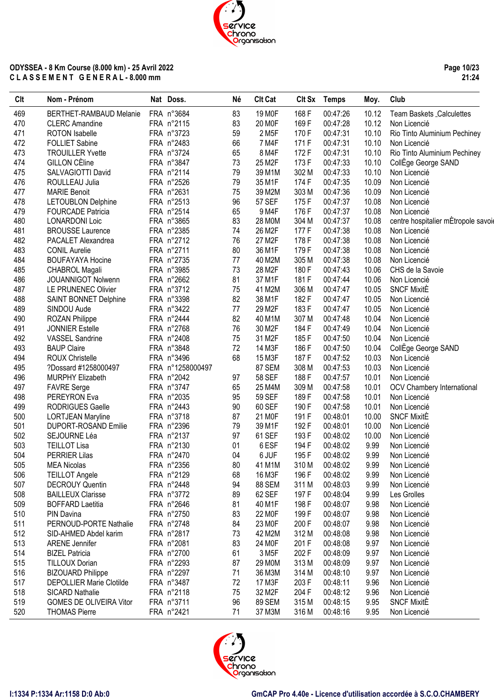**Page 10/23 21:24**

| Clt | Nom - Prénom                    | Nat Doss.        | Né | <b>Clt Cat</b>     | Clt Sx | <b>Temps</b> | Moy.  | Club                                |
|-----|---------------------------------|------------------|----|--------------------|--------|--------------|-------|-------------------------------------|
| 469 | BERTHET-RAMBAUD Melanie         | FRA n°3684       | 83 | 19 M <sub>OF</sub> | 168 F  | 00:47:26     | 10.12 | Team Baskets Calculettes            |
| 470 | <b>CLERC Amandine</b>           | FRA n°2115       | 83 | 20 M <sub>OF</sub> | 169F   | 00:47:28     | 10.12 | Non Licencié                        |
| 471 | <b>ROTON</b> Isabelle           | FRA n°3723       | 59 | 2 M <sub>5</sub> F | 170 F  | 00:47:31     | 10.10 | Rio Tinto Aluminium Pechiney        |
| 472 | <b>FOLLIET Sabine</b>           | FRA n°2483       | 66 | 7 M4F              | 171 F  | 00:47:31     | 10.10 | Non Licencié                        |
| 473 | <b>TROUILLER Yvette</b>         | FRA n°3724       | 65 | 8 M4F              | 172F   | 00:47:31     | 10.10 | Rio Tinto Aluminium Pechiney        |
| 474 | <b>GILLON CEline</b>            | FRA n°3847       | 73 | 25 M2F             | 173F   | 00:47:33     | 10.10 | CollEge George SAND                 |
| 475 | SALVAGIOTTI David               | FRA n°2114       | 79 | 39 M1M             | 302 M  | 00:47:33     | 10.10 | Non Licencié                        |
| 476 | ROULLEAU Julia                  | FRA n°2526       | 79 | 35 M1F             | 174 F  | 00:47:35     | 10.09 | Non Licencié                        |
| 477 | <b>MARIE Benoit</b>             | FRA n°2631       | 75 | 39 M2M             | 303 M  | 00:47:36     | 10.09 | Non Licencié                        |
| 478 | <b>LETOUBLON Delphine</b>       | FRA n°2513       | 96 | <b>57 SEF</b>      | 175 F  | 00:47:37     | 10.08 | Non Licencié                        |
| 479 | <b>FOURCADE Patricia</b>        | FRA n°2514       | 65 | 9 M4F              | 176 F  | 00:47:37     | 10.08 | Non Licencié                        |
| 480 | <b>LONARDONI Loic</b>           | FRA n°3865       | 83 | 28 M0M             | 304 M  | 00:47:37     | 10.08 | centre hospitalier mÉtropole savoie |
| 481 | <b>BROUSSE Laurence</b>         | FRA n°2385       | 74 | 26 M2F             | 177 F  | 00:47:38     | 10.08 | Non Licencié                        |
| 482 | PACALET Alexandrea              | FRA n°2712       | 76 | 27 M2F             | 178 F  | 00:47:38     | 10.08 | Non Licencié                        |
| 483 | <b>CONIL Aurelie</b>            | FRA n°2711       | 80 | 36 M1F             | 179F   | 00:47:38     | 10.08 | Non Licencié                        |
| 484 | <b>BOUFAYAYA Hocine</b>         | FRA n°2735       | 77 | 40 M2M             | 305 M  | 00:47:38     | 10.08 | Non Licencié                        |
| 485 | <b>CHABROL Magali</b>           | FRA n°3985       | 73 | 28 M2F             | 180 F  | 00:47:43     | 10.06 | CHS de la Savoie                    |
| 486 | JOUANNIGOT Nolwenn              | FRA n°2662       | 81 | 37 M1F             | 181 F  | 00:47:44     | 10.06 | Non Licencié                        |
| 487 | LE PRUNENEC Olivier             | FRA n°3712       | 75 | 41 M2M             | 306 M  | 00:47:47     | 10.05 | <b>SNCF MixitE</b>                  |
| 488 | SAINT BONNET Delphine           | FRA n°3398       | 82 | 38 M1F             | 182F   | 00:47:47     | 10.05 | Non Licencié                        |
| 489 | SINDOU Aude                     | FRA n°3422       | 77 | 29 M2F             | 183 F  | 00:47:47     | 10.05 | Non Licencié                        |
| 490 | <b>ROZAN Philippe</b>           | FRA n°2444       | 82 | 40 M1M             | 307 M  | 00:47:48     | 10.04 | Non Licencié                        |
| 491 | <b>JONNIER Estelle</b>          | FRA n°2768       | 76 | 30 M2F             | 184 F  | 00:47:49     | 10.04 | Non Licencié                        |
| 492 | <b>VASSEL Sandrine</b>          | FRA n°2408       | 75 | 31 M2F             | 185F   | 00:47:50     | 10.04 | Non Licencié                        |
| 493 | <b>BAUP Claire</b>              | FRA n°3848       | 72 | 14 M3F             | 186 F  | 00:47:50     | 10.04 | CollEge George SAND                 |
| 494 | <b>ROUX Christelle</b>          | FRA n°3496       | 68 | 15 M3F             | 187 F  | 00:47:52     | 10.03 | Non Licencié                        |
| 495 | ?Dossard #1258000497            | FRA n°1258000497 |    | 87 SEM             | 308 M  | 00:47:53     | 10.03 | Non Licencié                        |
| 496 | <b>MURPHY Elizabeth</b>         | FRA n°2042       | 97 | <b>58 SEF</b>      | 188 F  | 00:47:57     | 10.01 | Non Licencié                        |
| 497 | <b>FAVRE</b> Serge              | FRA n°3747       | 65 | 25 M4M             | 309 M  | 00:47:58     | 10.01 | <b>OCV Chambery International</b>   |
| 498 | PEREYRON Eva                    | FRA n°2035       | 95 | <b>59 SEF</b>      | 189F   | 00:47:58     | 10.01 | Non Licencié                        |
| 499 | <b>RODRIGUES Gaelle</b>         | FRA n°2443       | 90 | 60 SEF             | 190 F  | 00:47:58     | 10.01 | Non Licencié                        |
| 500 | <b>LORTJEAN Maryline</b>        | FRA n°3718       | 87 | 21 M <sub>OF</sub> | 191 F  | 00:48:01     | 10.00 | <b>SNCF MixitE</b>                  |
| 501 | DUPORT-ROSAND Emilie            | FRA n°2396       | 79 | 39 M1F             | 192 F  | 00:48:01     | 10.00 | Non Licencié                        |
| 502 | SEJOURNE Léa                    | FRA n°2137       | 97 | 61 SEF             | 193 F  | 00:48:02     | 10.00 | Non Licencié                        |
| 503 | <b>TEILLOT Lisa</b>             | FRA n°2130       | 01 | 6 ESF              | 194 F  | 00:48:02     | 9.99  | Non Licencié                        |
| 504 | <b>PERRIER Lilas</b>            | FRA n°2470       | 04 | 6 JUF              | 195F   | 00:48:02     | 9.99  | Non Licencié                        |
| 505 | <b>MEA Nicolas</b>              | FRA n°2356       | 80 | 41 M1M             | 310 M  | 00:48:02     | 9.99  | Non Licencié                        |
| 506 | <b>TEILLOT Angele</b>           | FRA n°2129       | 68 | 16 M3F             | 196 F  | 00:48:02     | 9.99  | Non Licencié                        |
| 507 | <b>DECROUY Quentin</b>          | FRA n°2448       | 94 | 88 SEM             | 311 M  | 00:48:03     | 9.99  | Non Licencié                        |
| 508 | <b>BAILLEUX Clarisse</b>        | FRA n°3772       | 89 | 62 SEF             | 197 F  | 00:48:04     | 9.99  | Les Grolles                         |
| 509 | <b>BOFFARD Laetitia</b>         | FRA n°2646       | 81 | 40 M1F             | 198 F  | 00:48:07     | 9.98  | Non Licencié                        |
| 510 | PIN Davina                      | FRA n°2750       | 83 | 22 M <sub>OF</sub> | 199 F  | 00:48:07     | 9.98  | Non Licencié                        |
| 511 | PERNOUD-PORTE Nathalie          | FRA n°2748       | 84 | 23 M0F             | 200 F  | 00:48:07     | 9.98  |                                     |
| 512 | SID-AHMED Abdel karim           | FRA n°2817       | 73 | 42 M2M             | 312 M  | 00:48:08     | 9.98  | Non Licencié<br>Non Licencié        |
| 513 | <b>ARENE Jennifer</b>           | FRA n°2081       | 83 | 24 M <sub>OF</sub> | 201 F  | 00:48:08     | 9.97  | Non Licencié                        |
| 514 | <b>BIZEL Patricia</b>           | FRA n°2700       | 61 | 3 M <sub>5</sub> F | 202F   | 00:48:09     | 9.97  |                                     |
|     |                                 |                  |    |                    |        |              |       | Non Licencié                        |
| 515 | <b>TILLOUX Dorian</b>           | FRA n°2293       | 87 | 29 M0M             | 313 M  | 00:48:09     | 9.97  | Non Licencié                        |
| 516 | <b>BIZOUARD Philippe</b>        | FRA n°2297       | 71 | 36 M3M             | 314 M  | 00:48:10     | 9.97  | Non Licencié                        |
| 517 | <b>DEPOLLIER Marie Clotilde</b> | FRA n°3487       | 72 | 17 M3F             | 203 F  | 00:48:11     | 9.96  | Non Licencié                        |
| 518 | SICARD Nathalie                 | FRA n°2118       | 75 | 32 M2F             | 204 F  | 00:48:12     | 9.96  | Non Licencié                        |
| 519 | <b>GOMES DE OLIVEIRA Vitor</b>  | FRA n°3711       | 96 | 89 SEM             | 315 M  | 00:48:15     | 9.95  | <b>SNCF MixitE</b>                  |
| 520 | <b>THOMAS Pierre</b>            | FRA n°2421       | 71 | 37 M3M             | 316 M  | 00:48:16     | 9.95  | Non Licencié                        |

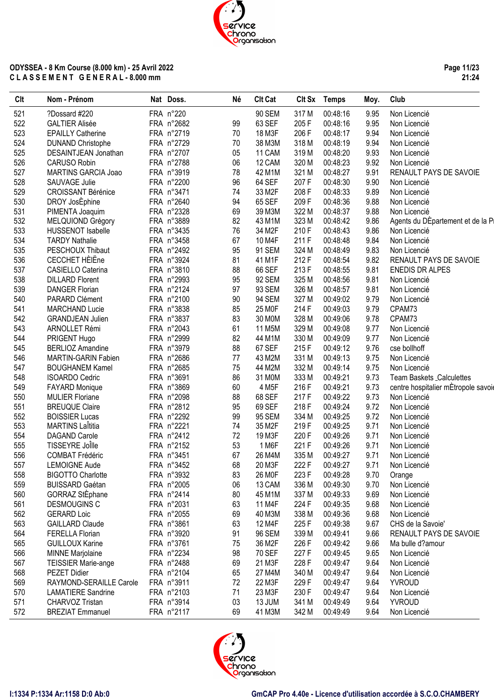**Page 11/23 21:24**

| Clt | Nom - Prénom               | Nat Doss.  | Né | <b>Clt Cat</b>     | Clt Sx | <b>Temps</b> | Moy. | Club                                |
|-----|----------------------------|------------|----|--------------------|--------|--------------|------|-------------------------------------|
| 521 | ?Dossard #220              | FRA n°220  |    | 90 SEM             | 317 M  | 00:48:16     | 9.95 | Non Licencié                        |
| 522 | <b>GALTIER Alisée</b>      | FRA n°2682 | 99 | 63 SEF             | 205F   | 00:48:16     | 9.95 | Non Licencié                        |
| 523 | <b>EPAILLY Catherine</b>   | FRA n°2719 | 70 | 18 M3F             | 206 F  | 00:48:17     | 9.94 | Non Licencié                        |
| 524 | <b>DUNAND Christophe</b>   | FRA n°2729 | 70 | 38 M3M             | 318 M  | 00:48:19     | 9.94 | Non Licencié                        |
| 525 | DESAINTJEAN Jonathan       | FRA n°2707 | 05 | 11 CAM             | 319 M  | 00:48:20     | 9.93 | Non Licencié                        |
| 526 | CARUSO Robin               | FRA n°2788 | 06 | 12 CAM             | 320 M  | 00:48:23     | 9.92 | Non Licencié                        |
| 527 | MARTINS GARCIA Joao        | FRA n°3919 | 78 | 42 M1M             | 321 M  | 00:48:27     | 9.91 | RENAULT PAYS DE SAVOIE              |
| 528 | SAUVAGE Julie              | FRA n°2200 | 96 | 64 SEF             | 207 F  | 00:48:30     | 9.90 | Non Licencié                        |
| 529 | <b>CROISSANT Bérénice</b>  | FRA n°3471 | 74 | 33 M2F             | 208 F  | 00:48:33     | 9.89 | Non Licencié                        |
| 530 | DROY JosEphine             | FRA n°2640 | 94 | 65 SEF             | 209F   | 00:48:36     | 9.88 | Non Licencié                        |
| 531 | PIMENTA Joaquim            | FRA n°2328 | 69 | 39 M3M             | 322 M  | 00:48:37     | 9.88 | Non Licencié                        |
| 532 | MELQUIOND Grégory          | FRA n°3889 | 82 | 43 M1M             | 323 M  | 00:48:42     | 9.86 | Agents du DÉpartement et de la Pi   |
| 533 | <b>HUSSENOT Isabelle</b>   | FRA n°3435 | 76 | 34 M2F             | 210F   | 00:48:43     | 9.86 | Non Licencié                        |
| 534 | <b>TARDY Nathalie</b>      | FRA n°3458 | 67 | 10 M4F             | 211 F  | 00:48:48     | 9.84 | Non Licencié                        |
| 535 | PESCHOUX Thibaut           | FRA n°2492 | 95 | 91 SEM             | 324 M  | 00:48:49     | 9.83 | Non Licencié                        |
| 536 | CECCHET HÈIËne             | FRA n°3924 | 81 | 41 M1F             | 212 F  | 00:48:54     | 9.82 | RENAULT PAYS DE SAVOIE              |
| 537 | CASIELLO Caterina          | FRA n°3810 | 88 | 66 SEF             | 213 F  | 00:48:55     | 9.81 | <b>ENEDIS DR ALPES</b>              |
| 538 | <b>DILLARD Florent</b>     | FRA n°2993 | 95 | 92 SEM             | 325 M  | 00:48:56     | 9.81 | Non Licencié                        |
| 539 | <b>DANGER Florian</b>      | FRA n°2124 | 97 | 93 SEM             | 326 M  | 00:48:57     | 9.81 | Non Licencié                        |
| 540 | PARARD Clément             | FRA n°2100 | 90 | 94 SEM             | 327 M  | 00:49:02     | 9.79 | Non Licencié                        |
| 541 | <b>MARCHAND Lucie</b>      | FRA n°3838 | 85 | 25 M <sub>OF</sub> | 214 F  | 00:49:03     | 9.79 | CPAM73                              |
| 542 | <b>GRANDJEAN Julien</b>    | FRA n°3837 | 83 | 30 M0M             | 328 M  | 00:49:06     | 9.78 | CPAM73                              |
| 543 | ARNOLLET Rémi              | FRA n°2043 | 61 | 11 M5M             | 329 M  | 00:49:08     | 9.77 | Non Licencié                        |
| 544 | PRIGENT Hugo               | FRA n°2999 | 82 | 44 M1M             | 330 M  | 00:49:09     | 9.77 | Non Licencié                        |
| 545 | <b>BERLIOZ Amandine</b>    | FRA n°3979 | 88 | 67 SEF             | 215F   | 00:49:12     | 9.76 | cse bollhoff                        |
| 546 | <b>MARTIN-GARIN Fabien</b> | FRA n°2686 | 77 | 43 M2M             | 331 M  | 00:49:13     | 9.75 | Non Licencié                        |
| 547 | <b>BOUGHANEM Kamel</b>     | FRA n°2685 | 75 | 44 M2M             | 332 M  | 00:49:14     | 9.75 | Non Licencié                        |
| 548 | <b>ISOARDO Cedric</b>      | FRA n°3691 | 86 | 31 M0M             | 333 M  | 00:49:21     | 9.73 | Team Baskets Calculettes            |
| 549 | <b>FAYARD Monique</b>      | FRA n°3869 | 60 | 4 M <sub>5</sub> F | 216 F  | 00:49:21     | 9.73 | centre hospitalier mÈtropole savoie |
| 550 | <b>MULIER Floriane</b>     | FRA n°2098 | 88 | 68 SEF             | 217 F  | 00:49:22     | 9.73 | Non Licencié                        |
| 551 | <b>BREUQUE Claire</b>      | FRA n°2812 | 95 | 69 SEF             | 218 F  | 00:49:24     | 9.72 | Non Licencié                        |
| 552 | <b>BOISSIER Lucas</b>      | FRA n°2292 | 99 | 95 SEM             | 334 M  | 00:49:25     | 9.72 | Non Licencié                        |
| 553 | <b>MARTINS Laititia</b>    | FRA n°2221 | 74 | 35 M2F             | 219F   | 00:49:25     | 9.71 | Non Licencié                        |
| 554 | DAGAND Carole              | FRA n°2412 | 72 | 19 M3F             | 220 F  | 00:49:26     | 9.71 | Non Licencié                        |
| 555 | TISSEYRE Joille            | FRA n°2152 | 53 | 1 M6F              | 221 F  | 00:49:26     | 9.71 | Non Licencié                        |
| 556 | <b>COMBAT Frédéric</b>     | FRA n°3451 | 67 | 26 M4M             | 335 M  | 00:49:27     | 9.71 | Non Licencié                        |
| 557 | <b>LEMOIGNE Aude</b>       | FRA n°3452 | 68 | 20 M3F             | 222 F  | 00:49:27     | 9.71 | Non Licencié                        |
| 558 | <b>BIGOTTO Charlotte</b>   | FRA n°3932 | 83 | 26 MOF             | 223F   | 00:49:28     | 9.70 | Orange                              |
| 559 | <b>BUISSARD Gaétan</b>     | FRA n°2005 | 06 | 13 CAM             | 336 M  | 00:49:30     | 9.70 | Non Licencié                        |
| 560 | GORRAZ StÈphane            | FRA n°2414 | 80 | 45 M1M             | 337 M  | 00:49:33     | 9.69 | Non Licencié                        |
| 561 | DESMOUGINS C               | FRA n°2031 | 63 | 11 M4F             | 224 F  | 00:49:35     | 9.68 | Non Licencié                        |
| 562 | <b>GERARD Loic</b>         | FRA n°2055 | 69 | 40 M3M             | 338 M  | 00:49:36     | 9.68 | Non Licencié                        |
| 563 | <b>GAILLARD Claude</b>     | FRA n°3861 | 63 | 12 M4F             | 225F   | 00:49:38     | 9.67 | CHS de la Savoie'                   |
| 564 | <b>FERELLA Florian</b>     | FRA n°3920 | 91 | 96 SEM             | 339 M  | 00:49:41     | 9.66 | RENAULT PAYS DE SAVOIE              |
| 565 | <b>GUILLOUX Karine</b>     | FRA n°3761 | 75 | 36 M2F             | 226 F  | 00:49:42     | 9.66 | Ma bulle d?amour                    |
| 566 | <b>MINNE Marjolaine</b>    | FRA n°2234 | 98 | <b>70 SEF</b>      | 227F   | 00:49:45     | 9.65 | Non Licencié                        |
| 567 | <b>TEISSIER Marie-ange</b> | FRA n°2488 | 69 | 21 M3F             | 228 F  | 00:49:47     | 9.64 | Non Licencié                        |
| 568 | PEZET Didier               | FRA n°2104 | 65 | 27 M4M             | 340 M  | 00:49:47     | 9.64 | Non Licencié                        |
| 569 | RAYMOND-SERAILLE Carole    | FRA n°3911 | 72 | 22 M3F             | 229F   | 00:49:47     | 9.64 | <b>YVROUD</b>                       |
| 570 | <b>LAMATIERE Sandrine</b>  | FRA n°2103 | 71 | 23 M3F             | 230 F  | 00:49:47     | 9.64 | Non Licencié                        |
| 571 | CHARVOZ Tristan            | FRA n°3914 | 03 | 13 JUM             | 341 M  | 00:49:49     | 9.64 | <b>YVROUD</b>                       |
| 572 | <b>BREZIAT Emmanuel</b>    | FRA n°2117 | 69 | 41 M3M             | 342 M  | 00:49:49     | 9.64 | Non Licencié                        |
|     |                            |            |    |                    |        |              |      |                                     |

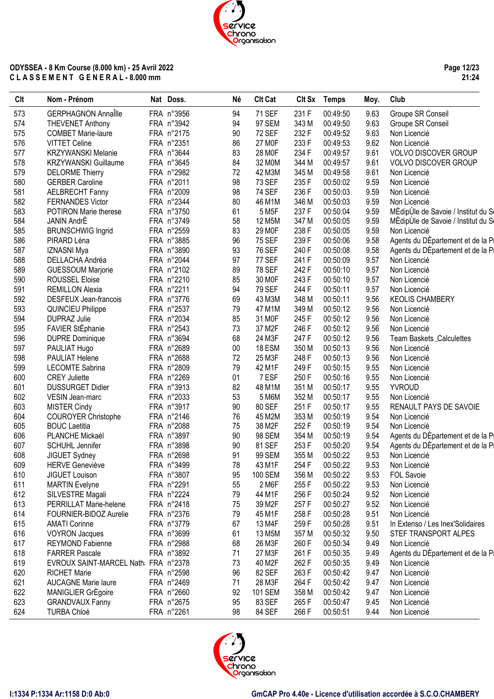**Page 12/23 21:24**

| FRA n°3956<br><b>GERPHAGNON Annaîlle</b><br><b>71 SEF</b><br>231 F<br>00:49:50<br>9.63<br>Groupe SR Conseil<br>573<br>94<br>9.63<br>574<br>FRA n°3942<br>94<br>97 SEM<br>343 M<br><b>THEVENET Anthony</b><br>00:49:50<br>Groupe SR Conseil<br>9.63<br>575<br>FRA n°2175<br>90<br><b>72 SEF</b><br>232 F<br><b>COMBET Marie-laure</b><br>00:49:52<br>Non Licencié<br>9.62<br>576<br>FRA n°2351<br>86<br>27 M0F<br>233 F<br><b>VITTET Celine</b><br>00:49:53<br>Non Licencié<br>FRA n°3644<br>234 F<br>577<br>83<br>28 M0F<br>9.61<br><b>KRZYWANSKI Melanie</b><br>00:49:57<br><b>VOLVO DISCOVER GROUP</b><br>84<br>9.61<br>578<br>FRA n°3645<br>32 M0M<br>344 M<br><b>KRZYWANSKI Guillaume</b><br>00:49:57<br><b>VOLVO DISCOVER GROUP</b><br>579<br>FRA n°2982<br>72<br>42 M3M<br>345 M<br>9.61<br><b>DELORME Thierry</b><br>00:49:58<br>Non Licencié<br>98<br>580<br><b>GERBER Caroline</b><br>FRA n°2011<br><b>73 SEF</b><br>235F<br>9.59<br>00:50:02<br>Non Licencié<br>581<br>FRA n°2009<br>98<br><b>74 SEF</b><br>236 F<br>9.59<br><b>AELBRECHT Fanny</b><br>00:50:03<br>Non Licencié<br>582<br>FRA n°2344<br>80<br>9.59<br><b>FERNANDES Victor</b><br>46 M1M<br>346 M<br>00:50:03<br>Non Licencié<br>583<br>FRA n°3750<br>61<br>237 F<br>9.59<br><b>POTIRON Marie therese</b><br>5 M <sub>5</sub> F<br>00:50:04<br>584<br>FRA n°3749<br>58<br>12 M5M<br>347 M<br>9.59<br><b>JANIN AndrE</b><br>00:50:05<br>83<br>585<br><b>BRUNSCHWIG Ingrid</b><br>FRA n°2559<br>29 M0F<br>238 F<br>9.59<br>00:50:05<br>Non Licencié<br>96<br>586<br>FRA n°3885<br><b>75 SEF</b><br>239 F<br>9.58<br>PIRARD Léna<br>00:50:06<br>587<br>FRA n°3890<br>93<br><b>76 SEF</b><br>240 F<br>9.58<br><b>IZNASNI Mya</b><br>00:50:08<br>588<br>FRA n°2044<br>97<br><b>77 SEF</b><br>241 F<br>9.57<br>DELLACHA Andréa<br>00:50:09<br>Non Licencié<br>FRA n°2102<br>89<br><b>78 SEF</b><br>242 F<br>9.57<br>589<br><b>GUESSOUM Marjorie</b><br>00:50:10<br>Non Licencié<br>590<br>FRA n°2210<br>85<br>30 MOF<br>243 F<br>9.57<br><b>ROUSSEL Eloise</b><br>00:50:10<br>Non Licencié<br>591<br>FRA n°2211<br>94<br><b>79 SEF</b><br>244 F<br>9.57<br><b>REMILLON Alexia</b><br>00:50:11<br>Non Licencié<br>592<br>FRA n°3776<br>69<br>43 M3M<br>348 M<br>9.56<br>DESFEUX Jean-francois<br>00:50:11<br><b>KEOLIS CHAMBERY</b><br>593<br>FRA n°2537<br>79<br>349 M<br>9.56<br><b>QUINCIEU Philippe</b><br>47 M1M<br>00:50:12<br>Non Licencié<br>594<br>FRA n°2034<br>85<br>9.56<br><b>DUPRAZ Julie</b><br>31 M0F<br>245F<br>00:50:12<br>Non Licencié<br>FAVIER StÈphanie<br>73<br>595<br>FRA n°2543<br>37 M2F<br>246 F<br>00:50:12<br>9.56<br>Non Licencié<br>596<br>FRA n°3694<br>68<br>247 F<br><b>DUPRE Dominique</b><br>24 M3F<br>00:50:12<br>9.56<br>Team Baskets _Calculettes<br>597<br>FRA n°2689<br>9.56<br>PAULIAT Hugo<br>$00\,$<br>18 ESM<br>350 M<br>00:50:13<br>Non Licencié<br>598<br>FRA n°2688<br>72<br>25 M3F<br>248 F<br>9.56<br>PAULIAT Helene<br>00:50:13<br>Non Licencié<br>599<br><b>LECOMTE Sabrina</b><br>FRA n°2809<br>79<br>42 M1F<br>249F<br>9.55<br>00:50:15<br>Non Licencié<br>600<br>FRA n°2269<br>01<br>7 ESF<br>250 F<br>9.55<br><b>CREY Juliette</b><br>00:50:16<br>Non Licencié<br>601<br>FRA n°3913<br>82<br>48 M1M<br>351 M<br>9.55<br><b>DUSSURGET Didier</b><br>00:50:17<br><b>YVROUD</b><br>602<br>FRA n°2033<br>53<br>352 M<br>9.55<br>VESIN Jean-marc<br>5 M6M<br>00:50:17<br>Non Licencié<br>90<br>603<br>FRA n°3917<br>80 SEF<br>251F<br>9.55<br><b>MISTER Cindy</b><br>00:50:17<br>RENAULT PAYS DE SAVOIE<br>604<br>FRA n°2146<br>76<br>45 M2M<br>353 M<br>9.54<br><b>COUROYER Christophe</b><br>00:50:19<br>Non Licencié<br>605<br><b>BOUC Laetitia</b><br>FRA n°2088<br>38 M2F<br>252 F<br>9.54<br>75<br>00:50:19<br>Non Licencié<br>606<br>FRA n°3897<br>90<br>9.54<br>PLANCHE Mickaél<br>98 SEM<br>354 M<br>00:50:19<br>607<br>FRA n°3898<br>90<br>81 SEF<br>253 F<br>9.54<br><b>SCHUHL Jennifer</b><br>00:50:20<br>FRA n°2698<br>99 SEM<br>608<br>JIGUET Sydney<br>91<br>355 M<br>00:50:22<br>9.53<br>Non Licencié<br><b>HERVE Geneviève</b><br>609<br>FRA n°3499<br>78<br>43 M1F<br>254 F<br>00:50:22<br>9.53<br>Non Licencié<br>95<br>610<br>JIGUET Louison<br>FRA n°3807<br>100 SEM<br>356 M<br>00:50:22<br>9.53<br><b>FOL Savoie</b><br>611<br>FRA n°2291<br>2 M6F<br>9.53<br><b>MARTIN</b> Evelyne<br>55<br>255F<br>00:50:22<br>Non Licencié<br>612<br>79<br>44 M1F<br>9.52<br>SILVESTRE Magali<br>FRA n°2224<br>256 F<br>00:50:24<br>Non Licencié<br>613<br>9.52<br>PERRILLAT Marie-helene<br>FRA n°2418<br>75<br>39 M2F<br>257 F<br>00:50:27<br>Non Licencié<br>614<br>FOURNIER-BIDOZ Aurelie<br>FRA n°2376<br>79<br>45 M1F<br>258 F<br>00:50:28<br>9.51<br>Non Licencié<br>615<br><b>AMATI Corinne</b><br>FRA n°3779<br>67<br>13 M4F<br>259F<br>00:50:28<br>9.51<br>In Extenso / Les Inex'Solidaires<br>616<br><b>VOYRON Jacques</b><br>FRA n°3699<br>61<br>13 M5M<br>357 M<br>00:50:32<br>9.50<br>STEF TRANSPORT ALPES<br>260 F<br>617<br>FRA n°2988<br>68<br>26 M3F<br>00:50:34<br>9.49<br>Non Licencié<br>REYMOND Fabienne<br>261 F<br>618<br><b>FARRER Pascale</b><br>FRA n°3892<br>27 M3F<br>00:50:35<br>9.49<br>71<br>619<br>EVROUX SAINT-MARCEL Nath: FRA n°2378<br>73<br>40 M2F<br>262 F<br>00:50:35<br>9.49<br>Non Licencié<br>96<br>263 F<br>620<br><b>RICHET Marie</b><br>FRA n°2598<br>82 SEF<br>00:50:42<br>9.47<br>Non Licencié<br>621<br><b>AUCAGNE Marie laure</b><br>FRA n°2469<br>28 M3F<br>264 F<br>00:50:42<br>9.47<br>71<br>Non Licencié<br>622<br>MANIGLIER GrÉgoire<br>FRA n°2660<br>92<br><b>101 SEM</b><br>358 M<br>9.47<br>00:50:42<br>Non Licencié<br>FRA n°2675 | Clt | Nom - Prénom           | Nat Doss. | Né | <b>Clt Cat</b> |      | Clt Sx Temps | Moy. | Club                                |
|-----------------------------------------------------------------------------------------------------------------------------------------------------------------------------------------------------------------------------------------------------------------------------------------------------------------------------------------------------------------------------------------------------------------------------------------------------------------------------------------------------------------------------------------------------------------------------------------------------------------------------------------------------------------------------------------------------------------------------------------------------------------------------------------------------------------------------------------------------------------------------------------------------------------------------------------------------------------------------------------------------------------------------------------------------------------------------------------------------------------------------------------------------------------------------------------------------------------------------------------------------------------------------------------------------------------------------------------------------------------------------------------------------------------------------------------------------------------------------------------------------------------------------------------------------------------------------------------------------------------------------------------------------------------------------------------------------------------------------------------------------------------------------------------------------------------------------------------------------------------------------------------------------------------------------------------------------------------------------------------------------------------------------------------------------------------------------------------------------------------------------------------------------------------------------------------------------------------------------------------------------------------------------------------------------------------------------------------------------------------------------------------------------------------------------------------------------------------------------------------------------------------------------------------------------------------------------------------------------------------------------------------------------------------------------------------------------------------------------------------------------------------------------------------------------------------------------------------------------------------------------------------------------------------------------------------------------------------------------------------------------------------------------------------------------------------------------------------------------------------------------------------------------------------------------------------------------------------------------------------------------------------------------------------------------------------------------------------------------------------------------------------------------------------------------------------------------------------------------------------------------------------------------------------------------------------------------------------------------------------------------------------------------------------------------------------------------------------------------------------------------------------------------------------------------------------------------------------------------------------------------------------------------------------------------------------------------------------------------------------------------------------------------------------------------------------------------------------------------------------------------------------------------------------------------------------------------------------------------------------------------------------------------------------------------------------------------------------------------------------------------------------------------------------------------------------------------------------------------------------------------------------------------------------------------------------------------------------------------------------------------------------------------------------------------------------------------------------------------------------------------------------------------------------------------------------------------------------------------------------------------------------------------------------------------------------------------------------------------------------------------------------------------------------------------------------------------------------------------------------------------------------------------------------------------------------------------------------------------------------------------------------------------------------------------------------------------------------------------------------------------------------------------------------------------------------------------------------------------------------------------------------------------------------------------------------------------------------------------------------------------|-----|------------------------|-----------|----|----------------|------|--------------|------|-------------------------------------|
|                                                                                                                                                                                                                                                                                                                                                                                                                                                                                                                                                                                                                                                                                                                                                                                                                                                                                                                                                                                                                                                                                                                                                                                                                                                                                                                                                                                                                                                                                                                                                                                                                                                                                                                                                                                                                                                                                                                                                                                                                                                                                                                                                                                                                                                                                                                                                                                                                                                                                                                                                                                                                                                                                                                                                                                                                                                                                                                                                                                                                                                                                                                                                                                                                                                                                                                                                                                                                                                                                                                                                                                                                                                                                                                                                                                                                                                                                                                                                                                                                                                                                                                                                                                                                                                                                                                                                                                                                                                                                                                                                                                                                                                                                                                                                                                                                                                                                                                                                                                                                                                                                                                                                                                                                                                                                                                                                                                                                                                                                                                                                                                                                             |     |                        |           |    |                |      |              |      |                                     |
|                                                                                                                                                                                                                                                                                                                                                                                                                                                                                                                                                                                                                                                                                                                                                                                                                                                                                                                                                                                                                                                                                                                                                                                                                                                                                                                                                                                                                                                                                                                                                                                                                                                                                                                                                                                                                                                                                                                                                                                                                                                                                                                                                                                                                                                                                                                                                                                                                                                                                                                                                                                                                                                                                                                                                                                                                                                                                                                                                                                                                                                                                                                                                                                                                                                                                                                                                                                                                                                                                                                                                                                                                                                                                                                                                                                                                                                                                                                                                                                                                                                                                                                                                                                                                                                                                                                                                                                                                                                                                                                                                                                                                                                                                                                                                                                                                                                                                                                                                                                                                                                                                                                                                                                                                                                                                                                                                                                                                                                                                                                                                                                                                             |     |                        |           |    |                |      |              |      |                                     |
|                                                                                                                                                                                                                                                                                                                                                                                                                                                                                                                                                                                                                                                                                                                                                                                                                                                                                                                                                                                                                                                                                                                                                                                                                                                                                                                                                                                                                                                                                                                                                                                                                                                                                                                                                                                                                                                                                                                                                                                                                                                                                                                                                                                                                                                                                                                                                                                                                                                                                                                                                                                                                                                                                                                                                                                                                                                                                                                                                                                                                                                                                                                                                                                                                                                                                                                                                                                                                                                                                                                                                                                                                                                                                                                                                                                                                                                                                                                                                                                                                                                                                                                                                                                                                                                                                                                                                                                                                                                                                                                                                                                                                                                                                                                                                                                                                                                                                                                                                                                                                                                                                                                                                                                                                                                                                                                                                                                                                                                                                                                                                                                                                             |     |                        |           |    |                |      |              |      |                                     |
|                                                                                                                                                                                                                                                                                                                                                                                                                                                                                                                                                                                                                                                                                                                                                                                                                                                                                                                                                                                                                                                                                                                                                                                                                                                                                                                                                                                                                                                                                                                                                                                                                                                                                                                                                                                                                                                                                                                                                                                                                                                                                                                                                                                                                                                                                                                                                                                                                                                                                                                                                                                                                                                                                                                                                                                                                                                                                                                                                                                                                                                                                                                                                                                                                                                                                                                                                                                                                                                                                                                                                                                                                                                                                                                                                                                                                                                                                                                                                                                                                                                                                                                                                                                                                                                                                                                                                                                                                                                                                                                                                                                                                                                                                                                                                                                                                                                                                                                                                                                                                                                                                                                                                                                                                                                                                                                                                                                                                                                                                                                                                                                                                             |     |                        |           |    |                |      |              |      |                                     |
|                                                                                                                                                                                                                                                                                                                                                                                                                                                                                                                                                                                                                                                                                                                                                                                                                                                                                                                                                                                                                                                                                                                                                                                                                                                                                                                                                                                                                                                                                                                                                                                                                                                                                                                                                                                                                                                                                                                                                                                                                                                                                                                                                                                                                                                                                                                                                                                                                                                                                                                                                                                                                                                                                                                                                                                                                                                                                                                                                                                                                                                                                                                                                                                                                                                                                                                                                                                                                                                                                                                                                                                                                                                                                                                                                                                                                                                                                                                                                                                                                                                                                                                                                                                                                                                                                                                                                                                                                                                                                                                                                                                                                                                                                                                                                                                                                                                                                                                                                                                                                                                                                                                                                                                                                                                                                                                                                                                                                                                                                                                                                                                                                             |     |                        |           |    |                |      |              |      |                                     |
|                                                                                                                                                                                                                                                                                                                                                                                                                                                                                                                                                                                                                                                                                                                                                                                                                                                                                                                                                                                                                                                                                                                                                                                                                                                                                                                                                                                                                                                                                                                                                                                                                                                                                                                                                                                                                                                                                                                                                                                                                                                                                                                                                                                                                                                                                                                                                                                                                                                                                                                                                                                                                                                                                                                                                                                                                                                                                                                                                                                                                                                                                                                                                                                                                                                                                                                                                                                                                                                                                                                                                                                                                                                                                                                                                                                                                                                                                                                                                                                                                                                                                                                                                                                                                                                                                                                                                                                                                                                                                                                                                                                                                                                                                                                                                                                                                                                                                                                                                                                                                                                                                                                                                                                                                                                                                                                                                                                                                                                                                                                                                                                                                             |     |                        |           |    |                |      |              |      |                                     |
|                                                                                                                                                                                                                                                                                                                                                                                                                                                                                                                                                                                                                                                                                                                                                                                                                                                                                                                                                                                                                                                                                                                                                                                                                                                                                                                                                                                                                                                                                                                                                                                                                                                                                                                                                                                                                                                                                                                                                                                                                                                                                                                                                                                                                                                                                                                                                                                                                                                                                                                                                                                                                                                                                                                                                                                                                                                                                                                                                                                                                                                                                                                                                                                                                                                                                                                                                                                                                                                                                                                                                                                                                                                                                                                                                                                                                                                                                                                                                                                                                                                                                                                                                                                                                                                                                                                                                                                                                                                                                                                                                                                                                                                                                                                                                                                                                                                                                                                                                                                                                                                                                                                                                                                                                                                                                                                                                                                                                                                                                                                                                                                                                             |     |                        |           |    |                |      |              |      |                                     |
|                                                                                                                                                                                                                                                                                                                                                                                                                                                                                                                                                                                                                                                                                                                                                                                                                                                                                                                                                                                                                                                                                                                                                                                                                                                                                                                                                                                                                                                                                                                                                                                                                                                                                                                                                                                                                                                                                                                                                                                                                                                                                                                                                                                                                                                                                                                                                                                                                                                                                                                                                                                                                                                                                                                                                                                                                                                                                                                                                                                                                                                                                                                                                                                                                                                                                                                                                                                                                                                                                                                                                                                                                                                                                                                                                                                                                                                                                                                                                                                                                                                                                                                                                                                                                                                                                                                                                                                                                                                                                                                                                                                                                                                                                                                                                                                                                                                                                                                                                                                                                                                                                                                                                                                                                                                                                                                                                                                                                                                                                                                                                                                                                             |     |                        |           |    |                |      |              |      |                                     |
|                                                                                                                                                                                                                                                                                                                                                                                                                                                                                                                                                                                                                                                                                                                                                                                                                                                                                                                                                                                                                                                                                                                                                                                                                                                                                                                                                                                                                                                                                                                                                                                                                                                                                                                                                                                                                                                                                                                                                                                                                                                                                                                                                                                                                                                                                                                                                                                                                                                                                                                                                                                                                                                                                                                                                                                                                                                                                                                                                                                                                                                                                                                                                                                                                                                                                                                                                                                                                                                                                                                                                                                                                                                                                                                                                                                                                                                                                                                                                                                                                                                                                                                                                                                                                                                                                                                                                                                                                                                                                                                                                                                                                                                                                                                                                                                                                                                                                                                                                                                                                                                                                                                                                                                                                                                                                                                                                                                                                                                                                                                                                                                                                             |     |                        |           |    |                |      |              |      |                                     |
|                                                                                                                                                                                                                                                                                                                                                                                                                                                                                                                                                                                                                                                                                                                                                                                                                                                                                                                                                                                                                                                                                                                                                                                                                                                                                                                                                                                                                                                                                                                                                                                                                                                                                                                                                                                                                                                                                                                                                                                                                                                                                                                                                                                                                                                                                                                                                                                                                                                                                                                                                                                                                                                                                                                                                                                                                                                                                                                                                                                                                                                                                                                                                                                                                                                                                                                                                                                                                                                                                                                                                                                                                                                                                                                                                                                                                                                                                                                                                                                                                                                                                                                                                                                                                                                                                                                                                                                                                                                                                                                                                                                                                                                                                                                                                                                                                                                                                                                                                                                                                                                                                                                                                                                                                                                                                                                                                                                                                                                                                                                                                                                                                             |     |                        |           |    |                |      |              |      |                                     |
|                                                                                                                                                                                                                                                                                                                                                                                                                                                                                                                                                                                                                                                                                                                                                                                                                                                                                                                                                                                                                                                                                                                                                                                                                                                                                                                                                                                                                                                                                                                                                                                                                                                                                                                                                                                                                                                                                                                                                                                                                                                                                                                                                                                                                                                                                                                                                                                                                                                                                                                                                                                                                                                                                                                                                                                                                                                                                                                                                                                                                                                                                                                                                                                                                                                                                                                                                                                                                                                                                                                                                                                                                                                                                                                                                                                                                                                                                                                                                                                                                                                                                                                                                                                                                                                                                                                                                                                                                                                                                                                                                                                                                                                                                                                                                                                                                                                                                                                                                                                                                                                                                                                                                                                                                                                                                                                                                                                                                                                                                                                                                                                                                             |     |                        |           |    |                |      |              |      | MÈdipUle de Savoie / Institut du Se |
|                                                                                                                                                                                                                                                                                                                                                                                                                                                                                                                                                                                                                                                                                                                                                                                                                                                                                                                                                                                                                                                                                                                                                                                                                                                                                                                                                                                                                                                                                                                                                                                                                                                                                                                                                                                                                                                                                                                                                                                                                                                                                                                                                                                                                                                                                                                                                                                                                                                                                                                                                                                                                                                                                                                                                                                                                                                                                                                                                                                                                                                                                                                                                                                                                                                                                                                                                                                                                                                                                                                                                                                                                                                                                                                                                                                                                                                                                                                                                                                                                                                                                                                                                                                                                                                                                                                                                                                                                                                                                                                                                                                                                                                                                                                                                                                                                                                                                                                                                                                                                                                                                                                                                                                                                                                                                                                                                                                                                                                                                                                                                                                                                             |     |                        |           |    |                |      |              |      | MÈdipUle de Savoie / Institut du Se |
|                                                                                                                                                                                                                                                                                                                                                                                                                                                                                                                                                                                                                                                                                                                                                                                                                                                                                                                                                                                                                                                                                                                                                                                                                                                                                                                                                                                                                                                                                                                                                                                                                                                                                                                                                                                                                                                                                                                                                                                                                                                                                                                                                                                                                                                                                                                                                                                                                                                                                                                                                                                                                                                                                                                                                                                                                                                                                                                                                                                                                                                                                                                                                                                                                                                                                                                                                                                                                                                                                                                                                                                                                                                                                                                                                                                                                                                                                                                                                                                                                                                                                                                                                                                                                                                                                                                                                                                                                                                                                                                                                                                                                                                                                                                                                                                                                                                                                                                                                                                                                                                                                                                                                                                                                                                                                                                                                                                                                                                                                                                                                                                                                             |     |                        |           |    |                |      |              |      |                                     |
|                                                                                                                                                                                                                                                                                                                                                                                                                                                                                                                                                                                                                                                                                                                                                                                                                                                                                                                                                                                                                                                                                                                                                                                                                                                                                                                                                                                                                                                                                                                                                                                                                                                                                                                                                                                                                                                                                                                                                                                                                                                                                                                                                                                                                                                                                                                                                                                                                                                                                                                                                                                                                                                                                                                                                                                                                                                                                                                                                                                                                                                                                                                                                                                                                                                                                                                                                                                                                                                                                                                                                                                                                                                                                                                                                                                                                                                                                                                                                                                                                                                                                                                                                                                                                                                                                                                                                                                                                                                                                                                                                                                                                                                                                                                                                                                                                                                                                                                                                                                                                                                                                                                                                                                                                                                                                                                                                                                                                                                                                                                                                                                                                             |     |                        |           |    |                |      |              |      | Agents du DEpartement et de la Pi   |
|                                                                                                                                                                                                                                                                                                                                                                                                                                                                                                                                                                                                                                                                                                                                                                                                                                                                                                                                                                                                                                                                                                                                                                                                                                                                                                                                                                                                                                                                                                                                                                                                                                                                                                                                                                                                                                                                                                                                                                                                                                                                                                                                                                                                                                                                                                                                                                                                                                                                                                                                                                                                                                                                                                                                                                                                                                                                                                                                                                                                                                                                                                                                                                                                                                                                                                                                                                                                                                                                                                                                                                                                                                                                                                                                                                                                                                                                                                                                                                                                                                                                                                                                                                                                                                                                                                                                                                                                                                                                                                                                                                                                                                                                                                                                                                                                                                                                                                                                                                                                                                                                                                                                                                                                                                                                                                                                                                                                                                                                                                                                                                                                                             |     |                        |           |    |                |      |              |      | Agents du DÉpartement et de la Pi   |
|                                                                                                                                                                                                                                                                                                                                                                                                                                                                                                                                                                                                                                                                                                                                                                                                                                                                                                                                                                                                                                                                                                                                                                                                                                                                                                                                                                                                                                                                                                                                                                                                                                                                                                                                                                                                                                                                                                                                                                                                                                                                                                                                                                                                                                                                                                                                                                                                                                                                                                                                                                                                                                                                                                                                                                                                                                                                                                                                                                                                                                                                                                                                                                                                                                                                                                                                                                                                                                                                                                                                                                                                                                                                                                                                                                                                                                                                                                                                                                                                                                                                                                                                                                                                                                                                                                                                                                                                                                                                                                                                                                                                                                                                                                                                                                                                                                                                                                                                                                                                                                                                                                                                                                                                                                                                                                                                                                                                                                                                                                                                                                                                                             |     |                        |           |    |                |      |              |      |                                     |
|                                                                                                                                                                                                                                                                                                                                                                                                                                                                                                                                                                                                                                                                                                                                                                                                                                                                                                                                                                                                                                                                                                                                                                                                                                                                                                                                                                                                                                                                                                                                                                                                                                                                                                                                                                                                                                                                                                                                                                                                                                                                                                                                                                                                                                                                                                                                                                                                                                                                                                                                                                                                                                                                                                                                                                                                                                                                                                                                                                                                                                                                                                                                                                                                                                                                                                                                                                                                                                                                                                                                                                                                                                                                                                                                                                                                                                                                                                                                                                                                                                                                                                                                                                                                                                                                                                                                                                                                                                                                                                                                                                                                                                                                                                                                                                                                                                                                                                                                                                                                                                                                                                                                                                                                                                                                                                                                                                                                                                                                                                                                                                                                                             |     |                        |           |    |                |      |              |      |                                     |
|                                                                                                                                                                                                                                                                                                                                                                                                                                                                                                                                                                                                                                                                                                                                                                                                                                                                                                                                                                                                                                                                                                                                                                                                                                                                                                                                                                                                                                                                                                                                                                                                                                                                                                                                                                                                                                                                                                                                                                                                                                                                                                                                                                                                                                                                                                                                                                                                                                                                                                                                                                                                                                                                                                                                                                                                                                                                                                                                                                                                                                                                                                                                                                                                                                                                                                                                                                                                                                                                                                                                                                                                                                                                                                                                                                                                                                                                                                                                                                                                                                                                                                                                                                                                                                                                                                                                                                                                                                                                                                                                                                                                                                                                                                                                                                                                                                                                                                                                                                                                                                                                                                                                                                                                                                                                                                                                                                                                                                                                                                                                                                                                                             |     |                        |           |    |                |      |              |      |                                     |
|                                                                                                                                                                                                                                                                                                                                                                                                                                                                                                                                                                                                                                                                                                                                                                                                                                                                                                                                                                                                                                                                                                                                                                                                                                                                                                                                                                                                                                                                                                                                                                                                                                                                                                                                                                                                                                                                                                                                                                                                                                                                                                                                                                                                                                                                                                                                                                                                                                                                                                                                                                                                                                                                                                                                                                                                                                                                                                                                                                                                                                                                                                                                                                                                                                                                                                                                                                                                                                                                                                                                                                                                                                                                                                                                                                                                                                                                                                                                                                                                                                                                                                                                                                                                                                                                                                                                                                                                                                                                                                                                                                                                                                                                                                                                                                                                                                                                                                                                                                                                                                                                                                                                                                                                                                                                                                                                                                                                                                                                                                                                                                                                                             |     |                        |           |    |                |      |              |      |                                     |
|                                                                                                                                                                                                                                                                                                                                                                                                                                                                                                                                                                                                                                                                                                                                                                                                                                                                                                                                                                                                                                                                                                                                                                                                                                                                                                                                                                                                                                                                                                                                                                                                                                                                                                                                                                                                                                                                                                                                                                                                                                                                                                                                                                                                                                                                                                                                                                                                                                                                                                                                                                                                                                                                                                                                                                                                                                                                                                                                                                                                                                                                                                                                                                                                                                                                                                                                                                                                                                                                                                                                                                                                                                                                                                                                                                                                                                                                                                                                                                                                                                                                                                                                                                                                                                                                                                                                                                                                                                                                                                                                                                                                                                                                                                                                                                                                                                                                                                                                                                                                                                                                                                                                                                                                                                                                                                                                                                                                                                                                                                                                                                                                                             |     |                        |           |    |                |      |              |      |                                     |
|                                                                                                                                                                                                                                                                                                                                                                                                                                                                                                                                                                                                                                                                                                                                                                                                                                                                                                                                                                                                                                                                                                                                                                                                                                                                                                                                                                                                                                                                                                                                                                                                                                                                                                                                                                                                                                                                                                                                                                                                                                                                                                                                                                                                                                                                                                                                                                                                                                                                                                                                                                                                                                                                                                                                                                                                                                                                                                                                                                                                                                                                                                                                                                                                                                                                                                                                                                                                                                                                                                                                                                                                                                                                                                                                                                                                                                                                                                                                                                                                                                                                                                                                                                                                                                                                                                                                                                                                                                                                                                                                                                                                                                                                                                                                                                                                                                                                                                                                                                                                                                                                                                                                                                                                                                                                                                                                                                                                                                                                                                                                                                                                                             |     |                        |           |    |                |      |              |      |                                     |
|                                                                                                                                                                                                                                                                                                                                                                                                                                                                                                                                                                                                                                                                                                                                                                                                                                                                                                                                                                                                                                                                                                                                                                                                                                                                                                                                                                                                                                                                                                                                                                                                                                                                                                                                                                                                                                                                                                                                                                                                                                                                                                                                                                                                                                                                                                                                                                                                                                                                                                                                                                                                                                                                                                                                                                                                                                                                                                                                                                                                                                                                                                                                                                                                                                                                                                                                                                                                                                                                                                                                                                                                                                                                                                                                                                                                                                                                                                                                                                                                                                                                                                                                                                                                                                                                                                                                                                                                                                                                                                                                                                                                                                                                                                                                                                                                                                                                                                                                                                                                                                                                                                                                                                                                                                                                                                                                                                                                                                                                                                                                                                                                                             |     |                        |           |    |                |      |              |      |                                     |
|                                                                                                                                                                                                                                                                                                                                                                                                                                                                                                                                                                                                                                                                                                                                                                                                                                                                                                                                                                                                                                                                                                                                                                                                                                                                                                                                                                                                                                                                                                                                                                                                                                                                                                                                                                                                                                                                                                                                                                                                                                                                                                                                                                                                                                                                                                                                                                                                                                                                                                                                                                                                                                                                                                                                                                                                                                                                                                                                                                                                                                                                                                                                                                                                                                                                                                                                                                                                                                                                                                                                                                                                                                                                                                                                                                                                                                                                                                                                                                                                                                                                                                                                                                                                                                                                                                                                                                                                                                                                                                                                                                                                                                                                                                                                                                                                                                                                                                                                                                                                                                                                                                                                                                                                                                                                                                                                                                                                                                                                                                                                                                                                                             |     |                        |           |    |                |      |              |      |                                     |
|                                                                                                                                                                                                                                                                                                                                                                                                                                                                                                                                                                                                                                                                                                                                                                                                                                                                                                                                                                                                                                                                                                                                                                                                                                                                                                                                                                                                                                                                                                                                                                                                                                                                                                                                                                                                                                                                                                                                                                                                                                                                                                                                                                                                                                                                                                                                                                                                                                                                                                                                                                                                                                                                                                                                                                                                                                                                                                                                                                                                                                                                                                                                                                                                                                                                                                                                                                                                                                                                                                                                                                                                                                                                                                                                                                                                                                                                                                                                                                                                                                                                                                                                                                                                                                                                                                                                                                                                                                                                                                                                                                                                                                                                                                                                                                                                                                                                                                                                                                                                                                                                                                                                                                                                                                                                                                                                                                                                                                                                                                                                                                                                                             |     |                        |           |    |                |      |              |      |                                     |
|                                                                                                                                                                                                                                                                                                                                                                                                                                                                                                                                                                                                                                                                                                                                                                                                                                                                                                                                                                                                                                                                                                                                                                                                                                                                                                                                                                                                                                                                                                                                                                                                                                                                                                                                                                                                                                                                                                                                                                                                                                                                                                                                                                                                                                                                                                                                                                                                                                                                                                                                                                                                                                                                                                                                                                                                                                                                                                                                                                                                                                                                                                                                                                                                                                                                                                                                                                                                                                                                                                                                                                                                                                                                                                                                                                                                                                                                                                                                                                                                                                                                                                                                                                                                                                                                                                                                                                                                                                                                                                                                                                                                                                                                                                                                                                                                                                                                                                                                                                                                                                                                                                                                                                                                                                                                                                                                                                                                                                                                                                                                                                                                                             |     |                        |           |    |                |      |              |      |                                     |
|                                                                                                                                                                                                                                                                                                                                                                                                                                                                                                                                                                                                                                                                                                                                                                                                                                                                                                                                                                                                                                                                                                                                                                                                                                                                                                                                                                                                                                                                                                                                                                                                                                                                                                                                                                                                                                                                                                                                                                                                                                                                                                                                                                                                                                                                                                                                                                                                                                                                                                                                                                                                                                                                                                                                                                                                                                                                                                                                                                                                                                                                                                                                                                                                                                                                                                                                                                                                                                                                                                                                                                                                                                                                                                                                                                                                                                                                                                                                                                                                                                                                                                                                                                                                                                                                                                                                                                                                                                                                                                                                                                                                                                                                                                                                                                                                                                                                                                                                                                                                                                                                                                                                                                                                                                                                                                                                                                                                                                                                                                                                                                                                                             |     |                        |           |    |                |      |              |      |                                     |
|                                                                                                                                                                                                                                                                                                                                                                                                                                                                                                                                                                                                                                                                                                                                                                                                                                                                                                                                                                                                                                                                                                                                                                                                                                                                                                                                                                                                                                                                                                                                                                                                                                                                                                                                                                                                                                                                                                                                                                                                                                                                                                                                                                                                                                                                                                                                                                                                                                                                                                                                                                                                                                                                                                                                                                                                                                                                                                                                                                                                                                                                                                                                                                                                                                                                                                                                                                                                                                                                                                                                                                                                                                                                                                                                                                                                                                                                                                                                                                                                                                                                                                                                                                                                                                                                                                                                                                                                                                                                                                                                                                                                                                                                                                                                                                                                                                                                                                                                                                                                                                                                                                                                                                                                                                                                                                                                                                                                                                                                                                                                                                                                                             |     |                        |           |    |                |      |              |      |                                     |
|                                                                                                                                                                                                                                                                                                                                                                                                                                                                                                                                                                                                                                                                                                                                                                                                                                                                                                                                                                                                                                                                                                                                                                                                                                                                                                                                                                                                                                                                                                                                                                                                                                                                                                                                                                                                                                                                                                                                                                                                                                                                                                                                                                                                                                                                                                                                                                                                                                                                                                                                                                                                                                                                                                                                                                                                                                                                                                                                                                                                                                                                                                                                                                                                                                                                                                                                                                                                                                                                                                                                                                                                                                                                                                                                                                                                                                                                                                                                                                                                                                                                                                                                                                                                                                                                                                                                                                                                                                                                                                                                                                                                                                                                                                                                                                                                                                                                                                                                                                                                                                                                                                                                                                                                                                                                                                                                                                                                                                                                                                                                                                                                                             |     |                        |           |    |                |      |              |      |                                     |
|                                                                                                                                                                                                                                                                                                                                                                                                                                                                                                                                                                                                                                                                                                                                                                                                                                                                                                                                                                                                                                                                                                                                                                                                                                                                                                                                                                                                                                                                                                                                                                                                                                                                                                                                                                                                                                                                                                                                                                                                                                                                                                                                                                                                                                                                                                                                                                                                                                                                                                                                                                                                                                                                                                                                                                                                                                                                                                                                                                                                                                                                                                                                                                                                                                                                                                                                                                                                                                                                                                                                                                                                                                                                                                                                                                                                                                                                                                                                                                                                                                                                                                                                                                                                                                                                                                                                                                                                                                                                                                                                                                                                                                                                                                                                                                                                                                                                                                                                                                                                                                                                                                                                                                                                                                                                                                                                                                                                                                                                                                                                                                                                                             |     |                        |           |    |                |      |              |      |                                     |
|                                                                                                                                                                                                                                                                                                                                                                                                                                                                                                                                                                                                                                                                                                                                                                                                                                                                                                                                                                                                                                                                                                                                                                                                                                                                                                                                                                                                                                                                                                                                                                                                                                                                                                                                                                                                                                                                                                                                                                                                                                                                                                                                                                                                                                                                                                                                                                                                                                                                                                                                                                                                                                                                                                                                                                                                                                                                                                                                                                                                                                                                                                                                                                                                                                                                                                                                                                                                                                                                                                                                                                                                                                                                                                                                                                                                                                                                                                                                                                                                                                                                                                                                                                                                                                                                                                                                                                                                                                                                                                                                                                                                                                                                                                                                                                                                                                                                                                                                                                                                                                                                                                                                                                                                                                                                                                                                                                                                                                                                                                                                                                                                                             |     |                        |           |    |                |      |              |      |                                     |
|                                                                                                                                                                                                                                                                                                                                                                                                                                                                                                                                                                                                                                                                                                                                                                                                                                                                                                                                                                                                                                                                                                                                                                                                                                                                                                                                                                                                                                                                                                                                                                                                                                                                                                                                                                                                                                                                                                                                                                                                                                                                                                                                                                                                                                                                                                                                                                                                                                                                                                                                                                                                                                                                                                                                                                                                                                                                                                                                                                                                                                                                                                                                                                                                                                                                                                                                                                                                                                                                                                                                                                                                                                                                                                                                                                                                                                                                                                                                                                                                                                                                                                                                                                                                                                                                                                                                                                                                                                                                                                                                                                                                                                                                                                                                                                                                                                                                                                                                                                                                                                                                                                                                                                                                                                                                                                                                                                                                                                                                                                                                                                                                                             |     |                        |           |    |                |      |              |      |                                     |
|                                                                                                                                                                                                                                                                                                                                                                                                                                                                                                                                                                                                                                                                                                                                                                                                                                                                                                                                                                                                                                                                                                                                                                                                                                                                                                                                                                                                                                                                                                                                                                                                                                                                                                                                                                                                                                                                                                                                                                                                                                                                                                                                                                                                                                                                                                                                                                                                                                                                                                                                                                                                                                                                                                                                                                                                                                                                                                                                                                                                                                                                                                                                                                                                                                                                                                                                                                                                                                                                                                                                                                                                                                                                                                                                                                                                                                                                                                                                                                                                                                                                                                                                                                                                                                                                                                                                                                                                                                                                                                                                                                                                                                                                                                                                                                                                                                                                                                                                                                                                                                                                                                                                                                                                                                                                                                                                                                                                                                                                                                                                                                                                                             |     |                        |           |    |                |      |              |      |                                     |
|                                                                                                                                                                                                                                                                                                                                                                                                                                                                                                                                                                                                                                                                                                                                                                                                                                                                                                                                                                                                                                                                                                                                                                                                                                                                                                                                                                                                                                                                                                                                                                                                                                                                                                                                                                                                                                                                                                                                                                                                                                                                                                                                                                                                                                                                                                                                                                                                                                                                                                                                                                                                                                                                                                                                                                                                                                                                                                                                                                                                                                                                                                                                                                                                                                                                                                                                                                                                                                                                                                                                                                                                                                                                                                                                                                                                                                                                                                                                                                                                                                                                                                                                                                                                                                                                                                                                                                                                                                                                                                                                                                                                                                                                                                                                                                                                                                                                                                                                                                                                                                                                                                                                                                                                                                                                                                                                                                                                                                                                                                                                                                                                                             |     |                        |           |    |                |      |              |      |                                     |
|                                                                                                                                                                                                                                                                                                                                                                                                                                                                                                                                                                                                                                                                                                                                                                                                                                                                                                                                                                                                                                                                                                                                                                                                                                                                                                                                                                                                                                                                                                                                                                                                                                                                                                                                                                                                                                                                                                                                                                                                                                                                                                                                                                                                                                                                                                                                                                                                                                                                                                                                                                                                                                                                                                                                                                                                                                                                                                                                                                                                                                                                                                                                                                                                                                                                                                                                                                                                                                                                                                                                                                                                                                                                                                                                                                                                                                                                                                                                                                                                                                                                                                                                                                                                                                                                                                                                                                                                                                                                                                                                                                                                                                                                                                                                                                                                                                                                                                                                                                                                                                                                                                                                                                                                                                                                                                                                                                                                                                                                                                                                                                                                                             |     |                        |           |    |                |      |              |      | Agents du DÉpartement et de la Pi   |
|                                                                                                                                                                                                                                                                                                                                                                                                                                                                                                                                                                                                                                                                                                                                                                                                                                                                                                                                                                                                                                                                                                                                                                                                                                                                                                                                                                                                                                                                                                                                                                                                                                                                                                                                                                                                                                                                                                                                                                                                                                                                                                                                                                                                                                                                                                                                                                                                                                                                                                                                                                                                                                                                                                                                                                                                                                                                                                                                                                                                                                                                                                                                                                                                                                                                                                                                                                                                                                                                                                                                                                                                                                                                                                                                                                                                                                                                                                                                                                                                                                                                                                                                                                                                                                                                                                                                                                                                                                                                                                                                                                                                                                                                                                                                                                                                                                                                                                                                                                                                                                                                                                                                                                                                                                                                                                                                                                                                                                                                                                                                                                                                                             |     |                        |           |    |                |      |              |      | Agents du DEpartement et de la Pi   |
|                                                                                                                                                                                                                                                                                                                                                                                                                                                                                                                                                                                                                                                                                                                                                                                                                                                                                                                                                                                                                                                                                                                                                                                                                                                                                                                                                                                                                                                                                                                                                                                                                                                                                                                                                                                                                                                                                                                                                                                                                                                                                                                                                                                                                                                                                                                                                                                                                                                                                                                                                                                                                                                                                                                                                                                                                                                                                                                                                                                                                                                                                                                                                                                                                                                                                                                                                                                                                                                                                                                                                                                                                                                                                                                                                                                                                                                                                                                                                                                                                                                                                                                                                                                                                                                                                                                                                                                                                                                                                                                                                                                                                                                                                                                                                                                                                                                                                                                                                                                                                                                                                                                                                                                                                                                                                                                                                                                                                                                                                                                                                                                                                             |     |                        |           |    |                |      |              |      |                                     |
|                                                                                                                                                                                                                                                                                                                                                                                                                                                                                                                                                                                                                                                                                                                                                                                                                                                                                                                                                                                                                                                                                                                                                                                                                                                                                                                                                                                                                                                                                                                                                                                                                                                                                                                                                                                                                                                                                                                                                                                                                                                                                                                                                                                                                                                                                                                                                                                                                                                                                                                                                                                                                                                                                                                                                                                                                                                                                                                                                                                                                                                                                                                                                                                                                                                                                                                                                                                                                                                                                                                                                                                                                                                                                                                                                                                                                                                                                                                                                                                                                                                                                                                                                                                                                                                                                                                                                                                                                                                                                                                                                                                                                                                                                                                                                                                                                                                                                                                                                                                                                                                                                                                                                                                                                                                                                                                                                                                                                                                                                                                                                                                                                             |     |                        |           |    |                |      |              |      |                                     |
|                                                                                                                                                                                                                                                                                                                                                                                                                                                                                                                                                                                                                                                                                                                                                                                                                                                                                                                                                                                                                                                                                                                                                                                                                                                                                                                                                                                                                                                                                                                                                                                                                                                                                                                                                                                                                                                                                                                                                                                                                                                                                                                                                                                                                                                                                                                                                                                                                                                                                                                                                                                                                                                                                                                                                                                                                                                                                                                                                                                                                                                                                                                                                                                                                                                                                                                                                                                                                                                                                                                                                                                                                                                                                                                                                                                                                                                                                                                                                                                                                                                                                                                                                                                                                                                                                                                                                                                                                                                                                                                                                                                                                                                                                                                                                                                                                                                                                                                                                                                                                                                                                                                                                                                                                                                                                                                                                                                                                                                                                                                                                                                                                             |     |                        |           |    |                |      |              |      |                                     |
|                                                                                                                                                                                                                                                                                                                                                                                                                                                                                                                                                                                                                                                                                                                                                                                                                                                                                                                                                                                                                                                                                                                                                                                                                                                                                                                                                                                                                                                                                                                                                                                                                                                                                                                                                                                                                                                                                                                                                                                                                                                                                                                                                                                                                                                                                                                                                                                                                                                                                                                                                                                                                                                                                                                                                                                                                                                                                                                                                                                                                                                                                                                                                                                                                                                                                                                                                                                                                                                                                                                                                                                                                                                                                                                                                                                                                                                                                                                                                                                                                                                                                                                                                                                                                                                                                                                                                                                                                                                                                                                                                                                                                                                                                                                                                                                                                                                                                                                                                                                                                                                                                                                                                                                                                                                                                                                                                                                                                                                                                                                                                                                                                             |     |                        |           |    |                |      |              |      |                                     |
|                                                                                                                                                                                                                                                                                                                                                                                                                                                                                                                                                                                                                                                                                                                                                                                                                                                                                                                                                                                                                                                                                                                                                                                                                                                                                                                                                                                                                                                                                                                                                                                                                                                                                                                                                                                                                                                                                                                                                                                                                                                                                                                                                                                                                                                                                                                                                                                                                                                                                                                                                                                                                                                                                                                                                                                                                                                                                                                                                                                                                                                                                                                                                                                                                                                                                                                                                                                                                                                                                                                                                                                                                                                                                                                                                                                                                                                                                                                                                                                                                                                                                                                                                                                                                                                                                                                                                                                                                                                                                                                                                                                                                                                                                                                                                                                                                                                                                                                                                                                                                                                                                                                                                                                                                                                                                                                                                                                                                                                                                                                                                                                                                             |     |                        |           |    |                |      |              |      |                                     |
|                                                                                                                                                                                                                                                                                                                                                                                                                                                                                                                                                                                                                                                                                                                                                                                                                                                                                                                                                                                                                                                                                                                                                                                                                                                                                                                                                                                                                                                                                                                                                                                                                                                                                                                                                                                                                                                                                                                                                                                                                                                                                                                                                                                                                                                                                                                                                                                                                                                                                                                                                                                                                                                                                                                                                                                                                                                                                                                                                                                                                                                                                                                                                                                                                                                                                                                                                                                                                                                                                                                                                                                                                                                                                                                                                                                                                                                                                                                                                                                                                                                                                                                                                                                                                                                                                                                                                                                                                                                                                                                                                                                                                                                                                                                                                                                                                                                                                                                                                                                                                                                                                                                                                                                                                                                                                                                                                                                                                                                                                                                                                                                                                             |     |                        |           |    |                |      |              |      |                                     |
|                                                                                                                                                                                                                                                                                                                                                                                                                                                                                                                                                                                                                                                                                                                                                                                                                                                                                                                                                                                                                                                                                                                                                                                                                                                                                                                                                                                                                                                                                                                                                                                                                                                                                                                                                                                                                                                                                                                                                                                                                                                                                                                                                                                                                                                                                                                                                                                                                                                                                                                                                                                                                                                                                                                                                                                                                                                                                                                                                                                                                                                                                                                                                                                                                                                                                                                                                                                                                                                                                                                                                                                                                                                                                                                                                                                                                                                                                                                                                                                                                                                                                                                                                                                                                                                                                                                                                                                                                                                                                                                                                                                                                                                                                                                                                                                                                                                                                                                                                                                                                                                                                                                                                                                                                                                                                                                                                                                                                                                                                                                                                                                                                             |     |                        |           |    |                |      |              |      |                                     |
|                                                                                                                                                                                                                                                                                                                                                                                                                                                                                                                                                                                                                                                                                                                                                                                                                                                                                                                                                                                                                                                                                                                                                                                                                                                                                                                                                                                                                                                                                                                                                                                                                                                                                                                                                                                                                                                                                                                                                                                                                                                                                                                                                                                                                                                                                                                                                                                                                                                                                                                                                                                                                                                                                                                                                                                                                                                                                                                                                                                                                                                                                                                                                                                                                                                                                                                                                                                                                                                                                                                                                                                                                                                                                                                                                                                                                                                                                                                                                                                                                                                                                                                                                                                                                                                                                                                                                                                                                                                                                                                                                                                                                                                                                                                                                                                                                                                                                                                                                                                                                                                                                                                                                                                                                                                                                                                                                                                                                                                                                                                                                                                                                             |     |                        |           |    |                |      |              |      |                                     |
|                                                                                                                                                                                                                                                                                                                                                                                                                                                                                                                                                                                                                                                                                                                                                                                                                                                                                                                                                                                                                                                                                                                                                                                                                                                                                                                                                                                                                                                                                                                                                                                                                                                                                                                                                                                                                                                                                                                                                                                                                                                                                                                                                                                                                                                                                                                                                                                                                                                                                                                                                                                                                                                                                                                                                                                                                                                                                                                                                                                                                                                                                                                                                                                                                                                                                                                                                                                                                                                                                                                                                                                                                                                                                                                                                                                                                                                                                                                                                                                                                                                                                                                                                                                                                                                                                                                                                                                                                                                                                                                                                                                                                                                                                                                                                                                                                                                                                                                                                                                                                                                                                                                                                                                                                                                                                                                                                                                                                                                                                                                                                                                                                             |     |                        |           |    |                |      |              |      |                                     |
|                                                                                                                                                                                                                                                                                                                                                                                                                                                                                                                                                                                                                                                                                                                                                                                                                                                                                                                                                                                                                                                                                                                                                                                                                                                                                                                                                                                                                                                                                                                                                                                                                                                                                                                                                                                                                                                                                                                                                                                                                                                                                                                                                                                                                                                                                                                                                                                                                                                                                                                                                                                                                                                                                                                                                                                                                                                                                                                                                                                                                                                                                                                                                                                                                                                                                                                                                                                                                                                                                                                                                                                                                                                                                                                                                                                                                                                                                                                                                                                                                                                                                                                                                                                                                                                                                                                                                                                                                                                                                                                                                                                                                                                                                                                                                                                                                                                                                                                                                                                                                                                                                                                                                                                                                                                                                                                                                                                                                                                                                                                                                                                                                             |     |                        |           |    |                |      |              |      |                                     |
|                                                                                                                                                                                                                                                                                                                                                                                                                                                                                                                                                                                                                                                                                                                                                                                                                                                                                                                                                                                                                                                                                                                                                                                                                                                                                                                                                                                                                                                                                                                                                                                                                                                                                                                                                                                                                                                                                                                                                                                                                                                                                                                                                                                                                                                                                                                                                                                                                                                                                                                                                                                                                                                                                                                                                                                                                                                                                                                                                                                                                                                                                                                                                                                                                                                                                                                                                                                                                                                                                                                                                                                                                                                                                                                                                                                                                                                                                                                                                                                                                                                                                                                                                                                                                                                                                                                                                                                                                                                                                                                                                                                                                                                                                                                                                                                                                                                                                                                                                                                                                                                                                                                                                                                                                                                                                                                                                                                                                                                                                                                                                                                                                             |     |                        |           |    |                |      |              |      | Agents du DEpartement et de la Pi   |
|                                                                                                                                                                                                                                                                                                                                                                                                                                                                                                                                                                                                                                                                                                                                                                                                                                                                                                                                                                                                                                                                                                                                                                                                                                                                                                                                                                                                                                                                                                                                                                                                                                                                                                                                                                                                                                                                                                                                                                                                                                                                                                                                                                                                                                                                                                                                                                                                                                                                                                                                                                                                                                                                                                                                                                                                                                                                                                                                                                                                                                                                                                                                                                                                                                                                                                                                                                                                                                                                                                                                                                                                                                                                                                                                                                                                                                                                                                                                                                                                                                                                                                                                                                                                                                                                                                                                                                                                                                                                                                                                                                                                                                                                                                                                                                                                                                                                                                                                                                                                                                                                                                                                                                                                                                                                                                                                                                                                                                                                                                                                                                                                                             |     |                        |           |    |                |      |              |      |                                     |
|                                                                                                                                                                                                                                                                                                                                                                                                                                                                                                                                                                                                                                                                                                                                                                                                                                                                                                                                                                                                                                                                                                                                                                                                                                                                                                                                                                                                                                                                                                                                                                                                                                                                                                                                                                                                                                                                                                                                                                                                                                                                                                                                                                                                                                                                                                                                                                                                                                                                                                                                                                                                                                                                                                                                                                                                                                                                                                                                                                                                                                                                                                                                                                                                                                                                                                                                                                                                                                                                                                                                                                                                                                                                                                                                                                                                                                                                                                                                                                                                                                                                                                                                                                                                                                                                                                                                                                                                                                                                                                                                                                                                                                                                                                                                                                                                                                                                                                                                                                                                                                                                                                                                                                                                                                                                                                                                                                                                                                                                                                                                                                                                                             |     |                        |           |    |                |      |              |      |                                     |
|                                                                                                                                                                                                                                                                                                                                                                                                                                                                                                                                                                                                                                                                                                                                                                                                                                                                                                                                                                                                                                                                                                                                                                                                                                                                                                                                                                                                                                                                                                                                                                                                                                                                                                                                                                                                                                                                                                                                                                                                                                                                                                                                                                                                                                                                                                                                                                                                                                                                                                                                                                                                                                                                                                                                                                                                                                                                                                                                                                                                                                                                                                                                                                                                                                                                                                                                                                                                                                                                                                                                                                                                                                                                                                                                                                                                                                                                                                                                                                                                                                                                                                                                                                                                                                                                                                                                                                                                                                                                                                                                                                                                                                                                                                                                                                                                                                                                                                                                                                                                                                                                                                                                                                                                                                                                                                                                                                                                                                                                                                                                                                                                                             |     |                        |           |    |                |      |              |      |                                     |
|                                                                                                                                                                                                                                                                                                                                                                                                                                                                                                                                                                                                                                                                                                                                                                                                                                                                                                                                                                                                                                                                                                                                                                                                                                                                                                                                                                                                                                                                                                                                                                                                                                                                                                                                                                                                                                                                                                                                                                                                                                                                                                                                                                                                                                                                                                                                                                                                                                                                                                                                                                                                                                                                                                                                                                                                                                                                                                                                                                                                                                                                                                                                                                                                                                                                                                                                                                                                                                                                                                                                                                                                                                                                                                                                                                                                                                                                                                                                                                                                                                                                                                                                                                                                                                                                                                                                                                                                                                                                                                                                                                                                                                                                                                                                                                                                                                                                                                                                                                                                                                                                                                                                                                                                                                                                                                                                                                                                                                                                                                                                                                                                                             |     |                        |           |    |                |      |              |      |                                     |
|                                                                                                                                                                                                                                                                                                                                                                                                                                                                                                                                                                                                                                                                                                                                                                                                                                                                                                                                                                                                                                                                                                                                                                                                                                                                                                                                                                                                                                                                                                                                                                                                                                                                                                                                                                                                                                                                                                                                                                                                                                                                                                                                                                                                                                                                                                                                                                                                                                                                                                                                                                                                                                                                                                                                                                                                                                                                                                                                                                                                                                                                                                                                                                                                                                                                                                                                                                                                                                                                                                                                                                                                                                                                                                                                                                                                                                                                                                                                                                                                                                                                                                                                                                                                                                                                                                                                                                                                                                                                                                                                                                                                                                                                                                                                                                                                                                                                                                                                                                                                                                                                                                                                                                                                                                                                                                                                                                                                                                                                                                                                                                                                                             | 623 | <b>GRANDVAUX Fanny</b> |           | 95 | 83 SEF         | 265F | 00:50:47     | 9.45 | Non Licencié                        |
| 624<br>266 F<br><b>TURBA Chloé</b><br>FRA n°2261<br>98<br>84 SEF<br>00:50:51<br>9.44<br>Non Licencié                                                                                                                                                                                                                                                                                                                                                                                                                                                                                                                                                                                                                                                                                                                                                                                                                                                                                                                                                                                                                                                                                                                                                                                                                                                                                                                                                                                                                                                                                                                                                                                                                                                                                                                                                                                                                                                                                                                                                                                                                                                                                                                                                                                                                                                                                                                                                                                                                                                                                                                                                                                                                                                                                                                                                                                                                                                                                                                                                                                                                                                                                                                                                                                                                                                                                                                                                                                                                                                                                                                                                                                                                                                                                                                                                                                                                                                                                                                                                                                                                                                                                                                                                                                                                                                                                                                                                                                                                                                                                                                                                                                                                                                                                                                                                                                                                                                                                                                                                                                                                                                                                                                                                                                                                                                                                                                                                                                                                                                                                                                        |     |                        |           |    |                |      |              |      |                                     |

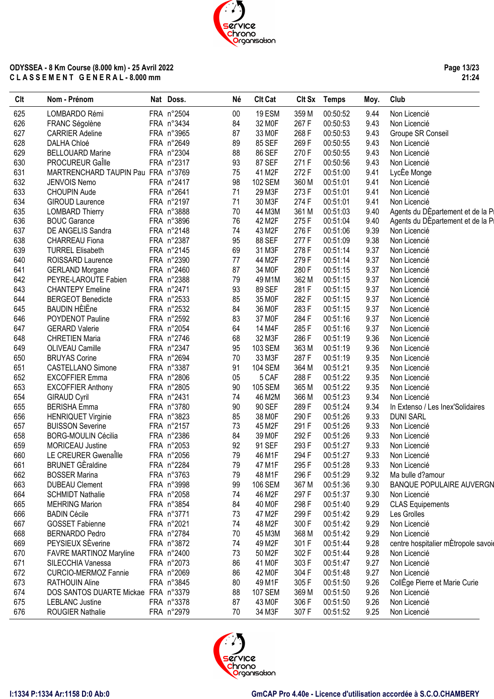

**Page 13/23 21:24**

| LOMBARDO Rémi<br>FRA n°2504<br>19 ESM<br>359 M<br>Non Licencié<br>625<br>$00\,$<br>00:50:52<br>9.44<br>267 F<br>FRA n°3434<br>84<br>9.43<br>626<br>FRANC Ségolène<br>32 MOF<br>00:50:53<br>Non Licencié<br>627<br>FRA n°3965<br>268 F<br>00:50:53<br>9.43<br><b>CARRIER Adeline</b><br>87<br>33 MOF<br>Groupe SR Conseil<br>628<br>FRA n°2649<br>89<br>269F<br>9.43<br>DALHA Chloé<br>85 SEF<br>00:50:55<br>Non Licencié<br>629<br><b>BELLOUARD Marine</b><br>FRA n°2304<br>86 SEF<br>270 F<br>00:50:55<br>9.43<br>88<br>Non Licencié<br>FRA n°2317<br>630<br><b>PROCUREUR Galle</b><br>93<br>87 SEF<br>271F<br>00:50:56<br>9.43<br>Non Licencié<br>75<br>272F<br>631<br>MARTRENCHARD TAUPIN Pau FRA n°3769<br>9.41<br>LycEe Monge<br>41 M2F<br>00:51:00<br>632<br>FRA n°2417<br>98<br>360 M<br>JENVOIS Nemo<br><b>102 SEM</b><br>00:51:01<br>9.41<br>Non Licencié<br>633<br>71<br>273F<br>FRA n°2641<br>29 M3F<br>9.41<br><b>CHOUPIN Aude</b><br>00:51:01<br>Non Licencié<br>634<br>FRA n°2197<br>71<br>274 F<br>9.41<br>GIROUD Laurence<br>30 M3F<br>00:51:01<br>Non Licencié<br>635<br>FRA n°3888<br>70<br>361 M<br>9.40<br>Agents du DÈpartement et de la Pi<br><b>LOMBARD Thierry</b><br>44 M3M<br>00:51:03<br>636<br>FRA n°3896<br>76<br>275F<br>9.40<br><b>BOUC Garance</b><br>42 M2F<br>00:51:04<br>Agents du DÉpartement et de la Pi<br>637<br>FRA n°2148<br>74<br>276 F<br>00:51:06<br>9.39<br>Non Licencié<br>DE ANGELIS Sandra<br>43 M2F<br>FRA n°2387<br>277F<br>9.38<br>Non Licencié<br>638<br><b>CHARREAU Fiona</b><br>95<br>88 SEF<br>00:51:09<br>278 F<br>639<br>FRA n°2145<br><b>TURREL Elisabeth</b><br>69<br>31 M3F<br>00:51:14<br>9.37<br>Non Licencié<br>279F<br>640<br>FRA n°2390<br>77<br>00:51:14<br>9.37<br>ROISSARD Laurence<br>44 M2F<br>Non Licencié<br>641<br>FRA n°2460<br>87<br>280 F<br>00:51:15<br>9.37<br><b>GERLAND Morgane</b><br>34 M <sub>OF</sub><br>Non Licencié<br>642<br>362 M<br>PEYRE-LAROUTE Fabien<br>FRA n°2388<br>79<br>49 M1M<br>00:51:15<br>9.37<br>Non Licencié<br>643<br>FRA n°2471<br>93<br>89 SEF<br>281 F<br>9.37<br><b>CHANTEPY Emeline</b><br>00:51:15<br>Non Licencié<br>85<br>282F<br>9.37<br>644<br><b>BERGEOT Benedicte</b><br>FRA n°2533<br>35 M <sub>OF</sub><br>00:51:15<br>Non Licencié<br><b>BAUDIN HÈIËne</b><br>645<br>84<br>283 F<br>9.37<br>FRA n°2532<br>36 M <sub>OF</sub><br>00:51:15<br>Non Licencié<br>646<br>83<br>284 F<br>9.37<br>POYDENOT Pauline<br>FRA n°2592<br>37 M0F<br>00:51:16<br>Non Licencié<br>FRA n°2054<br>64<br>285F<br>9.37<br>647<br><b>GERARD Valerie</b><br>14 M4F<br>00:51:16<br>Non Licencié<br>286 F<br>648<br>FRA n°2746<br>68<br>00:51:19<br>9.36<br><b>CHRETIEN Maria</b><br>32 M3F<br>Non Licencié<br>649<br>FRA n°2347<br>95<br>363 M<br>00:51:19<br>9.36<br>OLIVEAU Camille<br>103 SEM<br>Non Licencié<br>FRA n°2694<br>287F<br>650<br><b>BRUYAS Corine</b><br>70<br>33 M3F<br>00:51:19<br>9.35<br>Non Licencié<br>FRA n°3387<br>91<br><b>104 SEM</b><br>364 M<br>9.35<br>651<br><b>CASTELLANO Simone</b><br>00:51:21<br>Non Licencié<br>652<br>FRA n°2806<br>05<br>5 CAF<br>288 F<br>00:51:22<br>9.35<br><b>EXCOFFIER Emma</b><br>Non Licencié<br>653<br>FRA n°2805<br>365 M<br>9.35<br><b>EXCOFFIER Anthony</b><br>90<br><b>105 SEM</b><br>00:51:22<br>Non Licencié<br>654<br>FRA n°2431<br>74<br>46 M2M<br>366 M<br>00:51:23<br>9.34<br><b>GIRAUD Cyril</b><br>Non Licencié<br>655<br><b>BERISHA Emma</b><br>FRA n°3780<br>90<br>289F<br>9.34<br>90 SEF<br>00:51:24<br>In Extenso / Les Inex'Solidaires<br>656<br>FRA n°3823<br>85<br>38 M0F<br>290 F<br>9.33<br><b>DUNI SARL</b><br><b>HENRIQUET Virginie</b><br>00:51:26<br>FRA n°2157<br>73<br>291 F<br>657<br><b>BUISSON Severine</b><br>45 M2F<br>00:51:26<br>9.33<br>Non Licencié<br>FRA n°2386<br>658<br><b>BORG-MOULIN Cécilia</b><br>84<br>292 F<br>39 M <sub>OF</sub><br>00:51:26<br>9.33<br>Non Licencié<br>659<br>MORICEAU Justine<br>FRA n°2053<br>293 F<br>92<br>91 SEF<br>00:51:27<br>9.33<br>Non Licencié<br>660<br>LE CREURER Gwenalle<br>FRA n°2056<br>79<br>46 M1F<br>294 F<br>00:51:27<br>9.33<br>Non Licencié<br>661<br><b>BRUNET GÈraldine</b><br>FRA n°2284<br>79<br>47 M1F<br>295F<br>00:51:28<br>9.33<br>Non Licencié<br><b>BOSSER Marina</b><br>FRA n°3763<br>79<br>48 M1F<br>296 F<br>00:51:29<br>9.32<br>Ma bulle d?amour<br>662<br>663<br><b>DUBEAU Clement</b><br>FRA n°3998<br>99<br>106 SEM<br>367 M<br>00:51:36<br>9.30<br><b>BANQUE POPULAIRE AUVERGN</b><br>297 F<br><b>SCHMIDT Nathalie</b><br>FRA n°2058<br>74<br>46 M2F<br>00:51:37<br>9.30<br>Non Licencié<br>664<br>298 F<br>FRA n°3854<br>84<br>40 M0F<br>00:51:40<br>9.29<br><b>CLAS Equipements</b><br>665<br><b>MEHRING Marion</b><br>299F<br>666<br><b>BADIN Cécile</b><br>FRA n°3771<br>73<br>47 M2F<br>00:51:42<br>9.29<br>Les Grolles<br>300 F<br>9.29<br>667<br><b>GOSSET Fabienne</b><br>FRA n°2021<br>74<br>48 M2F<br>00:51:42<br>Non Licencié<br>668<br><b>BERNARDO Pedro</b><br>FRA n°2784<br>70<br>45 M3M<br>368 M<br>00:51:42<br>9.29<br>Non Licencié<br>PEYSIEUX SEverine<br>669<br>FRA n°3872<br>74<br>49 M2F<br>301 F<br>00:51:44<br>9.28<br>302 F<br>670<br><b>FAVRE MARTINOZ Maryline</b><br>FRA n°2400<br>73<br>50 M2F<br>00:51:44<br>9.28<br>Non Licencié<br>86<br>303 F<br>FRA n°2073<br>41 M <sub>OF</sub><br>00:51:47<br>9.27<br>Non Licencié<br>671<br>SILECCHIA Vanessa<br>86<br>304 F<br>672<br><b>CURCIO-MERMOZ Fannie</b><br>FRA n°2069<br>42 M0F<br>00:51:48<br>9.27<br>Non Licencié<br>305F<br>9.26<br>CollEge Pierre et Marie Curie<br>RATHOUIN Aline<br>FRA n°3845<br>80<br>49 M1F<br>00:51:50<br>673<br>674<br>DOS SANTOS DUARTE Mickael FRA n°3379<br>88<br><b>107 SEM</b><br>369 M<br>00:51:50<br>9.26<br>Non Licencié<br>FRA n°3378<br>306 F<br>9.26<br>675<br><b>LEBLANC Justine</b><br>87<br>43 MOF<br>00:51:50<br>Non Licencié<br>FRA n°2979<br>307 F<br>676<br>ROUGIER Nathalie<br>70<br>34 M3F<br>00:51:52<br>9.25<br>Non Licencié | Clt | Nom - Prénom | Nat Doss. | Né | <b>Clt Cat</b> | Clt Sx Temps | Moy. | Club                                |
|------------------------------------------------------------------------------------------------------------------------------------------------------------------------------------------------------------------------------------------------------------------------------------------------------------------------------------------------------------------------------------------------------------------------------------------------------------------------------------------------------------------------------------------------------------------------------------------------------------------------------------------------------------------------------------------------------------------------------------------------------------------------------------------------------------------------------------------------------------------------------------------------------------------------------------------------------------------------------------------------------------------------------------------------------------------------------------------------------------------------------------------------------------------------------------------------------------------------------------------------------------------------------------------------------------------------------------------------------------------------------------------------------------------------------------------------------------------------------------------------------------------------------------------------------------------------------------------------------------------------------------------------------------------------------------------------------------------------------------------------------------------------------------------------------------------------------------------------------------------------------------------------------------------------------------------------------------------------------------------------------------------------------------------------------------------------------------------------------------------------------------------------------------------------------------------------------------------------------------------------------------------------------------------------------------------------------------------------------------------------------------------------------------------------------------------------------------------------------------------------------------------------------------------------------------------------------------------------------------------------------------------------------------------------------------------------------------------------------------------------------------------------------------------------------------------------------------------------------------------------------------------------------------------------------------------------------------------------------------------------------------------------------------------------------------------------------------------------------------------------------------------------------------------------------------------------------------------------------------------------------------------------------------------------------------------------------------------------------------------------------------------------------------------------------------------------------------------------------------------------------------------------------------------------------------------------------------------------------------------------------------------------------------------------------------------------------------------------------------------------------------------------------------------------------------------------------------------------------------------------------------------------------------------------------------------------------------------------------------------------------------------------------------------------------------------------------------------------------------------------------------------------------------------------------------------------------------------------------------------------------------------------------------------------------------------------------------------------------------------------------------------------------------------------------------------------------------------------------------------------------------------------------------------------------------------------------------------------------------------------------------------------------------------------------------------------------------------------------------------------------------------------------------------------------------------------------------------------------------------------------------------------------------------------------------------------------------------------------------------------------------------------------------------------------------------------------------------------------------------------------------------------------------------------------------------------------------------------------------------------------------------------------------------------------------------------------------------------------------------------------------------------------------------------------------------------------------------------------------------------------------------------------------------------------------------------------------------------------------------------------------------------------------------------------------------------------------------------------------------------------------------------------------------------------------------------------------------------------------------------------------------------------------------------------------|-----|--------------|-----------|----|----------------|--------------|------|-------------------------------------|
|                                                                                                                                                                                                                                                                                                                                                                                                                                                                                                                                                                                                                                                                                                                                                                                                                                                                                                                                                                                                                                                                                                                                                                                                                                                                                                                                                                                                                                                                                                                                                                                                                                                                                                                                                                                                                                                                                                                                                                                                                                                                                                                                                                                                                                                                                                                                                                                                                                                                                                                                                                                                                                                                                                                                                                                                                                                                                                                                                                                                                                                                                                                                                                                                                                                                                                                                                                                                                                                                                                                                                                                                                                                                                                                                                                                                                                                                                                                                                                                                                                                                                                                                                                                                                                                                                                                                                                                                                                                                                                                                                                                                                                                                                                                                                                                                                                                                                                                                                                                                                                                                                                                                                                                                                                                                                                                                                                                                                                                                                                                                                                                                                                                                                                                                                                                                                                                                                                                                    |     |              |           |    |                |              |      |                                     |
|                                                                                                                                                                                                                                                                                                                                                                                                                                                                                                                                                                                                                                                                                                                                                                                                                                                                                                                                                                                                                                                                                                                                                                                                                                                                                                                                                                                                                                                                                                                                                                                                                                                                                                                                                                                                                                                                                                                                                                                                                                                                                                                                                                                                                                                                                                                                                                                                                                                                                                                                                                                                                                                                                                                                                                                                                                                                                                                                                                                                                                                                                                                                                                                                                                                                                                                                                                                                                                                                                                                                                                                                                                                                                                                                                                                                                                                                                                                                                                                                                                                                                                                                                                                                                                                                                                                                                                                                                                                                                                                                                                                                                                                                                                                                                                                                                                                                                                                                                                                                                                                                                                                                                                                                                                                                                                                                                                                                                                                                                                                                                                                                                                                                                                                                                                                                                                                                                                                                    |     |              |           |    |                |              |      |                                     |
|                                                                                                                                                                                                                                                                                                                                                                                                                                                                                                                                                                                                                                                                                                                                                                                                                                                                                                                                                                                                                                                                                                                                                                                                                                                                                                                                                                                                                                                                                                                                                                                                                                                                                                                                                                                                                                                                                                                                                                                                                                                                                                                                                                                                                                                                                                                                                                                                                                                                                                                                                                                                                                                                                                                                                                                                                                                                                                                                                                                                                                                                                                                                                                                                                                                                                                                                                                                                                                                                                                                                                                                                                                                                                                                                                                                                                                                                                                                                                                                                                                                                                                                                                                                                                                                                                                                                                                                                                                                                                                                                                                                                                                                                                                                                                                                                                                                                                                                                                                                                                                                                                                                                                                                                                                                                                                                                                                                                                                                                                                                                                                                                                                                                                                                                                                                                                                                                                                                                    |     |              |           |    |                |              |      |                                     |
|                                                                                                                                                                                                                                                                                                                                                                                                                                                                                                                                                                                                                                                                                                                                                                                                                                                                                                                                                                                                                                                                                                                                                                                                                                                                                                                                                                                                                                                                                                                                                                                                                                                                                                                                                                                                                                                                                                                                                                                                                                                                                                                                                                                                                                                                                                                                                                                                                                                                                                                                                                                                                                                                                                                                                                                                                                                                                                                                                                                                                                                                                                                                                                                                                                                                                                                                                                                                                                                                                                                                                                                                                                                                                                                                                                                                                                                                                                                                                                                                                                                                                                                                                                                                                                                                                                                                                                                                                                                                                                                                                                                                                                                                                                                                                                                                                                                                                                                                                                                                                                                                                                                                                                                                                                                                                                                                                                                                                                                                                                                                                                                                                                                                                                                                                                                                                                                                                                                                    |     |              |           |    |                |              |      |                                     |
|                                                                                                                                                                                                                                                                                                                                                                                                                                                                                                                                                                                                                                                                                                                                                                                                                                                                                                                                                                                                                                                                                                                                                                                                                                                                                                                                                                                                                                                                                                                                                                                                                                                                                                                                                                                                                                                                                                                                                                                                                                                                                                                                                                                                                                                                                                                                                                                                                                                                                                                                                                                                                                                                                                                                                                                                                                                                                                                                                                                                                                                                                                                                                                                                                                                                                                                                                                                                                                                                                                                                                                                                                                                                                                                                                                                                                                                                                                                                                                                                                                                                                                                                                                                                                                                                                                                                                                                                                                                                                                                                                                                                                                                                                                                                                                                                                                                                                                                                                                                                                                                                                                                                                                                                                                                                                                                                                                                                                                                                                                                                                                                                                                                                                                                                                                                                                                                                                                                                    |     |              |           |    |                |              |      |                                     |
|                                                                                                                                                                                                                                                                                                                                                                                                                                                                                                                                                                                                                                                                                                                                                                                                                                                                                                                                                                                                                                                                                                                                                                                                                                                                                                                                                                                                                                                                                                                                                                                                                                                                                                                                                                                                                                                                                                                                                                                                                                                                                                                                                                                                                                                                                                                                                                                                                                                                                                                                                                                                                                                                                                                                                                                                                                                                                                                                                                                                                                                                                                                                                                                                                                                                                                                                                                                                                                                                                                                                                                                                                                                                                                                                                                                                                                                                                                                                                                                                                                                                                                                                                                                                                                                                                                                                                                                                                                                                                                                                                                                                                                                                                                                                                                                                                                                                                                                                                                                                                                                                                                                                                                                                                                                                                                                                                                                                                                                                                                                                                                                                                                                                                                                                                                                                                                                                                                                                    |     |              |           |    |                |              |      |                                     |
|                                                                                                                                                                                                                                                                                                                                                                                                                                                                                                                                                                                                                                                                                                                                                                                                                                                                                                                                                                                                                                                                                                                                                                                                                                                                                                                                                                                                                                                                                                                                                                                                                                                                                                                                                                                                                                                                                                                                                                                                                                                                                                                                                                                                                                                                                                                                                                                                                                                                                                                                                                                                                                                                                                                                                                                                                                                                                                                                                                                                                                                                                                                                                                                                                                                                                                                                                                                                                                                                                                                                                                                                                                                                                                                                                                                                                                                                                                                                                                                                                                                                                                                                                                                                                                                                                                                                                                                                                                                                                                                                                                                                                                                                                                                                                                                                                                                                                                                                                                                                                                                                                                                                                                                                                                                                                                                                                                                                                                                                                                                                                                                                                                                                                                                                                                                                                                                                                                                                    |     |              |           |    |                |              |      |                                     |
|                                                                                                                                                                                                                                                                                                                                                                                                                                                                                                                                                                                                                                                                                                                                                                                                                                                                                                                                                                                                                                                                                                                                                                                                                                                                                                                                                                                                                                                                                                                                                                                                                                                                                                                                                                                                                                                                                                                                                                                                                                                                                                                                                                                                                                                                                                                                                                                                                                                                                                                                                                                                                                                                                                                                                                                                                                                                                                                                                                                                                                                                                                                                                                                                                                                                                                                                                                                                                                                                                                                                                                                                                                                                                                                                                                                                                                                                                                                                                                                                                                                                                                                                                                                                                                                                                                                                                                                                                                                                                                                                                                                                                                                                                                                                                                                                                                                                                                                                                                                                                                                                                                                                                                                                                                                                                                                                                                                                                                                                                                                                                                                                                                                                                                                                                                                                                                                                                                                                    |     |              |           |    |                |              |      |                                     |
|                                                                                                                                                                                                                                                                                                                                                                                                                                                                                                                                                                                                                                                                                                                                                                                                                                                                                                                                                                                                                                                                                                                                                                                                                                                                                                                                                                                                                                                                                                                                                                                                                                                                                                                                                                                                                                                                                                                                                                                                                                                                                                                                                                                                                                                                                                                                                                                                                                                                                                                                                                                                                                                                                                                                                                                                                                                                                                                                                                                                                                                                                                                                                                                                                                                                                                                                                                                                                                                                                                                                                                                                                                                                                                                                                                                                                                                                                                                                                                                                                                                                                                                                                                                                                                                                                                                                                                                                                                                                                                                                                                                                                                                                                                                                                                                                                                                                                                                                                                                                                                                                                                                                                                                                                                                                                                                                                                                                                                                                                                                                                                                                                                                                                                                                                                                                                                                                                                                                    |     |              |           |    |                |              |      |                                     |
|                                                                                                                                                                                                                                                                                                                                                                                                                                                                                                                                                                                                                                                                                                                                                                                                                                                                                                                                                                                                                                                                                                                                                                                                                                                                                                                                                                                                                                                                                                                                                                                                                                                                                                                                                                                                                                                                                                                                                                                                                                                                                                                                                                                                                                                                                                                                                                                                                                                                                                                                                                                                                                                                                                                                                                                                                                                                                                                                                                                                                                                                                                                                                                                                                                                                                                                                                                                                                                                                                                                                                                                                                                                                                                                                                                                                                                                                                                                                                                                                                                                                                                                                                                                                                                                                                                                                                                                                                                                                                                                                                                                                                                                                                                                                                                                                                                                                                                                                                                                                                                                                                                                                                                                                                                                                                                                                                                                                                                                                                                                                                                                                                                                                                                                                                                                                                                                                                                                                    |     |              |           |    |                |              |      |                                     |
|                                                                                                                                                                                                                                                                                                                                                                                                                                                                                                                                                                                                                                                                                                                                                                                                                                                                                                                                                                                                                                                                                                                                                                                                                                                                                                                                                                                                                                                                                                                                                                                                                                                                                                                                                                                                                                                                                                                                                                                                                                                                                                                                                                                                                                                                                                                                                                                                                                                                                                                                                                                                                                                                                                                                                                                                                                                                                                                                                                                                                                                                                                                                                                                                                                                                                                                                                                                                                                                                                                                                                                                                                                                                                                                                                                                                                                                                                                                                                                                                                                                                                                                                                                                                                                                                                                                                                                                                                                                                                                                                                                                                                                                                                                                                                                                                                                                                                                                                                                                                                                                                                                                                                                                                                                                                                                                                                                                                                                                                                                                                                                                                                                                                                                                                                                                                                                                                                                                                    |     |              |           |    |                |              |      |                                     |
|                                                                                                                                                                                                                                                                                                                                                                                                                                                                                                                                                                                                                                                                                                                                                                                                                                                                                                                                                                                                                                                                                                                                                                                                                                                                                                                                                                                                                                                                                                                                                                                                                                                                                                                                                                                                                                                                                                                                                                                                                                                                                                                                                                                                                                                                                                                                                                                                                                                                                                                                                                                                                                                                                                                                                                                                                                                                                                                                                                                                                                                                                                                                                                                                                                                                                                                                                                                                                                                                                                                                                                                                                                                                                                                                                                                                                                                                                                                                                                                                                                                                                                                                                                                                                                                                                                                                                                                                                                                                                                                                                                                                                                                                                                                                                                                                                                                                                                                                                                                                                                                                                                                                                                                                                                                                                                                                                                                                                                                                                                                                                                                                                                                                                                                                                                                                                                                                                                                                    |     |              |           |    |                |              |      |                                     |
|                                                                                                                                                                                                                                                                                                                                                                                                                                                                                                                                                                                                                                                                                                                                                                                                                                                                                                                                                                                                                                                                                                                                                                                                                                                                                                                                                                                                                                                                                                                                                                                                                                                                                                                                                                                                                                                                                                                                                                                                                                                                                                                                                                                                                                                                                                                                                                                                                                                                                                                                                                                                                                                                                                                                                                                                                                                                                                                                                                                                                                                                                                                                                                                                                                                                                                                                                                                                                                                                                                                                                                                                                                                                                                                                                                                                                                                                                                                                                                                                                                                                                                                                                                                                                                                                                                                                                                                                                                                                                                                                                                                                                                                                                                                                                                                                                                                                                                                                                                                                                                                                                                                                                                                                                                                                                                                                                                                                                                                                                                                                                                                                                                                                                                                                                                                                                                                                                                                                    |     |              |           |    |                |              |      |                                     |
|                                                                                                                                                                                                                                                                                                                                                                                                                                                                                                                                                                                                                                                                                                                                                                                                                                                                                                                                                                                                                                                                                                                                                                                                                                                                                                                                                                                                                                                                                                                                                                                                                                                                                                                                                                                                                                                                                                                                                                                                                                                                                                                                                                                                                                                                                                                                                                                                                                                                                                                                                                                                                                                                                                                                                                                                                                                                                                                                                                                                                                                                                                                                                                                                                                                                                                                                                                                                                                                                                                                                                                                                                                                                                                                                                                                                                                                                                                                                                                                                                                                                                                                                                                                                                                                                                                                                                                                                                                                                                                                                                                                                                                                                                                                                                                                                                                                                                                                                                                                                                                                                                                                                                                                                                                                                                                                                                                                                                                                                                                                                                                                                                                                                                                                                                                                                                                                                                                                                    |     |              |           |    |                |              |      |                                     |
|                                                                                                                                                                                                                                                                                                                                                                                                                                                                                                                                                                                                                                                                                                                                                                                                                                                                                                                                                                                                                                                                                                                                                                                                                                                                                                                                                                                                                                                                                                                                                                                                                                                                                                                                                                                                                                                                                                                                                                                                                                                                                                                                                                                                                                                                                                                                                                                                                                                                                                                                                                                                                                                                                                                                                                                                                                                                                                                                                                                                                                                                                                                                                                                                                                                                                                                                                                                                                                                                                                                                                                                                                                                                                                                                                                                                                                                                                                                                                                                                                                                                                                                                                                                                                                                                                                                                                                                                                                                                                                                                                                                                                                                                                                                                                                                                                                                                                                                                                                                                                                                                                                                                                                                                                                                                                                                                                                                                                                                                                                                                                                                                                                                                                                                                                                                                                                                                                                                                    |     |              |           |    |                |              |      |                                     |
|                                                                                                                                                                                                                                                                                                                                                                                                                                                                                                                                                                                                                                                                                                                                                                                                                                                                                                                                                                                                                                                                                                                                                                                                                                                                                                                                                                                                                                                                                                                                                                                                                                                                                                                                                                                                                                                                                                                                                                                                                                                                                                                                                                                                                                                                                                                                                                                                                                                                                                                                                                                                                                                                                                                                                                                                                                                                                                                                                                                                                                                                                                                                                                                                                                                                                                                                                                                                                                                                                                                                                                                                                                                                                                                                                                                                                                                                                                                                                                                                                                                                                                                                                                                                                                                                                                                                                                                                                                                                                                                                                                                                                                                                                                                                                                                                                                                                                                                                                                                                                                                                                                                                                                                                                                                                                                                                                                                                                                                                                                                                                                                                                                                                                                                                                                                                                                                                                                                                    |     |              |           |    |                |              |      |                                     |
|                                                                                                                                                                                                                                                                                                                                                                                                                                                                                                                                                                                                                                                                                                                                                                                                                                                                                                                                                                                                                                                                                                                                                                                                                                                                                                                                                                                                                                                                                                                                                                                                                                                                                                                                                                                                                                                                                                                                                                                                                                                                                                                                                                                                                                                                                                                                                                                                                                                                                                                                                                                                                                                                                                                                                                                                                                                                                                                                                                                                                                                                                                                                                                                                                                                                                                                                                                                                                                                                                                                                                                                                                                                                                                                                                                                                                                                                                                                                                                                                                                                                                                                                                                                                                                                                                                                                                                                                                                                                                                                                                                                                                                                                                                                                                                                                                                                                                                                                                                                                                                                                                                                                                                                                                                                                                                                                                                                                                                                                                                                                                                                                                                                                                                                                                                                                                                                                                                                                    |     |              |           |    |                |              |      |                                     |
|                                                                                                                                                                                                                                                                                                                                                                                                                                                                                                                                                                                                                                                                                                                                                                                                                                                                                                                                                                                                                                                                                                                                                                                                                                                                                                                                                                                                                                                                                                                                                                                                                                                                                                                                                                                                                                                                                                                                                                                                                                                                                                                                                                                                                                                                                                                                                                                                                                                                                                                                                                                                                                                                                                                                                                                                                                                                                                                                                                                                                                                                                                                                                                                                                                                                                                                                                                                                                                                                                                                                                                                                                                                                                                                                                                                                                                                                                                                                                                                                                                                                                                                                                                                                                                                                                                                                                                                                                                                                                                                                                                                                                                                                                                                                                                                                                                                                                                                                                                                                                                                                                                                                                                                                                                                                                                                                                                                                                                                                                                                                                                                                                                                                                                                                                                                                                                                                                                                                    |     |              |           |    |                |              |      |                                     |
|                                                                                                                                                                                                                                                                                                                                                                                                                                                                                                                                                                                                                                                                                                                                                                                                                                                                                                                                                                                                                                                                                                                                                                                                                                                                                                                                                                                                                                                                                                                                                                                                                                                                                                                                                                                                                                                                                                                                                                                                                                                                                                                                                                                                                                                                                                                                                                                                                                                                                                                                                                                                                                                                                                                                                                                                                                                                                                                                                                                                                                                                                                                                                                                                                                                                                                                                                                                                                                                                                                                                                                                                                                                                                                                                                                                                                                                                                                                                                                                                                                                                                                                                                                                                                                                                                                                                                                                                                                                                                                                                                                                                                                                                                                                                                                                                                                                                                                                                                                                                                                                                                                                                                                                                                                                                                                                                                                                                                                                                                                                                                                                                                                                                                                                                                                                                                                                                                                                                    |     |              |           |    |                |              |      |                                     |
|                                                                                                                                                                                                                                                                                                                                                                                                                                                                                                                                                                                                                                                                                                                                                                                                                                                                                                                                                                                                                                                                                                                                                                                                                                                                                                                                                                                                                                                                                                                                                                                                                                                                                                                                                                                                                                                                                                                                                                                                                                                                                                                                                                                                                                                                                                                                                                                                                                                                                                                                                                                                                                                                                                                                                                                                                                                                                                                                                                                                                                                                                                                                                                                                                                                                                                                                                                                                                                                                                                                                                                                                                                                                                                                                                                                                                                                                                                                                                                                                                                                                                                                                                                                                                                                                                                                                                                                                                                                                                                                                                                                                                                                                                                                                                                                                                                                                                                                                                                                                                                                                                                                                                                                                                                                                                                                                                                                                                                                                                                                                                                                                                                                                                                                                                                                                                                                                                                                                    |     |              |           |    |                |              |      |                                     |
|                                                                                                                                                                                                                                                                                                                                                                                                                                                                                                                                                                                                                                                                                                                                                                                                                                                                                                                                                                                                                                                                                                                                                                                                                                                                                                                                                                                                                                                                                                                                                                                                                                                                                                                                                                                                                                                                                                                                                                                                                                                                                                                                                                                                                                                                                                                                                                                                                                                                                                                                                                                                                                                                                                                                                                                                                                                                                                                                                                                                                                                                                                                                                                                                                                                                                                                                                                                                                                                                                                                                                                                                                                                                                                                                                                                                                                                                                                                                                                                                                                                                                                                                                                                                                                                                                                                                                                                                                                                                                                                                                                                                                                                                                                                                                                                                                                                                                                                                                                                                                                                                                                                                                                                                                                                                                                                                                                                                                                                                                                                                                                                                                                                                                                                                                                                                                                                                                                                                    |     |              |           |    |                |              |      |                                     |
|                                                                                                                                                                                                                                                                                                                                                                                                                                                                                                                                                                                                                                                                                                                                                                                                                                                                                                                                                                                                                                                                                                                                                                                                                                                                                                                                                                                                                                                                                                                                                                                                                                                                                                                                                                                                                                                                                                                                                                                                                                                                                                                                                                                                                                                                                                                                                                                                                                                                                                                                                                                                                                                                                                                                                                                                                                                                                                                                                                                                                                                                                                                                                                                                                                                                                                                                                                                                                                                                                                                                                                                                                                                                                                                                                                                                                                                                                                                                                                                                                                                                                                                                                                                                                                                                                                                                                                                                                                                                                                                                                                                                                                                                                                                                                                                                                                                                                                                                                                                                                                                                                                                                                                                                                                                                                                                                                                                                                                                                                                                                                                                                                                                                                                                                                                                                                                                                                                                                    |     |              |           |    |                |              |      |                                     |
|                                                                                                                                                                                                                                                                                                                                                                                                                                                                                                                                                                                                                                                                                                                                                                                                                                                                                                                                                                                                                                                                                                                                                                                                                                                                                                                                                                                                                                                                                                                                                                                                                                                                                                                                                                                                                                                                                                                                                                                                                                                                                                                                                                                                                                                                                                                                                                                                                                                                                                                                                                                                                                                                                                                                                                                                                                                                                                                                                                                                                                                                                                                                                                                                                                                                                                                                                                                                                                                                                                                                                                                                                                                                                                                                                                                                                                                                                                                                                                                                                                                                                                                                                                                                                                                                                                                                                                                                                                                                                                                                                                                                                                                                                                                                                                                                                                                                                                                                                                                                                                                                                                                                                                                                                                                                                                                                                                                                                                                                                                                                                                                                                                                                                                                                                                                                                                                                                                                                    |     |              |           |    |                |              |      |                                     |
|                                                                                                                                                                                                                                                                                                                                                                                                                                                                                                                                                                                                                                                                                                                                                                                                                                                                                                                                                                                                                                                                                                                                                                                                                                                                                                                                                                                                                                                                                                                                                                                                                                                                                                                                                                                                                                                                                                                                                                                                                                                                                                                                                                                                                                                                                                                                                                                                                                                                                                                                                                                                                                                                                                                                                                                                                                                                                                                                                                                                                                                                                                                                                                                                                                                                                                                                                                                                                                                                                                                                                                                                                                                                                                                                                                                                                                                                                                                                                                                                                                                                                                                                                                                                                                                                                                                                                                                                                                                                                                                                                                                                                                                                                                                                                                                                                                                                                                                                                                                                                                                                                                                                                                                                                                                                                                                                                                                                                                                                                                                                                                                                                                                                                                                                                                                                                                                                                                                                    |     |              |           |    |                |              |      |                                     |
|                                                                                                                                                                                                                                                                                                                                                                                                                                                                                                                                                                                                                                                                                                                                                                                                                                                                                                                                                                                                                                                                                                                                                                                                                                                                                                                                                                                                                                                                                                                                                                                                                                                                                                                                                                                                                                                                                                                                                                                                                                                                                                                                                                                                                                                                                                                                                                                                                                                                                                                                                                                                                                                                                                                                                                                                                                                                                                                                                                                                                                                                                                                                                                                                                                                                                                                                                                                                                                                                                                                                                                                                                                                                                                                                                                                                                                                                                                                                                                                                                                                                                                                                                                                                                                                                                                                                                                                                                                                                                                                                                                                                                                                                                                                                                                                                                                                                                                                                                                                                                                                                                                                                                                                                                                                                                                                                                                                                                                                                                                                                                                                                                                                                                                                                                                                                                                                                                                                                    |     |              |           |    |                |              |      |                                     |
|                                                                                                                                                                                                                                                                                                                                                                                                                                                                                                                                                                                                                                                                                                                                                                                                                                                                                                                                                                                                                                                                                                                                                                                                                                                                                                                                                                                                                                                                                                                                                                                                                                                                                                                                                                                                                                                                                                                                                                                                                                                                                                                                                                                                                                                                                                                                                                                                                                                                                                                                                                                                                                                                                                                                                                                                                                                                                                                                                                                                                                                                                                                                                                                                                                                                                                                                                                                                                                                                                                                                                                                                                                                                                                                                                                                                                                                                                                                                                                                                                                                                                                                                                                                                                                                                                                                                                                                                                                                                                                                                                                                                                                                                                                                                                                                                                                                                                                                                                                                                                                                                                                                                                                                                                                                                                                                                                                                                                                                                                                                                                                                                                                                                                                                                                                                                                                                                                                                                    |     |              |           |    |                |              |      |                                     |
|                                                                                                                                                                                                                                                                                                                                                                                                                                                                                                                                                                                                                                                                                                                                                                                                                                                                                                                                                                                                                                                                                                                                                                                                                                                                                                                                                                                                                                                                                                                                                                                                                                                                                                                                                                                                                                                                                                                                                                                                                                                                                                                                                                                                                                                                                                                                                                                                                                                                                                                                                                                                                                                                                                                                                                                                                                                                                                                                                                                                                                                                                                                                                                                                                                                                                                                                                                                                                                                                                                                                                                                                                                                                                                                                                                                                                                                                                                                                                                                                                                                                                                                                                                                                                                                                                                                                                                                                                                                                                                                                                                                                                                                                                                                                                                                                                                                                                                                                                                                                                                                                                                                                                                                                                                                                                                                                                                                                                                                                                                                                                                                                                                                                                                                                                                                                                                                                                                                                    |     |              |           |    |                |              |      |                                     |
|                                                                                                                                                                                                                                                                                                                                                                                                                                                                                                                                                                                                                                                                                                                                                                                                                                                                                                                                                                                                                                                                                                                                                                                                                                                                                                                                                                                                                                                                                                                                                                                                                                                                                                                                                                                                                                                                                                                                                                                                                                                                                                                                                                                                                                                                                                                                                                                                                                                                                                                                                                                                                                                                                                                                                                                                                                                                                                                                                                                                                                                                                                                                                                                                                                                                                                                                                                                                                                                                                                                                                                                                                                                                                                                                                                                                                                                                                                                                                                                                                                                                                                                                                                                                                                                                                                                                                                                                                                                                                                                                                                                                                                                                                                                                                                                                                                                                                                                                                                                                                                                                                                                                                                                                                                                                                                                                                                                                                                                                                                                                                                                                                                                                                                                                                                                                                                                                                                                                    |     |              |           |    |                |              |      |                                     |
|                                                                                                                                                                                                                                                                                                                                                                                                                                                                                                                                                                                                                                                                                                                                                                                                                                                                                                                                                                                                                                                                                                                                                                                                                                                                                                                                                                                                                                                                                                                                                                                                                                                                                                                                                                                                                                                                                                                                                                                                                                                                                                                                                                                                                                                                                                                                                                                                                                                                                                                                                                                                                                                                                                                                                                                                                                                                                                                                                                                                                                                                                                                                                                                                                                                                                                                                                                                                                                                                                                                                                                                                                                                                                                                                                                                                                                                                                                                                                                                                                                                                                                                                                                                                                                                                                                                                                                                                                                                                                                                                                                                                                                                                                                                                                                                                                                                                                                                                                                                                                                                                                                                                                                                                                                                                                                                                                                                                                                                                                                                                                                                                                                                                                                                                                                                                                                                                                                                                    |     |              |           |    |                |              |      |                                     |
|                                                                                                                                                                                                                                                                                                                                                                                                                                                                                                                                                                                                                                                                                                                                                                                                                                                                                                                                                                                                                                                                                                                                                                                                                                                                                                                                                                                                                                                                                                                                                                                                                                                                                                                                                                                                                                                                                                                                                                                                                                                                                                                                                                                                                                                                                                                                                                                                                                                                                                                                                                                                                                                                                                                                                                                                                                                                                                                                                                                                                                                                                                                                                                                                                                                                                                                                                                                                                                                                                                                                                                                                                                                                                                                                                                                                                                                                                                                                                                                                                                                                                                                                                                                                                                                                                                                                                                                                                                                                                                                                                                                                                                                                                                                                                                                                                                                                                                                                                                                                                                                                                                                                                                                                                                                                                                                                                                                                                                                                                                                                                                                                                                                                                                                                                                                                                                                                                                                                    |     |              |           |    |                |              |      |                                     |
|                                                                                                                                                                                                                                                                                                                                                                                                                                                                                                                                                                                                                                                                                                                                                                                                                                                                                                                                                                                                                                                                                                                                                                                                                                                                                                                                                                                                                                                                                                                                                                                                                                                                                                                                                                                                                                                                                                                                                                                                                                                                                                                                                                                                                                                                                                                                                                                                                                                                                                                                                                                                                                                                                                                                                                                                                                                                                                                                                                                                                                                                                                                                                                                                                                                                                                                                                                                                                                                                                                                                                                                                                                                                                                                                                                                                                                                                                                                                                                                                                                                                                                                                                                                                                                                                                                                                                                                                                                                                                                                                                                                                                                                                                                                                                                                                                                                                                                                                                                                                                                                                                                                                                                                                                                                                                                                                                                                                                                                                                                                                                                                                                                                                                                                                                                                                                                                                                                                                    |     |              |           |    |                |              |      |                                     |
|                                                                                                                                                                                                                                                                                                                                                                                                                                                                                                                                                                                                                                                                                                                                                                                                                                                                                                                                                                                                                                                                                                                                                                                                                                                                                                                                                                                                                                                                                                                                                                                                                                                                                                                                                                                                                                                                                                                                                                                                                                                                                                                                                                                                                                                                                                                                                                                                                                                                                                                                                                                                                                                                                                                                                                                                                                                                                                                                                                                                                                                                                                                                                                                                                                                                                                                                                                                                                                                                                                                                                                                                                                                                                                                                                                                                                                                                                                                                                                                                                                                                                                                                                                                                                                                                                                                                                                                                                                                                                                                                                                                                                                                                                                                                                                                                                                                                                                                                                                                                                                                                                                                                                                                                                                                                                                                                                                                                                                                                                                                                                                                                                                                                                                                                                                                                                                                                                                                                    |     |              |           |    |                |              |      |                                     |
|                                                                                                                                                                                                                                                                                                                                                                                                                                                                                                                                                                                                                                                                                                                                                                                                                                                                                                                                                                                                                                                                                                                                                                                                                                                                                                                                                                                                                                                                                                                                                                                                                                                                                                                                                                                                                                                                                                                                                                                                                                                                                                                                                                                                                                                                                                                                                                                                                                                                                                                                                                                                                                                                                                                                                                                                                                                                                                                                                                                                                                                                                                                                                                                                                                                                                                                                                                                                                                                                                                                                                                                                                                                                                                                                                                                                                                                                                                                                                                                                                                                                                                                                                                                                                                                                                                                                                                                                                                                                                                                                                                                                                                                                                                                                                                                                                                                                                                                                                                                                                                                                                                                                                                                                                                                                                                                                                                                                                                                                                                                                                                                                                                                                                                                                                                                                                                                                                                                                    |     |              |           |    |                |              |      |                                     |
|                                                                                                                                                                                                                                                                                                                                                                                                                                                                                                                                                                                                                                                                                                                                                                                                                                                                                                                                                                                                                                                                                                                                                                                                                                                                                                                                                                                                                                                                                                                                                                                                                                                                                                                                                                                                                                                                                                                                                                                                                                                                                                                                                                                                                                                                                                                                                                                                                                                                                                                                                                                                                                                                                                                                                                                                                                                                                                                                                                                                                                                                                                                                                                                                                                                                                                                                                                                                                                                                                                                                                                                                                                                                                                                                                                                                                                                                                                                                                                                                                                                                                                                                                                                                                                                                                                                                                                                                                                                                                                                                                                                                                                                                                                                                                                                                                                                                                                                                                                                                                                                                                                                                                                                                                                                                                                                                                                                                                                                                                                                                                                                                                                                                                                                                                                                                                                                                                                                                    |     |              |           |    |                |              |      |                                     |
|                                                                                                                                                                                                                                                                                                                                                                                                                                                                                                                                                                                                                                                                                                                                                                                                                                                                                                                                                                                                                                                                                                                                                                                                                                                                                                                                                                                                                                                                                                                                                                                                                                                                                                                                                                                                                                                                                                                                                                                                                                                                                                                                                                                                                                                                                                                                                                                                                                                                                                                                                                                                                                                                                                                                                                                                                                                                                                                                                                                                                                                                                                                                                                                                                                                                                                                                                                                                                                                                                                                                                                                                                                                                                                                                                                                                                                                                                                                                                                                                                                                                                                                                                                                                                                                                                                                                                                                                                                                                                                                                                                                                                                                                                                                                                                                                                                                                                                                                                                                                                                                                                                                                                                                                                                                                                                                                                                                                                                                                                                                                                                                                                                                                                                                                                                                                                                                                                                                                    |     |              |           |    |                |              |      |                                     |
|                                                                                                                                                                                                                                                                                                                                                                                                                                                                                                                                                                                                                                                                                                                                                                                                                                                                                                                                                                                                                                                                                                                                                                                                                                                                                                                                                                                                                                                                                                                                                                                                                                                                                                                                                                                                                                                                                                                                                                                                                                                                                                                                                                                                                                                                                                                                                                                                                                                                                                                                                                                                                                                                                                                                                                                                                                                                                                                                                                                                                                                                                                                                                                                                                                                                                                                                                                                                                                                                                                                                                                                                                                                                                                                                                                                                                                                                                                                                                                                                                                                                                                                                                                                                                                                                                                                                                                                                                                                                                                                                                                                                                                                                                                                                                                                                                                                                                                                                                                                                                                                                                                                                                                                                                                                                                                                                                                                                                                                                                                                                                                                                                                                                                                                                                                                                                                                                                                                                    |     |              |           |    |                |              |      |                                     |
|                                                                                                                                                                                                                                                                                                                                                                                                                                                                                                                                                                                                                                                                                                                                                                                                                                                                                                                                                                                                                                                                                                                                                                                                                                                                                                                                                                                                                                                                                                                                                                                                                                                                                                                                                                                                                                                                                                                                                                                                                                                                                                                                                                                                                                                                                                                                                                                                                                                                                                                                                                                                                                                                                                                                                                                                                                                                                                                                                                                                                                                                                                                                                                                                                                                                                                                                                                                                                                                                                                                                                                                                                                                                                                                                                                                                                                                                                                                                                                                                                                                                                                                                                                                                                                                                                                                                                                                                                                                                                                                                                                                                                                                                                                                                                                                                                                                                                                                                                                                                                                                                                                                                                                                                                                                                                                                                                                                                                                                                                                                                                                                                                                                                                                                                                                                                                                                                                                                                    |     |              |           |    |                |              |      |                                     |
|                                                                                                                                                                                                                                                                                                                                                                                                                                                                                                                                                                                                                                                                                                                                                                                                                                                                                                                                                                                                                                                                                                                                                                                                                                                                                                                                                                                                                                                                                                                                                                                                                                                                                                                                                                                                                                                                                                                                                                                                                                                                                                                                                                                                                                                                                                                                                                                                                                                                                                                                                                                                                                                                                                                                                                                                                                                                                                                                                                                                                                                                                                                                                                                                                                                                                                                                                                                                                                                                                                                                                                                                                                                                                                                                                                                                                                                                                                                                                                                                                                                                                                                                                                                                                                                                                                                                                                                                                                                                                                                                                                                                                                                                                                                                                                                                                                                                                                                                                                                                                                                                                                                                                                                                                                                                                                                                                                                                                                                                                                                                                                                                                                                                                                                                                                                                                                                                                                                                    |     |              |           |    |                |              |      |                                     |
|                                                                                                                                                                                                                                                                                                                                                                                                                                                                                                                                                                                                                                                                                                                                                                                                                                                                                                                                                                                                                                                                                                                                                                                                                                                                                                                                                                                                                                                                                                                                                                                                                                                                                                                                                                                                                                                                                                                                                                                                                                                                                                                                                                                                                                                                                                                                                                                                                                                                                                                                                                                                                                                                                                                                                                                                                                                                                                                                                                                                                                                                                                                                                                                                                                                                                                                                                                                                                                                                                                                                                                                                                                                                                                                                                                                                                                                                                                                                                                                                                                                                                                                                                                                                                                                                                                                                                                                                                                                                                                                                                                                                                                                                                                                                                                                                                                                                                                                                                                                                                                                                                                                                                                                                                                                                                                                                                                                                                                                                                                                                                                                                                                                                                                                                                                                                                                                                                                                                    |     |              |           |    |                |              |      |                                     |
|                                                                                                                                                                                                                                                                                                                                                                                                                                                                                                                                                                                                                                                                                                                                                                                                                                                                                                                                                                                                                                                                                                                                                                                                                                                                                                                                                                                                                                                                                                                                                                                                                                                                                                                                                                                                                                                                                                                                                                                                                                                                                                                                                                                                                                                                                                                                                                                                                                                                                                                                                                                                                                                                                                                                                                                                                                                                                                                                                                                                                                                                                                                                                                                                                                                                                                                                                                                                                                                                                                                                                                                                                                                                                                                                                                                                                                                                                                                                                                                                                                                                                                                                                                                                                                                                                                                                                                                                                                                                                                                                                                                                                                                                                                                                                                                                                                                                                                                                                                                                                                                                                                                                                                                                                                                                                                                                                                                                                                                                                                                                                                                                                                                                                                                                                                                                                                                                                                                                    |     |              |           |    |                |              |      |                                     |
|                                                                                                                                                                                                                                                                                                                                                                                                                                                                                                                                                                                                                                                                                                                                                                                                                                                                                                                                                                                                                                                                                                                                                                                                                                                                                                                                                                                                                                                                                                                                                                                                                                                                                                                                                                                                                                                                                                                                                                                                                                                                                                                                                                                                                                                                                                                                                                                                                                                                                                                                                                                                                                                                                                                                                                                                                                                                                                                                                                                                                                                                                                                                                                                                                                                                                                                                                                                                                                                                                                                                                                                                                                                                                                                                                                                                                                                                                                                                                                                                                                                                                                                                                                                                                                                                                                                                                                                                                                                                                                                                                                                                                                                                                                                                                                                                                                                                                                                                                                                                                                                                                                                                                                                                                                                                                                                                                                                                                                                                                                                                                                                                                                                                                                                                                                                                                                                                                                                                    |     |              |           |    |                |              |      |                                     |
|                                                                                                                                                                                                                                                                                                                                                                                                                                                                                                                                                                                                                                                                                                                                                                                                                                                                                                                                                                                                                                                                                                                                                                                                                                                                                                                                                                                                                                                                                                                                                                                                                                                                                                                                                                                                                                                                                                                                                                                                                                                                                                                                                                                                                                                                                                                                                                                                                                                                                                                                                                                                                                                                                                                                                                                                                                                                                                                                                                                                                                                                                                                                                                                                                                                                                                                                                                                                                                                                                                                                                                                                                                                                                                                                                                                                                                                                                                                                                                                                                                                                                                                                                                                                                                                                                                                                                                                                                                                                                                                                                                                                                                                                                                                                                                                                                                                                                                                                                                                                                                                                                                                                                                                                                                                                                                                                                                                                                                                                                                                                                                                                                                                                                                                                                                                                                                                                                                                                    |     |              |           |    |                |              |      |                                     |
|                                                                                                                                                                                                                                                                                                                                                                                                                                                                                                                                                                                                                                                                                                                                                                                                                                                                                                                                                                                                                                                                                                                                                                                                                                                                                                                                                                                                                                                                                                                                                                                                                                                                                                                                                                                                                                                                                                                                                                                                                                                                                                                                                                                                                                                                                                                                                                                                                                                                                                                                                                                                                                                                                                                                                                                                                                                                                                                                                                                                                                                                                                                                                                                                                                                                                                                                                                                                                                                                                                                                                                                                                                                                                                                                                                                                                                                                                                                                                                                                                                                                                                                                                                                                                                                                                                                                                                                                                                                                                                                                                                                                                                                                                                                                                                                                                                                                                                                                                                                                                                                                                                                                                                                                                                                                                                                                                                                                                                                                                                                                                                                                                                                                                                                                                                                                                                                                                                                                    |     |              |           |    |                |              |      |                                     |
|                                                                                                                                                                                                                                                                                                                                                                                                                                                                                                                                                                                                                                                                                                                                                                                                                                                                                                                                                                                                                                                                                                                                                                                                                                                                                                                                                                                                                                                                                                                                                                                                                                                                                                                                                                                                                                                                                                                                                                                                                                                                                                                                                                                                                                                                                                                                                                                                                                                                                                                                                                                                                                                                                                                                                                                                                                                                                                                                                                                                                                                                                                                                                                                                                                                                                                                                                                                                                                                                                                                                                                                                                                                                                                                                                                                                                                                                                                                                                                                                                                                                                                                                                                                                                                                                                                                                                                                                                                                                                                                                                                                                                                                                                                                                                                                                                                                                                                                                                                                                                                                                                                                                                                                                                                                                                                                                                                                                                                                                                                                                                                                                                                                                                                                                                                                                                                                                                                                                    |     |              |           |    |                |              |      |                                     |
|                                                                                                                                                                                                                                                                                                                                                                                                                                                                                                                                                                                                                                                                                                                                                                                                                                                                                                                                                                                                                                                                                                                                                                                                                                                                                                                                                                                                                                                                                                                                                                                                                                                                                                                                                                                                                                                                                                                                                                                                                                                                                                                                                                                                                                                                                                                                                                                                                                                                                                                                                                                                                                                                                                                                                                                                                                                                                                                                                                                                                                                                                                                                                                                                                                                                                                                                                                                                                                                                                                                                                                                                                                                                                                                                                                                                                                                                                                                                                                                                                                                                                                                                                                                                                                                                                                                                                                                                                                                                                                                                                                                                                                                                                                                                                                                                                                                                                                                                                                                                                                                                                                                                                                                                                                                                                                                                                                                                                                                                                                                                                                                                                                                                                                                                                                                                                                                                                                                                    |     |              |           |    |                |              |      | centre hospitalier mÈtropole savoie |
|                                                                                                                                                                                                                                                                                                                                                                                                                                                                                                                                                                                                                                                                                                                                                                                                                                                                                                                                                                                                                                                                                                                                                                                                                                                                                                                                                                                                                                                                                                                                                                                                                                                                                                                                                                                                                                                                                                                                                                                                                                                                                                                                                                                                                                                                                                                                                                                                                                                                                                                                                                                                                                                                                                                                                                                                                                                                                                                                                                                                                                                                                                                                                                                                                                                                                                                                                                                                                                                                                                                                                                                                                                                                                                                                                                                                                                                                                                                                                                                                                                                                                                                                                                                                                                                                                                                                                                                                                                                                                                                                                                                                                                                                                                                                                                                                                                                                                                                                                                                                                                                                                                                                                                                                                                                                                                                                                                                                                                                                                                                                                                                                                                                                                                                                                                                                                                                                                                                                    |     |              |           |    |                |              |      |                                     |
|                                                                                                                                                                                                                                                                                                                                                                                                                                                                                                                                                                                                                                                                                                                                                                                                                                                                                                                                                                                                                                                                                                                                                                                                                                                                                                                                                                                                                                                                                                                                                                                                                                                                                                                                                                                                                                                                                                                                                                                                                                                                                                                                                                                                                                                                                                                                                                                                                                                                                                                                                                                                                                                                                                                                                                                                                                                                                                                                                                                                                                                                                                                                                                                                                                                                                                                                                                                                                                                                                                                                                                                                                                                                                                                                                                                                                                                                                                                                                                                                                                                                                                                                                                                                                                                                                                                                                                                                                                                                                                                                                                                                                                                                                                                                                                                                                                                                                                                                                                                                                                                                                                                                                                                                                                                                                                                                                                                                                                                                                                                                                                                                                                                                                                                                                                                                                                                                                                                                    |     |              |           |    |                |              |      |                                     |
|                                                                                                                                                                                                                                                                                                                                                                                                                                                                                                                                                                                                                                                                                                                                                                                                                                                                                                                                                                                                                                                                                                                                                                                                                                                                                                                                                                                                                                                                                                                                                                                                                                                                                                                                                                                                                                                                                                                                                                                                                                                                                                                                                                                                                                                                                                                                                                                                                                                                                                                                                                                                                                                                                                                                                                                                                                                                                                                                                                                                                                                                                                                                                                                                                                                                                                                                                                                                                                                                                                                                                                                                                                                                                                                                                                                                                                                                                                                                                                                                                                                                                                                                                                                                                                                                                                                                                                                                                                                                                                                                                                                                                                                                                                                                                                                                                                                                                                                                                                                                                                                                                                                                                                                                                                                                                                                                                                                                                                                                                                                                                                                                                                                                                                                                                                                                                                                                                                                                    |     |              |           |    |                |              |      |                                     |
|                                                                                                                                                                                                                                                                                                                                                                                                                                                                                                                                                                                                                                                                                                                                                                                                                                                                                                                                                                                                                                                                                                                                                                                                                                                                                                                                                                                                                                                                                                                                                                                                                                                                                                                                                                                                                                                                                                                                                                                                                                                                                                                                                                                                                                                                                                                                                                                                                                                                                                                                                                                                                                                                                                                                                                                                                                                                                                                                                                                                                                                                                                                                                                                                                                                                                                                                                                                                                                                                                                                                                                                                                                                                                                                                                                                                                                                                                                                                                                                                                                                                                                                                                                                                                                                                                                                                                                                                                                                                                                                                                                                                                                                                                                                                                                                                                                                                                                                                                                                                                                                                                                                                                                                                                                                                                                                                                                                                                                                                                                                                                                                                                                                                                                                                                                                                                                                                                                                                    |     |              |           |    |                |              |      |                                     |
|                                                                                                                                                                                                                                                                                                                                                                                                                                                                                                                                                                                                                                                                                                                                                                                                                                                                                                                                                                                                                                                                                                                                                                                                                                                                                                                                                                                                                                                                                                                                                                                                                                                                                                                                                                                                                                                                                                                                                                                                                                                                                                                                                                                                                                                                                                                                                                                                                                                                                                                                                                                                                                                                                                                                                                                                                                                                                                                                                                                                                                                                                                                                                                                                                                                                                                                                                                                                                                                                                                                                                                                                                                                                                                                                                                                                                                                                                                                                                                                                                                                                                                                                                                                                                                                                                                                                                                                                                                                                                                                                                                                                                                                                                                                                                                                                                                                                                                                                                                                                                                                                                                                                                                                                                                                                                                                                                                                                                                                                                                                                                                                                                                                                                                                                                                                                                                                                                                                                    |     |              |           |    |                |              |      |                                     |
|                                                                                                                                                                                                                                                                                                                                                                                                                                                                                                                                                                                                                                                                                                                                                                                                                                                                                                                                                                                                                                                                                                                                                                                                                                                                                                                                                                                                                                                                                                                                                                                                                                                                                                                                                                                                                                                                                                                                                                                                                                                                                                                                                                                                                                                                                                                                                                                                                                                                                                                                                                                                                                                                                                                                                                                                                                                                                                                                                                                                                                                                                                                                                                                                                                                                                                                                                                                                                                                                                                                                                                                                                                                                                                                                                                                                                                                                                                                                                                                                                                                                                                                                                                                                                                                                                                                                                                                                                                                                                                                                                                                                                                                                                                                                                                                                                                                                                                                                                                                                                                                                                                                                                                                                                                                                                                                                                                                                                                                                                                                                                                                                                                                                                                                                                                                                                                                                                                                                    |     |              |           |    |                |              |      |                                     |
|                                                                                                                                                                                                                                                                                                                                                                                                                                                                                                                                                                                                                                                                                                                                                                                                                                                                                                                                                                                                                                                                                                                                                                                                                                                                                                                                                                                                                                                                                                                                                                                                                                                                                                                                                                                                                                                                                                                                                                                                                                                                                                                                                                                                                                                                                                                                                                                                                                                                                                                                                                                                                                                                                                                                                                                                                                                                                                                                                                                                                                                                                                                                                                                                                                                                                                                                                                                                                                                                                                                                                                                                                                                                                                                                                                                                                                                                                                                                                                                                                                                                                                                                                                                                                                                                                                                                                                                                                                                                                                                                                                                                                                                                                                                                                                                                                                                                                                                                                                                                                                                                                                                                                                                                                                                                                                                                                                                                                                                                                                                                                                                                                                                                                                                                                                                                                                                                                                                                    |     |              |           |    |                |              |      |                                     |

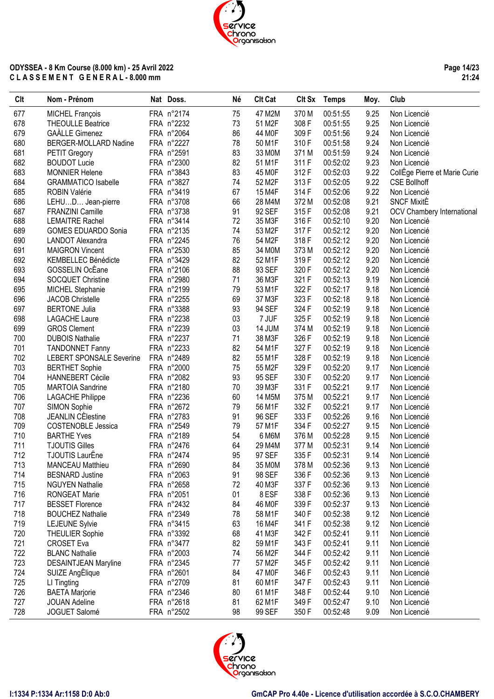**Page 14/23 21:24**

| Clt | Nom - Prénom                             | Nat Doss.  | Né | <b>Clt Cat</b> | Clt Sx | <b>Temps</b> | Moy. | Club                          |
|-----|------------------------------------------|------------|----|----------------|--------|--------------|------|-------------------------------|
| 677 | MICHEL François                          | FRA n°2174 | 75 | 47 M2M         | 370 M  | 00:51:55     | 9.25 | Non Licencié                  |
| 678 | <b>THEOULLE Beatrice</b>                 | FRA n°2232 | 73 | 51 M2F         | 308 F  | 00:51:55     | 9.25 | Non Licencié                  |
| 679 | <b>GAÀLLE Gimenez</b>                    | FRA n°2064 | 86 | 44 M0F         | 309F   | 00:51:56     | 9.24 | Non Licencié                  |
| 680 | BERGER-MOLLARD Nadine                    | FRA n°2227 | 78 | 50 M1F         | 310F   | 00:51:58     | 9.24 | Non Licencié                  |
| 681 | PETIT Gregory                            | FRA n°2591 | 83 | 33 M0M         | 371 M  | 00:51:59     | 9.24 | Non Licencié                  |
| 682 | <b>BOUDOT Lucie</b>                      | FRA n°2300 | 82 | 51 M1F         | 311 F  | 00:52:02     | 9.23 | Non Licencié                  |
| 683 | <b>MONNIER Helene</b>                    | FRA n°3843 | 83 | 45 M0F         | 312F   | 00:52:03     | 9.22 | CollEge Pierre et Marie Curie |
| 684 | <b>GRAMMATICO Isabelle</b>               | FRA n°3827 | 74 | 52 M2F         | 313F   | 00:52:05     | 9.22 | <b>CSE Bollhoff</b>           |
| 685 | <b>ROBIN Valérie</b>                     | FRA n°3419 | 67 | 15 M4F         | 314 F  | 00:52:06     | 9.22 | Non Licencié                  |
| 686 | LEHUD Jean-pierre                        | FRA n°3708 | 66 | 28 M4M         | 372 M  | 00:52:08     | 9.21 | <b>SNCF MixitE</b>            |
| 687 | FRANZINI Camille                         | FRA n°3738 | 91 | 92 SEF         | 315F   | 00:52:08     | 9.21 | OCV Chambery International    |
| 688 | <b>LEMAITRE Rachel</b>                   | FRA n°3414 | 72 | 35 M3F         | 316 F  | 00:52:10     | 9.20 | Non Licencié                  |
| 689 | <b>GOMES EDUARDO Sonia</b>               | FRA n°2135 | 74 | 53 M2F         | 317 F  | 00:52:12     | 9.20 | Non Licencié                  |
| 690 | LANDOT Alexandra                         | FRA n°2245 | 76 | 54 M2F         | 318 F  | 00:52:12     | 9.20 | Non Licencié                  |
| 691 | <b>MAIGRON Vincent</b>                   | FRA n°2530 | 85 | 34 M0M         | 373 M  | 00:52:12     | 9.20 | Non Licencié                  |
| 692 | KEMBELLEC Bénédicte                      | FRA n°3429 | 82 | 52 M1F         | 319F   | 00:52:12     | 9.20 | Non Licencié                  |
| 693 | GOSSELIN OcEane                          | FRA n°2106 | 88 | 93 SEF         | 320 F  | 00:52:12     | 9.20 | Non Licencié                  |
| 694 | SOCQUET Christine                        | FRA n°2980 | 71 | 36 M3F         | 321 F  | 00:52:13     | 9.19 | Non Licencié                  |
| 695 | MICHEL Stephanie                         | FRA n°2199 | 79 | 53 M1F         | 322 F  | 00:52:17     | 9.18 | Non Licencié                  |
| 696 | <b>JACOB Christelle</b>                  | FRA n°2255 | 69 | 37 M3F         | 323 F  | 00:52:18     | 9.18 | Non Licencié                  |
| 697 | <b>BERTONE Julia</b>                     | FRA n°3388 | 93 | 94 SEF         | 324 F  | 00:52:19     | 9.18 | Non Licencié                  |
| 698 | <b>LAGACHE Laure</b>                     | FRA n°2238 | 03 | 7 JUF          | 325F   | 00:52:19     | 9.18 | Non Licencié                  |
| 699 | <b>GROS Clement</b>                      | FRA n°2239 | 03 | 14 JUM         | 374 M  | 00:52:19     | 9.18 | Non Licencié                  |
| 700 | <b>DUBOIS Nathalie</b>                   | FRA n°2237 | 71 | 38 M3F         | 326 F  | 00:52:19     | 9.18 | Non Licencié                  |
| 701 | <b>TANDONNET Fanny</b>                   | FRA n°2233 | 82 | 54 M1F         | 327 F  | 00:52:19     | 9.18 | Non Licencié                  |
| 702 | <b>LEBERT SPONSALE Severine</b>          | FRA n°2489 | 82 | 55 M1F         | 328 F  | 00:52:19     | 9.18 | Non Licencié                  |
| 703 | <b>BERTHET Sophie</b>                    | FRA n°2000 | 75 | 55 M2F         | 329F   | 00:52:20     | 9.17 | Non Licencié                  |
| 704 | <b>HANNEBERT Cécile</b>                  | FRA n°2082 | 93 | 95 SEF         | 330 F  | 00:52:20     | 9.17 | Non Licencié                  |
| 705 | <b>MARTOIA Sandrine</b>                  | FRA n°2180 | 70 | 39 M3F         | 331 F  | 00:52:21     | 9.17 | Non Licencié                  |
|     |                                          |            | 60 | 14 M5M         | 375 M  | 00:52:21     | 9.17 |                               |
| 706 | <b>LAGACHE Philippe</b>                  | FRA n°2236 |    |                | 332 F  | 00:52:21     | 9.17 | Non Licencié                  |
| 707 | <b>SIMON Sophie</b><br>JEANLIN CÈlestine | FRA n°2672 | 79 | 56 M1F         |        |              |      | Non Licencié                  |
| 708 |                                          | FRA n°2783 | 91 | 96 SEF         | 333 F  | 00:52:26     | 9.16 | Non Licencié                  |
| 709 | <b>COSTENOBLE Jessica</b>                | FRA n°2549 | 79 | 57 M1F         | 334 F  | 00:52:27     | 9.15 | Non Licencié                  |
| 710 | <b>BARTHE Yves</b>                       | FRA n°2189 | 54 | 6 M6M          | 376 M  | 00:52:28     | 9.15 | Non Licencié                  |
| 711 | <b>TJOUTIS Gilles</b>                    | FRA n°2476 | 64 | 29 M4M         | 377 M  | 00:52:31     | 9.14 | Non Licencié                  |
| 712 | <b>TJOUTIS LaurËne</b>                   | FRA n°2474 | 95 | 97 SEF         | 335 F  | 00:52:31     | 9.14 | Non Licencié                  |
| 713 | <b>MANCEAU Matthieu</b>                  | FRA n°2690 | 84 | 35 M0M         | 378 M  | 00:52:36     | 9.13 | Non Licencié                  |
| 714 | <b>BESNARD Justine</b>                   | FRA n°2063 | 91 | 98 SEF         | 336 F  | 00:52:36     | 9.13 | Non Licencié                  |
| 715 | <b>NGUYEN Nathalie</b>                   | FRA n°2658 | 72 | 40 M3F         | 337 F  | 00:52:36     | 9.13 | Non Licencié                  |
| 716 | <b>RONGEAT Marie</b>                     | FRA n°2051 | 01 | 8 ESF          | 338 F  | 00:52:36     | 9.13 | Non Licencié                  |
| 717 | <b>BESSET Florence</b>                   | FRA n°2432 | 84 | 46 M0F         | 339 F  | 00:52:37     | 9.13 | Non Licencié                  |
| 718 | <b>BOUCHEZ Nathalie</b>                  | FRA n°2349 | 78 | 58 M1F         | 340 F  | 00:52:38     | 9.12 | Non Licencié                  |
| 719 | <b>LEJEUNE Sylvie</b>                    | FRA n°3415 | 63 | 16 M4F         | 341 F  | 00:52:38     | 9.12 | Non Licencié                  |
| 720 | <b>THEULIER Sophie</b>                   | FRA n°3392 | 68 | 41 M3F         | 342 F  | 00:52:41     | 9.11 | Non Licencié                  |
| 721 | <b>CROSET Eva</b>                        | FRA n°3477 | 82 | 59 M1F         | 343 F  | 00:52:41     | 9.11 | Non Licencié                  |
| 722 | <b>BLANC Nathalie</b>                    | FRA n°2003 | 74 | 56 M2F         | 344 F  | 00:52:42     | 9.11 | Non Licencié                  |
| 723 | <b>DESAINTJEAN Maryline</b>              | FRA n°2345 | 77 | 57 M2F         | 345 F  | 00:52:42     | 9.11 | Non Licencié                  |
| 724 | SUIZE AngElique                          | FRA n°2601 | 84 | 47 M0F         | 346 F  | 00:52:43     | 9.11 | Non Licencié                  |
| 725 | LI Tingting                              | FRA n°2709 | 81 | 60 M1F         | 347 F  | 00:52:43     | 9.11 | Non Licencié                  |
| 726 | <b>BAETA Marjorie</b>                    | FRA n°2346 | 80 | 61 M1F         | 348 F  | 00:52:44     | 9.10 | Non Licencié                  |
| 727 | <b>JOUAN Adeline</b>                     | FRA n°2618 | 81 | 62 M1F         | 349 F  | 00:52:47     | 9.10 | Non Licencié                  |
| 728 | JOGUET Salomé                            | FRA n°2502 | 98 | 99 SEF         | 350 F  | 00:52:48     | 9.09 | Non Licencié                  |

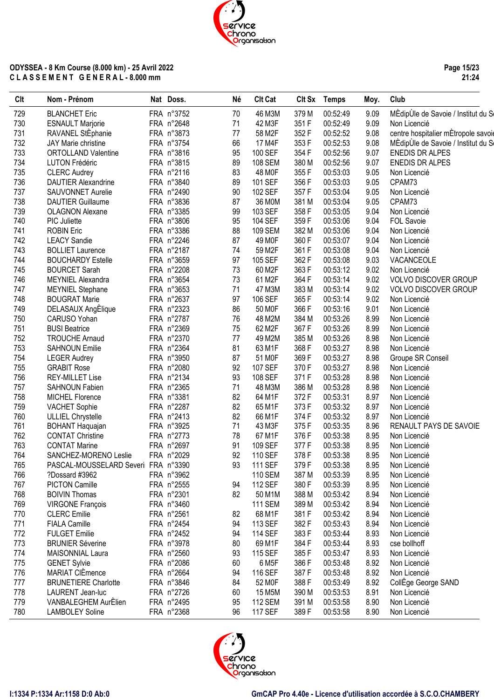**Page 15/23 21:24**

| Clt | Nom - Prénom                        | Nat Doss.  | Né | <b>Clt Cat</b>     |       | Clt Sx Temps | Moy. | Club                                |
|-----|-------------------------------------|------------|----|--------------------|-------|--------------|------|-------------------------------------|
| 729 | <b>BLANCHET Eric</b>                | FRA n°3752 | 70 | 46 M3M             | 379 M | 00:52:49     | 9.09 | MÈdipÙle de Savoie / Institut du S  |
| 730 | <b>ESNAULT Marjorie</b>             | FRA n°2648 | 71 | 42 M3F             | 351 F | 00:52:49     | 9.09 | Non Licencié                        |
| 731 | RAVANEL StEphanie                   | FRA n°3873 | 77 | 58 M2F             | 352 F | 00:52:52     | 9.08 | centre hospitalier mÉtropole savoie |
| 732 | <b>JAY Marie christine</b>          | FRA n°3754 | 66 | 17 M4F             | 353 F | 00:52:53     | 9.08 | MÈdipUle de Savoie / Institut du Se |
| 733 | <b>ORTOLLAND Valentine</b>          | FRA n°3816 | 95 | 100 SEF            | 354 F | 00:52:56     | 9.07 | <b>ENEDIS DR ALPES</b>              |
| 734 | LUTON Frédéric                      | FRA n°3815 | 89 | 108 SEM            | 380 M | 00:52:56     | 9.07 | <b>ENEDIS DR ALPES</b>              |
| 735 | <b>CLERC Audrey</b>                 | FRA n°2116 | 83 | 48 M0F             | 355F  | 00:53:03     | 9.05 | Non Licencié                        |
| 736 | <b>DAUTIER Alexandrine</b>          | FRA n°3840 | 89 | 101 SEF            | 356 F | 00:53:03     | 9.05 | CPAM73                              |
| 737 | SAUVONNET Aurelie                   | FRA n°2490 | 90 | 102 SEF            | 357 F | 00:53:04     | 9.05 | Non Licencié                        |
| 738 | <b>DAUTIER Guillaume</b>            | FRA n°3836 | 87 | 36 M0M             | 381 M | 00:53:04     | 9.05 | CPAM73                              |
| 739 | <b>OLAGNON Alexane</b>              | FRA n°3385 | 99 | 103 SEF            | 358 F | 00:53:05     | 9.04 | Non Licencié                        |
| 740 | <b>PIC Juliette</b>                 | FRA n°3806 | 95 | 104 SEF            | 359F  | 00:53:06     | 9.04 | FOL Savoie                          |
| 741 | <b>ROBIN Eric</b>                   | FRA n°3386 | 88 | 109 SEM            | 382 M | 00:53:06     | 9.04 | Non Licencié                        |
| 742 | <b>LEACY Sandie</b>                 | FRA n°2246 | 87 | 49 M0F             | 360 F | 00:53:07     | 9.04 | Non Licencié                        |
| 743 | <b>BOLLIET Laurence</b>             | FRA n°2187 | 74 | 59 M2F             | 361 F | 00:53:08     | 9.04 | Non Licencié                        |
| 744 | <b>BOUCHARDY Estelle</b>            | FRA n°3659 | 97 | 105 SEF            | 362 F | 00:53:08     | 9.03 | VACANCEOLE                          |
| 745 | <b>BOURCET Sarah</b>                | FRA n°2208 | 73 | 60 M2F             | 363 F | 00:53:12     | 9.02 | Non Licencié                        |
| 746 | MEYNIEL Alexandra                   | FRA n°3654 | 73 | 61 M2F             | 364 F | 00:53:14     | 9.02 | <b>VOLVO DISCOVER GROUP</b>         |
| 747 | <b>MEYNIEL Stephane</b>             | FRA n°3653 | 71 | 47 M3M             | 383 M | 00:53:14     | 9.02 | <b>VOLVO DISCOVER GROUP</b>         |
| 748 | <b>BOUGRAT Marie</b>                | FRA n°2637 | 97 | 106 SEF            | 365F  | 00:53:14     | 9.02 | Non Licencié                        |
| 749 | DELASAUX AngElique                  | FRA n°2323 | 86 | 50 MOF             | 366 F | 00:53:16     | 9.01 | Non Licencié                        |
| 750 | CARUSO Yohan                        | FRA n°2787 | 76 | 48 M2M             | 384 M | 00:53:26     | 8.99 | Non Licencié                        |
| 751 | <b>BUSI Beatrice</b>                | FRA n°2369 | 75 | 62 M2F             | 367 F | 00:53:26     | 8.99 | Non Licencié                        |
| 752 | <b>TROUCHE Arnaud</b>               | FRA n°2370 | 77 | 49 M2M             | 385 M | 00:53:26     | 8.98 | Non Licencié                        |
| 753 | <b>SAHNOUN Emilie</b>               | FRA n°2364 | 81 | 63 M1F             | 368 F | 00:53:27     | 8.98 | Non Licencié                        |
| 754 | <b>LEGER Audrey</b>                 | FRA n°3950 | 87 | 51 MOF             | 369F  | 00:53:27     | 8.98 | Groupe SR Conseil                   |
| 755 | <b>GRABIT Rose</b>                  | FRA n°2080 | 92 | 107 SEF            | 370 F | 00:53:27     | 8.98 | Non Licencié                        |
| 756 | <b>REY-MILLET Lise</b>              | FRA n°2134 | 93 | 108 SEF            | 371 F | 00:53:28     | 8.98 | Non Licencié                        |
| 757 | SAHNOUN Fabien                      | FRA n°2365 | 71 | 48 M3M             | 386 M | 00:53:28     | 8.98 | Non Licencié                        |
| 758 | MICHEL Florence                     | FRA n°3381 | 82 | 64 M1F             | 372F  | 00:53:31     | 8.97 | Non Licencié                        |
| 759 | <b>VACHET Sophie</b>                | FRA n°2287 | 82 | 65 M1F             | 373F  | 00:53:32     | 8.97 | Non Licencié                        |
| 760 | <b>ULLIEL Chrystelle</b>            | FRA n°2413 | 82 | 66 M1F             | 374 F | 00:53:32     | 8.97 | Non Licencié                        |
| 761 | <b>BOHANT Haquajan</b>              | FRA n°3925 | 71 | 43 M3F             | 375F  | 00:53:35     | 8.96 | RENAULT PAYS DE SAVOIE              |
| 762 | <b>CONTAT Christine</b>             | FRA n°2773 | 78 | 67 M1F             | 376 F | 00:53:38     | 8.95 | Non Licencié                        |
| 763 | <b>CONTAT Marine</b>                | FRA n°2697 | 91 | 109 SEF            | 377F  | 00:53:38     | 8.95 | Non Licencié                        |
| 764 | SANCHEZ-MORENO Leslie               | FRA n°2029 | 92 | 110 SEF            | 378 F | 00:53:38     | 8.95 | Non Licencié                        |
| 765 | PASCAL-MOUSSELARD Severi FRA n°3390 |            | 93 | <b>111 SEF</b>     | 379F  | 00:53:38     | 8.95 | Non Licencié                        |
| 766 | ?Dossard #3962                      | FRA n°3962 |    | <b>110 SEM</b>     | 387 M | 00:53:39     | 8.95 | Non Licencié                        |
| 767 | <b>PICTON Camille</b>               | FRA n°2555 | 94 | 112 SEF            | 380 F | 00:53:39     | 8.95 | Non Licencié                        |
| 768 | <b>BOIVIN Thomas</b>                | FRA n°2301 | 82 | 50 M1M             | 388 M | 00:53:42     | 8.94 | Non Licencié                        |
| 769 | <b>VIRGONE François</b>             | FRA n°3460 |    | <b>111 SEM</b>     | 389 M | 00:53:42     | 8.94 | Non Licencié                        |
| 770 | <b>CLERC</b> Emilie                 | FRA n°2561 | 82 | 68 M1F             | 381 F | 00:53:42     | 8.94 | Non Licencié                        |
| 771 | <b>FIALA Camille</b>                | FRA n°2454 | 94 | 113 SEF            | 382F  | 00:53:43     | 8.94 | Non Licencié                        |
| 772 | <b>FULGET Emilie</b>                | FRA n°2452 | 94 | <b>114 SEF</b>     | 383 F | 00:53:44     | 8.93 | Non Licencié                        |
| 773 | <b>BRUNIER Séverine</b>             | FRA n°3978 | 80 | 69 M1F             | 384 F | 00:53:44     | 8.93 | cse bollhoff                        |
| 774 | MAISONNIAL Laura                    | FRA n°2560 | 93 | 115 SEF            | 385F  | 00:53:47     | 8.93 | Non Licencié                        |
| 775 | <b>GENET Sylvie</b>                 | FRA n°2086 | 60 | 6 M <sub>5</sub> F | 386 F | 00:53:48     | 8.92 | Non Licencié                        |
| 776 | MARIAT CIÈmence                     | FRA n°2664 | 94 | 116 SEF            | 387 F | 00:53:48     | 8.92 | Non Licencié                        |
| 777 | <b>BRUNETIERE Charlotte</b>         | FRA n°3846 | 84 | 52 MOF             | 388 F | 00:53:49     | 8.92 | CollEge George SAND                 |
| 778 | LAURENT Jean-luc                    | FRA n°2726 | 60 | 15 M5M             | 390 M | 00:53:53     | 8.91 | Non Licencié                        |
| 779 | VANBALEGHEM AurÈlien                | FRA n°2495 | 95 | <b>112 SEM</b>     | 391 M | 00:53:58     | 8.90 | Non Licencié                        |
| 780 | <b>LAMBOLEY Soline</b>              | FRA n°2368 | 96 | <b>117 SEF</b>     | 389 F | 00:53:58     | 8.90 | Non Licencié                        |
|     |                                     |            |    |                    |       |              |      |                                     |

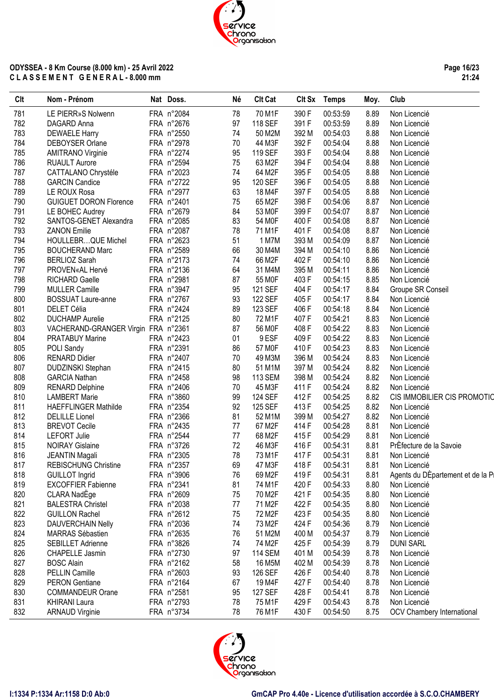**Page 16/23 21:24**

| Clt | Nom - Prénom                        | Nat Doss.  | Né | <b>Clt Cat</b> |       | Clt Sx Temps | Moy. | Club                              |
|-----|-------------------------------------|------------|----|----------------|-------|--------------|------|-----------------------------------|
| 781 | LE PIERR»S Nolwenn                  | FRA n°2084 | 78 | 70 M1F         | 390 F | 00:53:59     | 8.89 | Non Licencié                      |
| 782 | DAGARD Anna                         | FRA n°2676 | 97 | 118 SEF        | 391 F | 00:53:59     | 8.89 | Non Licencié                      |
| 783 | <b>DEWAELE Harry</b>                | FRA n°2550 | 74 | 50 M2M         | 392 M | 00:54:03     | 8.88 | Non Licencié                      |
| 784 | DEBOYSER Orlane                     | FRA n°2978 | 70 | 44 M3F         | 392 F | 00:54:04     | 8.88 | Non Licencié                      |
| 785 | <b>AMITRANO Virginie</b>            | FRA n°2274 | 95 | 119 SEF        | 393 F | 00:54:04     | 8.88 | Non Licencié                      |
| 786 | <b>RUAULT Aurore</b>                | FRA n°2594 | 75 | 63 M2F         | 394 F | 00:54:04     | 8.88 | Non Licencié                      |
| 787 | CATTALANO Chrystéle                 | FRA n°2023 | 74 | 64 M2F         | 395F  | 00:54:05     | 8.88 | Non Licencié                      |
| 788 | <b>GARCIN Candice</b>               | FRA n°2722 | 95 | 120 SEF        | 396 F | 00:54:05     | 8.88 | Non Licencié                      |
| 789 | LE ROUX Rosa                        | FRA n°2977 | 63 | 18 M4F         | 397 F | 00:54:05     | 8.88 | Non Licencié                      |
| 790 | <b>GUIGUET DORON Florence</b>       | FRA n°2401 | 75 | 65 M2F         | 398 F | 00:54:06     | 8.87 | Non Licencié                      |
|     |                                     | FRA n°2679 | 84 | 53 MOF         | 399 F | 00:54:07     |      |                                   |
| 791 | LE BOHEC Audrey                     |            |    |                |       |              | 8.87 | Non Licencié                      |
| 792 | SANTOS-GENET Alexandra              | FRA n°2085 | 83 | 54 M0F         | 400F  | 00:54:08     | 8.87 | Non Licencié                      |
| 793 | <b>ZANON Emilie</b>                 | FRA n°2087 | 78 | 71 M1F         | 401F  | 00:54:08     | 8.87 | Non Licencié                      |
| 794 | HOULLEBRQUE Michel                  | FRA n°2623 | 51 | 1 M7M          | 393 M | 00:54:09     | 8.87 | Non Licencié                      |
| 795 | <b>BOUCHERAND Marc</b>              | FRA n°2589 | 66 | 30 M4M         | 394 M | 00:54:10     | 8.86 | Non Licencié                      |
| 796 | <b>BERLIOZ Sarah</b>                | FRA n°2173 | 74 | 66 M2F         | 402F  | 00:54:10     | 8.86 | Non Licencié                      |
| 797 | PROVEN«AL Hervé                     | FRA n°2136 | 64 | 31 M4M         | 395 M | 00:54:11     | 8.86 | Non Licencié                      |
| 798 | RICHARD Gaelle                      | FRA n°2981 | 87 | 55 MOF         | 403 F | 00:54:15     | 8.85 | Non Licencié                      |
| 799 | MULLER Camille                      | FRA n°3947 | 95 | 121 SEF        | 404 F | 00:54:17     | 8.84 | Groupe SR Conseil                 |
| 800 | <b>BOSSUAT Laure-anne</b>           | FRA n°2767 | 93 | 122 SEF        | 405F  | 00:54:17     | 8.84 | Non Licencié                      |
| 801 | DELET Célia                         | FRA n°2424 | 89 | 123 SEF        | 406 F | 00:54:18     | 8.84 | Non Licencié                      |
| 802 | <b>DUCHAMP Aurelie</b>              | FRA n°2125 | 80 | 72 M1F         | 407 F | 00:54:21     | 8.83 | Non Licencié                      |
| 803 | VACHERAND-GRANGER Virgin FRA n°2361 |            | 87 | 56 M0F         | 408 F | 00:54:22     | 8.83 | Non Licencié                      |
| 804 | <b>PRATABUY Marine</b>              | FRA n°2423 | 01 | 9 ESF          | 409F  | 00:54:22     | 8.83 | Non Licencié                      |
| 805 | POLI Sandy                          | FRA n°2391 | 86 | 57 M0F         | 410F  | 00:54:23     | 8.83 | Non Licencié                      |
| 806 | <b>RENARD Didier</b>                | FRA n°2407 | 70 | 49 M3M         | 396 M | 00:54:24     | 8.83 | Non Licencié                      |
| 807 | DUDZINSKI Stephan                   | FRA n°2415 | 80 | 51 M1M         | 397 M | 00:54:24     | 8.82 | Non Licencié                      |
| 808 | <b>GARCIA Nathan</b>                | FRA n°2458 | 98 | <b>113 SEM</b> | 398 M | 00:54:24     | 8.82 | Non Licencié                      |
| 809 | <b>RENARD Delphine</b>              | FRA n°2406 | 70 | 45 M3F         | 411 F | 00:54:24     | 8.82 | Non Licencié                      |
| 810 | <b>LAMBERT Marie</b>                | FRA n°3860 | 99 | <b>124 SEF</b> | 412F  | 00:54:25     | 8.82 | CIS IMMOBILIER CIS PROMOTIO       |
| 811 | <b>HAEFFLINGER Mathilde</b>         | FRA n°2354 | 92 | 125 SEF        | 413F  | 00:54:25     | 8.82 | Non Licencié                      |
|     |                                     |            |    |                |       |              |      |                                   |
| 812 | <b>DELILLE</b> Lionel               | FRA n°2366 | 81 | 52 M1M         | 399 M | 00:54:27     | 8.82 | Non Licencié                      |
| 813 | <b>BREVOT Cecile</b>                | FRA n°2435 | 77 | 67 M2F         | 414 F | 00:54:28     | 8.81 | Non Licencié                      |
| 814 | <b>LEFORT Julie</b>                 | FRA n°2544 | 77 | 68 M2F         | 415F  | 00:54:29     | 8.81 | Non Licencié                      |
| 815 | <b>NOIRAY Gislaine</b>              | FRA n°3726 | 72 | 46 M3F         | 416 F | 00:54:31     | 8.81 | PrÈfecture de la Savoie           |
| 816 | <b>JEANTIN Magali</b>               | FRA n°2305 | 78 | 73 M1F         | 417F  | 00:54:31     | 8.81 | Non Licencié                      |
| 817 | <b>REBISCHUNG Christine</b>         | FRA n°2357 | 69 | 47 M3F         | 418 F | 00:54:31     | 8.81 | Non Licencié                      |
| 818 | <b>GUILLOT</b> Ingrid               | FRA n°3906 | 76 | 69 M2F         | 419F  | 00:54:31     | 8.81 | Agents du DÉpartement et de la Pi |
| 819 | <b>EXCOFFIER Fabienne</b>           | FRA n°2341 | 81 | 74 M1F         | 420 F | 00:54:33     | 8.80 | Non Licencié                      |
| 820 | CLARA NadEge                        | FRA n°2609 | 75 | 70 M2F         | 421 F | 00:54:35     | 8.80 | Non Licencié                      |
| 821 | <b>BALESTRA Christel</b>            | FRA n°2038 | 77 | 71 M2F         | 422 F | 00:54:35     | 8.80 | Non Licencié                      |
| 822 | <b>GUILLON Rachel</b>               | FRA n°2612 | 75 | 72 M2F         | 423 F | 00:54:35     | 8.80 | Non Licencié                      |
| 823 | <b>DAUVERCHAIN Nelly</b>            | FRA n°2036 | 74 | 73 M2F         | 424 F | 00:54:36     | 8.79 | Non Licencié                      |
| 824 | MARRAS Sébastien                    | FRA n°2635 | 76 | 51 M2M         | 400 M | 00:54:37     | 8.79 | Non Licencié                      |
| 825 | SEBILLET Adrienne                   | FRA n°3826 | 74 | 74 M2F         | 425F  | 00:54:39     | 8.79 | <b>DUNI SARL</b>                  |
| 826 | CHAPELLE Jasmin                     | FRA n°2730 | 97 | <b>114 SEM</b> | 401 M | 00:54:39     | 8.78 | Non Licencié                      |
| 827 | <b>BOSC Alain</b>                   | FRA n°2162 | 58 | 16 M5M         | 402 M | 00:54:39     | 8.78 | Non Licencié                      |
| 828 | <b>PELLIN Camille</b>               | FRA n°2603 | 93 | 126 SEF        | 426 F | 00:54:40     | 8.78 | Non Licencié                      |
| 829 | <b>PERON Gentiane</b>               | FRA n°2164 | 67 | 19 M4F         | 427 F | 00:54:40     | 8.78 | Non Licencié                      |
| 830 | <b>COMMANDEUR Orane</b>             | FRA n°2581 | 95 | 127 SEF        | 428 F | 00:54:41     | 8.78 | Non Licencié                      |
| 831 | <b>KHIRANI Laura</b>                | FRA n°2793 | 78 | 75 M1F         | 429F  | 00:54:43     | 8.78 | Non Licencié                      |
| 832 | <b>ARNAUD Virginie</b>              |            | 78 | 76 M1F         | 430 F |              | 8.75 |                                   |
|     |                                     | FRA n°3734 |    |                |       | 00:54:50     |      | OCV Chambery International        |

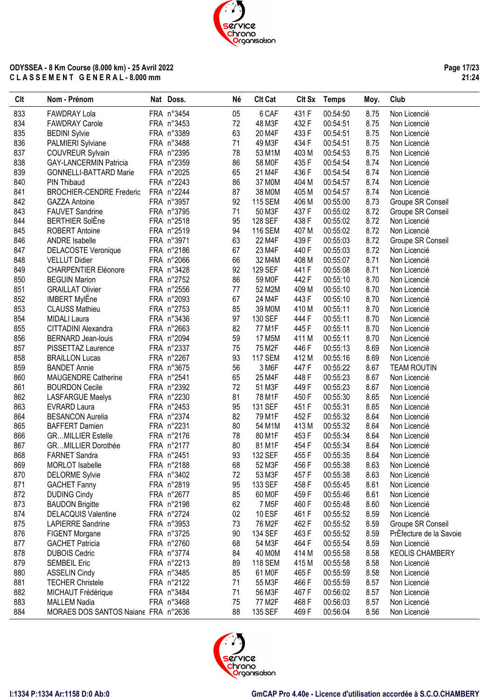**Page 17/23 21:24**

| Clt | Nom - Prénom                        | Nat Doss.  | Né | <b>Clt Cat</b>     |       | Clt Sx Temps | Moy. | Club                    |
|-----|-------------------------------------|------------|----|--------------------|-------|--------------|------|-------------------------|
| 833 | <b>FAWDRAY Lola</b>                 | FRA n°3454 | 05 | 6 CAF              | 431 F | 00:54:50     | 8.75 | Non Licencié            |
| 834 | <b>FAWDRAY Carole</b>               | FRA n°3453 | 72 | 48 M3F             | 432 F | 00:54:51     | 8.75 | Non Licencié            |
| 835 | <b>BEDINI Sylvie</b>                | FRA n°3389 | 63 | 20 M4F             | 433 F | 00:54:51     | 8.75 | Non Licencié            |
| 836 | PALMIERI Sylviane                   | FRA n°3488 | 71 | 49 M3F             | 434 F | 00:54:51     | 8.75 | Non Licencié            |
| 837 | <b>COUVREUR Sylvain</b>             | FRA n°2395 | 78 | 53 M1M             | 403 M | 00:54:53     | 8.75 | Non Licencié            |
| 838 | <b>GAY-LANCERMIN Patricia</b>       | FRA n°2359 | 86 | 58 M0F             | 435F  | 00:54:54     | 8.74 | Non Licencié            |
| 839 | <b>GONNELLI-BATTARD Marie</b>       | FRA n°2025 | 65 | 21 M4F             | 436 F | 00:54:54     | 8.74 | Non Licencié            |
| 840 | <b>PIN Thibaud</b>                  | FRA n°2243 | 86 | 37 M0M             | 404 M | 00:54:57     | 8.74 | Non Licencié            |
| 841 | <b>BROCHIER-CENDRE Frederic</b>     | FRA n°2244 | 87 | 38 M0M             | 405 M | 00:54:57     | 8.74 | Non Licencié            |
| 842 | <b>GAZZA Antoine</b>                | FRA n°3957 | 92 | <b>115 SEM</b>     | 406 M | 00:55:00     | 8.73 | Groupe SR Conseil       |
| 843 | <b>FAUVET Sandrine</b>              | FRA n°3795 | 71 | 50 M3F             | 437 F | 00:55:02     | 8.72 | Groupe SR Conseil       |
| 844 | <b>BERTHIER SolEne</b>              | FRA n°2518 | 95 | 128 SEF            | 438 F | 00:55:02     | 8.72 | Non Licencié            |
| 845 | ROBERT Antoine                      | FRA n°2519 | 94 | <b>116 SEM</b>     | 407 M | 00:55:02     | 8.72 | Non Licencié            |
| 846 | <b>ANDRE</b> Isabelle               | FRA n°3971 | 63 | 22 M4F             | 439 F | 00:55:03     | 8.72 | Groupe SR Conseil       |
| 847 | <b>DELACOSTE Veronique</b>          | FRA n°2186 | 67 | 23 M4F             | 440 F | 00:55:03     | 8.72 | Non Licencié            |
| 848 | <b>VELLUT Didier</b>                | FRA n°2066 | 66 | 32 M4M             | 408 M | 00:55:07     | 8.71 | Non Licencié            |
| 849 | <b>CHARPENTIER Eléonore</b>         | FRA n°3428 | 92 | 129 SEF            | 441 F | 00:55:08     | 8.71 | Non Licencié            |
| 850 | <b>BEGUIN Marion</b>                | FRA n°2752 | 86 | 59 M0F             | 442 F | 00:55:10     | 8.70 | Non Licencié            |
| 851 | <b>GRAILLAT Olivier</b>             | FRA n°2556 | 77 | 52 M2M             | 409 M | 00:55:10     | 8.70 | Non Licencié            |
| 852 | <b>IMBERT MylEne</b>                | FRA n°2093 | 67 | 24 M4F             | 443 F | 00:55:10     | 8.70 | Non Licencié            |
| 853 | <b>CLAUSS Mathieu</b>               | FRA n°2753 | 85 | 39 M0M             | 410 M | 00:55:11     | 8.70 | Non Licencié            |
| 854 | <b>MIDALI Laura</b>                 | FRA n°3436 | 97 | 130 SEF            | 444 F | 00:55:11     | 8.70 | Non Licencié            |
| 855 | CITTADINI Alexandra                 | FRA n°2663 | 82 | 77 M1F             | 445F  | 00:55:11     | 8.70 | Non Licencié            |
| 856 | BERNARD Jean-louis                  | FRA n°2094 | 59 | 17 M5M             | 411 M | 00:55:11     | 8.70 | Non Licencié            |
| 857 | PISSETTAZ Laurence                  | FRA n°2337 | 75 | 75 M2F             | 446 F | 00:55:13     | 8.69 | Non Licencié            |
| 858 | <b>BRAILLON Lucas</b>               | FRA n°2267 | 93 | <b>117 SEM</b>     | 412 M | 00:55:16     | 8.69 | Non Licencié            |
| 859 | <b>BANDET Annie</b>                 | FRA n°3675 | 56 | 3 M6F              | 447 F | 00:55:22     | 8.67 | <b>TEAM ROUTIN</b>      |
| 860 | MAUGENDRE Catherine                 | FRA n°2541 | 65 | 25 M4F             | 448 F | 00:55:23     | 8.67 | Non Licencié            |
| 861 | <b>BOURDON Cecile</b>               | FRA n°2392 | 72 | 51 M3F             | 449 F | 00:55:23     | 8.67 | Non Licencié            |
| 862 | <b>LASFARGUE Maelys</b>             | FRA n°2230 | 81 | 78 M1F             | 450F  | 00:55:30     | 8.65 | Non Licencié            |
| 863 | <b>EVRARD Laura</b>                 | FRA n°2453 | 95 | 131 SEF            | 451 F | 00:55:31     | 8.65 | Non Licencié            |
| 864 | <b>BESANCON Aurelia</b>             | FRA n°2374 | 82 | 79 M1F             | 452 F | 00:55:32     | 8.64 | Non Licencié            |
| 865 | <b>BAFFERT Damien</b>               | FRA n°2231 | 80 | 54 M1M             | 413 M | 00:55:32     | 8.64 | Non Licencié            |
| 866 | <b>GRMILLIER Estelle</b>            | FRA n°2176 | 78 | 80 M1F             | 453 F | 00:55:34     | 8.64 | Non Licencié            |
| 867 | <b>GRMILLIER Dorothée</b>           | FRA n°2177 | 80 | 81 M1F             | 454 F | 00:55:34     | 8.64 | Non Licencié            |
| 868 | <b>FARNET Sandra</b>                | FRA n°2451 | 93 | 132 SEF            | 455 F | 00:55:35     | 8.64 | Non Licencié            |
| 869 | MORLOT Isabelle                     | FRA n°2188 | 68 | 52 M3F             | 456 F | 00:55:38     | 8.63 | Non Licencié            |
| 870 | <b>DELORME Sylvie</b>               | FRA n°3402 | 72 | 53 M3F             | 457 F | 00:55:38     | 8.63 | Non Licencié            |
| 871 | <b>GACHET Fanny</b>                 | FRA n°2819 | 95 | 133 SEF            | 458 F | 00:55:45     | 8.61 | Non Licencié            |
| 872 | <b>DUDING Cindy</b>                 | FRA n°2677 | 85 | 60 M0F             | 459 F | 00:55:46     | 8.61 | Non Licencié            |
| 873 | <b>BAUDON Brigitte</b>              | FRA n°2198 | 62 | 7 M <sub>5</sub> F | 460 F | 00:55:48     | 8.60 | Non Licencié            |
| 874 | <b>DELACQUIS Valentine</b>          | FRA n°2724 | 02 | <b>10 ESF</b>      | 461 F | 00:55:52     | 8.59 | Non Licencié            |
| 875 | <b>LAPIERRE Sandrine</b>            | FRA n°3953 | 73 | 76 M2F             | 462 F | 00:55:52     | 8.59 | Groupe SR Conseil       |
| 876 | <b>FIGENT Morgane</b>               | FRA n°3725 | 90 | 134 SEF            | 463 F | 00:55:52     | 8.59 | PrÉfecture de la Savoie |
| 877 | <b>GACHET Patricia</b>              | FRA n°2760 | 68 | 54 M3F             | 464 F | 00:55:54     | 8.59 | Non Licencié            |
| 878 | <b>DUBOIS Cedric</b>                | FRA n°3774 | 84 | 40 M0M             | 414 M | 00:55:58     | 8.58 | <b>KEOLIS CHAMBERY</b>  |
| 879 | <b>SEMBEIL Eric</b>                 | FRA n°2213 | 89 | <b>118 SEM</b>     | 415 M | 00:55:58     | 8.58 | Non Licencié            |
| 880 | <b>ASSELIN Cindy</b>                | FRA n°3485 | 85 | 61 M0F             | 465F  | 00:55:59     | 8.58 | Non Licencié            |
| 881 | <b>TECHER Christele</b>             | FRA n°2122 | 71 | 55 M3F             | 466 F | 00:55:59     | 8.57 | Non Licencié            |
| 882 | MICHAUT Frédérique                  | FRA n°3484 | 71 | 56 M3F             | 467 F | 00:56:02     | 8.57 | Non Licencié            |
| 883 | <b>MALLEM Nadia</b>                 | FRA n°3468 | 75 | 77 M2F             | 468 F | 00:56:03     | 8.57 | Non Licencié            |
| 884 | MORAES DOS SANTOS Naiane FRA n°2636 |            | 88 | 135 SEF            | 469 F | 00:56:04     | 8.56 | Non Licencié            |
|     |                                     |            |    |                    |       |              |      |                         |

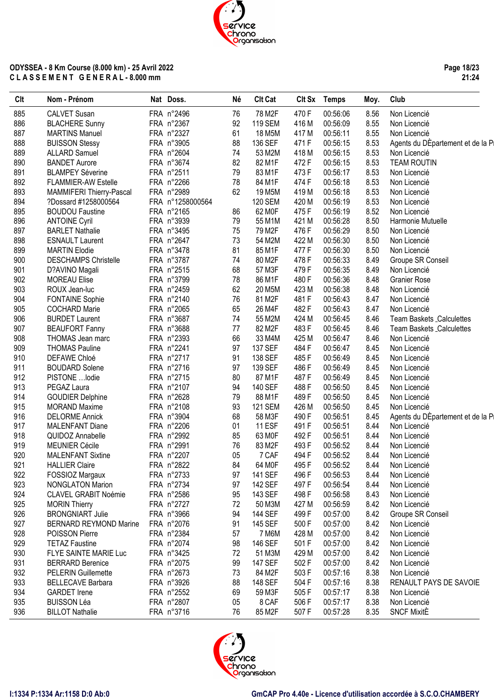**Page 18/23 21:24**

| Clt | Nom - Prénom                  | Nat Doss.        | Né | <b>Clt Cat</b> |       | Clt Sx Temps | Moy. | Club                              |
|-----|-------------------------------|------------------|----|----------------|-------|--------------|------|-----------------------------------|
| 885 | <b>CALVET Susan</b>           | FRA n°2496       | 76 | 78 M2F         | 470 F | 00:56:06     | 8.56 | Non Licencié                      |
| 886 | <b>BLACHERE Sunny</b>         | FRA n°2367       | 92 | <b>119 SEM</b> | 416 M | 00:56:09     | 8.55 | Non Licencié                      |
| 887 | <b>MARTINS Manuel</b>         | FRA n°2327       | 61 | 18 M5M         | 417 M | 00:56:11     | 8.55 | Non Licencié                      |
| 888 | <b>BUISSON Stessy</b>         | FRA n°3905       | 88 | 136 SEF        | 471 F | 00:56:15     | 8.53 | Agents du DÉpartement et de la Pi |
| 889 | <b>ALLARD Samuel</b>          | FRA n°2604       | 74 | 53 M2M         | 418 M | 00:56:15     | 8.53 | Non Licencié                      |
| 890 | <b>BANDET Aurore</b>          | FRA n°3674       | 82 | 82 M1F         | 472F  | 00:56:15     | 8.53 | <b>TEAM ROUTIN</b>                |
| 891 | <b>BLAMPEY Séverine</b>       | FRA n°2511       | 79 | 83 M1F         | 473F  | 00:56:17     | 8.53 | Non Licencié                      |
| 892 | <b>FLAMMIER-AW Estelle</b>    | FRA n°2266       | 78 | 84 M1F         | 474 F | 00:56:18     | 8.53 | Non Licencié                      |
| 893 | MAMMIFERI Thierry-Pascal      | FRA n°2989       | 62 | 19 M5M         | 419 M | 00:56:18     | 8.53 | Non Licencié                      |
| 894 | ?Dossard #1258000564          | FRA n°1258000564 |    | <b>120 SEM</b> | 420 M | 00:56:19     | 8.53 | Non Licencié                      |
|     |                               |                  |    | 62 MOF         | 475F  |              |      |                                   |
| 895 | <b>BOUDOU Faustine</b>        | FRA n°2165       | 86 |                |       | 00:56:19     | 8.52 | Non Licencié                      |
| 896 | <b>ANTOINE Cyril</b>          | FRA n°3939       | 79 | 55 M1M         | 421 M | 00:56:28     | 8.50 | Harmonie Mutuelle                 |
| 897 | <b>BARLET Nathalie</b>        | FRA n°3495       | 75 | 79 M2F         | 476 F | 00:56:29     | 8.50 | Non Licencié                      |
| 898 | <b>ESNAULT Laurent</b>        | FRA n°2647       | 73 | 54 M2M         | 422 M | 00:56:30     | 8.50 | Non Licencié                      |
| 899 | <b>MARTIN Elodie</b>          | FRA n°3478       | 81 | 85 M1F         | 477 F | 00:56:30     | 8.50 | Non Licencié                      |
| 900 | <b>DESCHAMPS Christelle</b>   | FRA n°3787       | 74 | 80 M2F         | 478 F | 00:56:33     | 8.49 | Groupe SR Conseil                 |
| 901 | D?AVINO Magali                | FRA n°2515       | 68 | 57 M3F         | 479F  | 00:56:35     | 8.49 | Non Licencié                      |
| 902 | <b>MOREAU Elise</b>           | FRA n°3799       | 78 | 86 M1F         | 480F  | 00:56:36     | 8.48 | <b>Granier Rose</b>               |
| 903 | ROUX Jean-luc                 | FRA n°2459       | 62 | 20 M5M         | 423 M | 00:56:38     | 8.48 | Non Licencié                      |
| 904 | <b>FONTAINE Sophie</b>        | FRA n°2140       | 76 | 81 M2F         | 481F  | 00:56:43     | 8.47 | Non Licencié                      |
| 905 | <b>COCHARD Marie</b>          | FRA n°2065       | 65 | 26 M4F         | 482F  | 00:56:43     | 8.47 | Non Licencié                      |
| 906 | <b>BURDET Laurent</b>         | FRA n°3687       | 74 | 55 M2M         | 424 M | 00:56:45     | 8.46 | Team Baskets _Calculettes         |
| 907 | <b>BEAUFORT Fanny</b>         | FRA n°3688       | 77 | 82 M2F         | 483 F | 00:56:45     | 8.46 | <b>Team Baskets Calculettes</b>   |
| 908 | THOMAS Jean marc              | FRA n°2393       | 66 | 33 M4M         | 425 M | 00:56:47     | 8.46 | Non Licencié                      |
| 909 | <b>THOMAS Pauline</b>         | FRA n°2241       | 97 | 137 SEF        | 484 F | 00:56:47     | 8.45 | Non Licencié                      |
| 910 | DEFAWE Chloé                  | FRA n°2717       | 91 | 138 SEF        | 485F  | 00:56:49     | 8.45 | Non Licencié                      |
| 911 | <b>BOUDARD Solene</b>         | FRA n°2716       | 97 | 139 SEF        | 486 F | 00:56:49     | 8.45 | Non Licencié                      |
| 912 | PISTONE  lodie                | FRA n°2715       | 80 | 87 M1F         | 487F  | 00:56:49     | 8.45 | Non Licencié                      |
| 913 | PEGAZ Laura                   | FRA n°2107       | 94 | 140 SEF        | 488 F | 00:56:50     | 8.45 | Non Licencié                      |
| 914 | <b>GOUDIER Delphine</b>       | FRA n°2628       | 79 | 88 M1F         | 489F  | 00:56:50     | 8.45 | Non Licencié                      |
| 915 | <b>MORAND Maxime</b>          | FRA n°2108       | 93 | <b>121 SEM</b> | 426 M | 00:56:50     | 8.45 | Non Licencié                      |
|     |                               |                  |    |                |       |              |      |                                   |
| 916 | <b>DELORME Annick</b>         | FRA n°3904       | 68 | 58 M3F         | 490 F | 00:56:51     | 8.45 | Agents du DEpartement et de la Pi |
| 917 | <b>MALENFANT Diane</b>        | FRA n°2206       | 01 | 11 ESF         | 491 F | 00:56:51     | 8.44 | Non Licencié                      |
| 918 | QUIDOZ Annabelle              | FRA n°2992       | 85 | 63 M0F         | 492 F | 00:56:51     | 8.44 | Non Licencié                      |
| 919 | MEUNIER Cécile                | FRA n°2991       | 76 | 83 M2F         | 493 F | 00:56:52     | 8.44 | Non Licencié                      |
| 920 | <b>MALENFANT Sixtine</b>      | FRA n°2207       | 05 | 7 CAF          | 494 F | 00:56:52     | 8.44 | Non Licencié                      |
| 921 | <b>HALLIER Claire</b>         | FRA n°2822       | 84 | 64 M0F         | 495F  | 00:56:52     | 8.44 | Non Licencié                      |
| 922 | FOSSIOZ Margaux               | FRA n°2733       | 97 | 141 SEF        | 496 F | 00:56:53     | 8.44 | Non Licencié                      |
| 923 | <b>NONGLATON Marion</b>       | FRA n°2734       | 97 | 142 SEF        | 497 F | 00:56:54     | 8.44 | Non Licencié                      |
| 924 | <b>CLAVEL GRABIT Noémie</b>   | FRA n°2586       | 95 | 143 SEF        | 498 F | 00:56:58     | 8.43 | Non Licencié                      |
| 925 | <b>MORIN Thierry</b>          | FRA n°2727       | 72 | 50 M3M         | 427 M | 00:56:59     | 8.42 | Non Licencié                      |
| 926 | <b>BRONGNIART Julie</b>       | FRA n°3966       | 94 | <b>144 SEF</b> | 499 F | 00:57:00     | 8.42 | Groupe SR Conseil                 |
| 927 | <b>BERNARD REYMOND Marine</b> | FRA n°2076       | 91 | 145 SEF        | 500 F | 00:57:00     | 8.42 | Non Licencié                      |
| 928 | POISSON Pierre                | FRA n°2384       | 57 | 7 M6M          | 428 M | 00:57:00     | 8.42 | Non Licencié                      |
| 929 | <b>TETAZ Faustine</b>         | FRA n°2074       | 98 | 146 SEF        | 501 F | 00:57:00     | 8.42 | Non Licencié                      |
| 930 | FLYE SAINTE MARIE Luc         | FRA n°3425       | 72 | 51 M3M         | 429 M | 00:57:00     | 8.42 | Non Licencié                      |
| 931 | <b>BERRARD Berenice</b>       | FRA n°2075       | 99 | <b>147 SEF</b> | 502F  | 00:57:00     | 8.42 | Non Licencié                      |
| 932 | <b>PELERIN Guillemette</b>    | FRA n°2673       | 73 | 84 M2F         | 503 F | 00:57:16     | 8.38 | Non Licencié                      |
| 933 | <b>BELLECAVE Barbara</b>      | FRA n°3926       | 88 | 148 SEF        | 504 F | 00:57:16     | 8.38 | RENAULT PAYS DE SAVOIE            |
| 934 | <b>GARDET</b> Irene           | FRA n°2552       | 69 | 59 M3F         | 505F  | 00:57:17     | 8.38 | Non Licencié                      |
|     |                               |                  |    |                |       |              |      |                                   |
| 935 | <b>BUISSON Léa</b>            | FRA n°2807       | 05 | 8 CAF          | 506 F | 00:57:17     | 8.38 | Non Licencié                      |
| 936 | <b>BILLOT Nathalie</b>        | FRA n°3716       | 76 | 85 M2F         | 507 F | 00:57:28     | 8.35 | <b>SNCF MixitE</b>                |

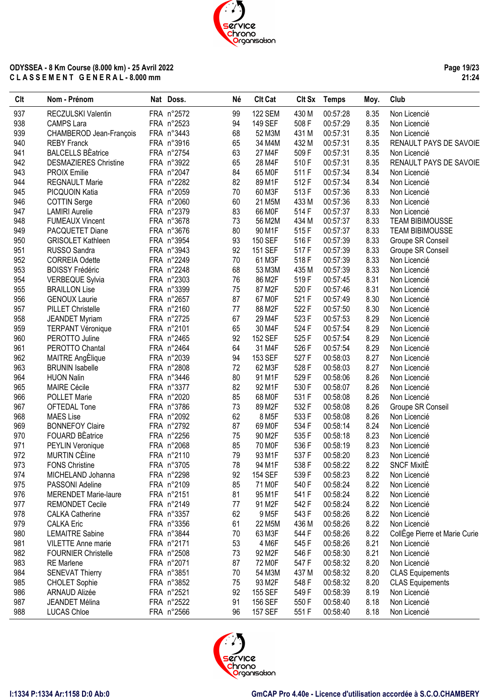**Page 19/23 21:24**

| Clt | Nom - Prénom                 | Nat Doss.  | Né | <b>Clt Cat</b>     |       | Clt Sx Temps | Moy. | Club                          |
|-----|------------------------------|------------|----|--------------------|-------|--------------|------|-------------------------------|
| 937 | RECZULSKI Valentin           | FRA n°2572 | 99 | <b>122 SEM</b>     | 430 M | 00:57:28     | 8.35 | Non Licencié                  |
| 938 | <b>CAMPS Lara</b>            | FRA n°2523 | 94 | 149 SEF            | 508 F | 00:57:29     | 8.35 | Non Licencié                  |
| 939 | CHAMBEROD Jean-François      | FRA n°3443 | 68 | 52 M3M             | 431 M | 00:57:31     | 8.35 | Non Licencié                  |
| 940 | <b>REBY Franck</b>           | FRA n°3916 | 65 | 34 M4M             | 432 M | 00:57:31     | 8.35 | RENAULT PAYS DE SAVOIE        |
| 941 | <b>BALCELLS BEatrice</b>     | FRA n°2754 | 63 | 27 M4F             | 509F  | 00:57:31     | 8.35 | Non Licencié                  |
| 942 | <b>DESMAZIERES Christine</b> | FRA n°3922 | 65 | 28 M4F             | 510F  | 00:57:31     | 8.35 | RENAULT PAYS DE SAVOIE        |
| 943 | <b>PROIX Emilie</b>          | FRA n°2047 | 84 | 65 MOF             | 511 F | 00:57:34     | 8.34 | Non Licencié                  |
| 944 | <b>REGNAULT Marie</b>        | FRA n°2282 | 82 | 89 M1F             | 512F  | 00:57:34     | 8.34 | Non Licencié                  |
| 945 | PICQUOIN Katia               | FRA n°2059 | 70 | 60 M3F             | 513F  | 00:57:36     | 8.33 | Non Licencié                  |
| 946 | <b>COTTIN Serge</b>          | FRA n°2060 | 60 | 21 M5M             | 433 M | 00:57:36     | 8.33 | Non Licencié                  |
| 947 | <b>LAMIRI</b> Aurelie        | FRA n°2379 | 83 | 66 M0F             | 514 F | 00:57:37     | 8.33 | Non Licencié                  |
| 948 | <b>FUMEAUX Vincent</b>       | FRA n°3678 | 73 | 56 M2M             | 434 M | 00:57:37     | 8.33 | <b>TEAM BIBIMOUSSE</b>        |
| 949 | PACQUETET Diane              | FRA n°3676 | 80 | 90 M1F             | 515F  | 00:57:37     | 8.33 | <b>TEAM BIBIMOUSSE</b>        |
| 950 | <b>GRISOLET Kathleen</b>     | FRA n°3954 | 93 | 150 SEF            | 516 F | 00:57:39     | 8.33 | Groupe SR Conseil             |
| 951 | RUSSO Sandra                 | FRA n°3943 | 92 | 151 SEF            | 517F  | 00:57:39     | 8.33 | Groupe SR Conseil             |
| 952 | <b>CORREIA Odette</b>        | FRA n°2249 | 70 | 61 M3F             | 518F  | 00:57:39     | 8.33 | Non Licencié                  |
| 953 |                              | FRA n°2248 |    | 53 M3M             | 435 M | 00:57:39     | 8.33 |                               |
|     | <b>BOISSY Frédéric</b>       |            | 68 |                    |       |              |      | Non Licencié                  |
| 954 | <b>VERBEQUE Sylvia</b>       | FRA n°2303 | 76 | 86 M2F             | 519F  | 00:57:45     | 8.31 | Non Licencié                  |
| 955 | <b>BRAILLON Lise</b>         | FRA n°3399 | 75 | 87 M2F             | 520 F | 00:57:46     | 8.31 | Non Licencié                  |
| 956 | <b>GENOUX Laurie</b>         | FRA n°2657 | 87 | 67 M0F             | 521 F | 00:57:49     | 8.30 | Non Licencié                  |
| 957 | PILLET Christelle            | FRA n°2160 | 77 | 88 M2F             | 522F  | 00:57:50     | 8.30 | Non Licencié                  |
| 958 | <b>JEANDET Myriam</b>        | FRA n°2725 | 67 | 29 M4F             | 523F  | 00:57:53     | 8.29 | Non Licencié                  |
| 959 | <b>TERPANT Véronique</b>     | FRA n°2101 | 65 | 30 M4F             | 524 F | 00:57:54     | 8.29 | Non Licencié                  |
| 960 | PEROTTO Juline               | FRA n°2465 | 92 | 152 SEF            | 525F  | 00:57:54     | 8.29 | Non Licencié                  |
| 961 | PEROTTO Chantal              | FRA n°2464 | 64 | 31 M4F             | 526 F | 00:57:54     | 8.29 | Non Licencié                  |
| 962 | <b>MAITRE AngElique</b>      | FRA n°2039 | 94 | 153 SEF            | 527 F | 00:58:03     | 8.27 | Non Licencié                  |
| 963 | <b>BRUNIN Isabelle</b>       | FRA n°2808 | 72 | 62 M3F             | 528 F | 00:58:03     | 8.27 | Non Licencié                  |
| 964 | <b>HUON Nalin</b>            | FRA n°3446 | 80 | 91 M1F             | 529F  | 00:58:06     | 8.26 | Non Licencié                  |
| 965 | <b>MAIRE Cécile</b>          | FRA n°3377 | 82 | 92 M1F             | 530 F | 00:58:07     | 8.26 | Non Licencié                  |
| 966 | <b>POLLET Marie</b>          | FRA n°2020 | 85 | 68 MOF             | 531 F | 00:58:08     | 8.26 | Non Licencié                  |
| 967 | OFTEDAL Tone                 | FRA n°3786 | 73 | 89 M2F             | 532F  | 00:58:08     | 8.26 | Groupe SR Conseil             |
| 968 | <b>MAES Lise</b>             | FRA n°2092 | 62 | 8 M <sub>5</sub> F | 533 F | 00:58:08     | 8.26 | Non Licencié                  |
| 969 | <b>BONNEFOY Claire</b>       | FRA n°2792 | 87 | 69 MOF             | 534 F | 00:58:14     | 8.24 | Non Licencié                  |
| 970 | <b>FOUARD BEatrice</b>       | FRA n°2256 | 75 | 90 M2F             | 535F  | 00:58:18     | 8.23 | Non Licencié                  |
| 971 | PEYLIN Veronique             | FRA n°2068 | 85 | 70 M <sub>OF</sub> | 536 F | 00:58:19     | 8.23 | Non Licencié                  |
| 972 | <b>MURTIN CÈline</b>         | FRA n°2110 | 79 | 93 M1F             | 537 F | 00:58:20     | 8.23 | Non Licencié                  |
| 973 | <b>FONS Christine</b>        | FRA n°3705 | 78 | 94 M1F             | 538 F | 00:58:22     | 8.22 | <b>SNCF MixitE</b>            |
| 974 | MICHELAND Johanna            | FRA n°2298 | 92 | 154 SEF            | 539 F | 00:58:23     | 8.22 | Non Licencié                  |
| 975 | PASSONI Adeline              | FRA n°2109 | 85 | 71 M0F             | 540 F | 00:58:24     | 8.22 | Non Licencié                  |
| 976 | <b>MERENDET Marie-laure</b>  | FRA n°2151 | 81 | 95 M1F             | 541 F | 00:58:24     | 8.22 | Non Licencié                  |
| 977 | <b>REMONDET Cecile</b>       | FRA n°2149 | 77 | 91 M2F             | 542 F | 00:58:24     | 8.22 | Non Licencié                  |
| 978 | <b>CALKA Catherine</b>       | FRA n°3357 | 62 | 9 M <sub>5</sub> F | 543 F | 00:58:26     | 8.22 | Non Licencié                  |
| 979 | <b>CALKA Eric</b>            | FRA n°3356 | 61 | 22 M5M             | 436 M | 00:58:26     | 8.22 | Non Licencié                  |
| 980 | <b>LEMAITRE Sabine</b>       | FRA n°3844 | 70 | 63 M3F             | 544 F | 00:58:26     | 8.22 | CollEge Pierre et Marie Curie |
| 981 | <b>VILETTE Anne marie</b>    | FRA n°2171 | 53 | 4 M6F              | 545 F | 00:58:26     | 8.21 | Non Licencié                  |
| 982 | <b>FOURNIER Christelle</b>   | FRA n°2508 | 73 | 92 M2F             | 546 F | 00:58:30     | 8.21 | Non Licencié                  |
| 983 | <b>RE</b> Marlene            | FRA n°2071 | 87 | 72 M0F             | 547 F | 00:58:32     | 8.20 | Non Licencié                  |
| 984 |                              | FRA n°3851 | 70 | 54 M3M             | 437 M | 00:58:32     | 8.20 |                               |
| 985 | <b>SENEVAT Thierry</b>       |            | 75 | 93 M2F             | 548 F | 00:58:32     | 8.20 | <b>CLAS Equipements</b>       |
| 986 | <b>CHOLET Sophie</b>         | FRA n°3852 |    |                    |       |              |      | <b>CLAS Equipements</b>       |
|     | ARNAUD Alizée                | FRA n°2521 | 92 | 155 SEF            | 549 F | 00:58:39     | 8.19 | Non Licencié                  |
| 987 | JEANDET Mélina               | FRA n°2522 | 91 | 156 SEF            | 550F  | 00:58:40     | 8.18 | Non Licencié                  |
| 988 | <b>LUCAS Chloe</b>           | FRA n°2566 | 96 | 157 SEF            | 551F  | 00:58:40     | 8.18 | Non Licencié                  |

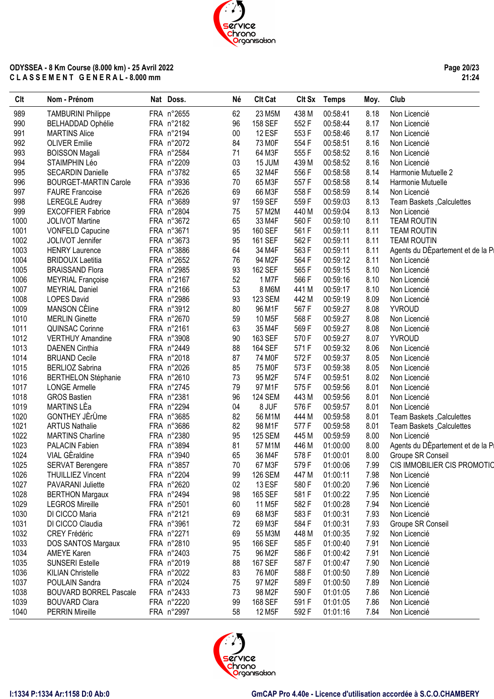**Page 20/23 21:24**

| Clt  | Nom - Prénom                  | Nat Doss.  | Né     | <b>Clt Cat</b>      |       | Clt Sx Temps | Moy. | Club                              |
|------|-------------------------------|------------|--------|---------------------|-------|--------------|------|-----------------------------------|
| 989  | <b>TAMBURINI Philippe</b>     | FRA n°2655 | 62     | 23 M5M              | 438 M | 00:58:41     | 8.18 | Non Licencié                      |
| 990  | <b>BELHADDAD Ophélie</b>      | FRA n°2182 | 96     | 158 SEF             | 552F  | 00:58:44     | 8.17 | Non Licencié                      |
| 991  | <b>MARTINS Alice</b>          | FRA n°2194 | $00\,$ | 12 ESF              | 553F  | 00:58:46     | 8.17 | Non Licencié                      |
| 992  | <b>OLIVER Emilie</b>          | FRA n°2072 | 84     | 73 MOF              | 554 F | 00:58:51     | 8.16 | Non Licencié                      |
| 993  | <b>BOISSON Magali</b>         | FRA n°2584 | 71     | 64 M3F              | 555F  | 00:58:52     | 8.16 | Non Licencié                      |
| 994  | STAIMPHIN Léo                 | FRA n°2209 | 03     | 15 JUM              | 439 M | 00:58:52     | 8.16 | Non Licencié                      |
| 995  | <b>SECARDIN Danielle</b>      | FRA n°3782 | 65     | 32 M4F              | 556F  | 00:58:58     | 8.14 | Harmonie Mutuelle 2               |
| 996  | <b>BOURGET-MARTIN Carole</b>  | FRA n°3936 | 70     | 65 M3F              | 557F  | 00:58:58     | 8.14 | Harmonie Mutuelle                 |
| 997  | <b>FAURE Francoise</b>        | FRA n°2626 | 69     | 66 M3F              | 558F  | 00:58:59     | 8.14 | Non Licencié                      |
| 998  | <b>LEREGLE Audrey</b>         | FRA n°3689 | 97     | 159 SEF             | 559F  | 00:59:03     | 8.13 | Team Baskets _Calculettes         |
| 999  | <b>EXCOFFIER Fabrice</b>      | FRA n°2804 | 75     | 57 M2M              | 440 M | 00:59:04     | 8.13 | Non Licencié                      |
| 1000 | <b>JOLIVOT Martine</b>        | FRA n°3672 | 65     | 33 M4F              | 560 F | 00:59:10     | 8.11 | <b>TEAM ROUTIN</b>                |
| 1001 | <b>VONFELD Capucine</b>       | FRA n°3671 | 95     | 160 SEF             | 561F  | 00:59:11     | 8.11 | <b>TEAM ROUTIN</b>                |
| 1002 | JOLIVOT Jennifer              | FRA n°3673 | 95     | 161 SEF             | 562F  | 00:59:11     | 8.11 | <b>TEAM ROUTIN</b>                |
| 1003 | <b>HENRY Laurence</b>         | FRA n°3886 | 64     | 34 M4F              | 563F  | 00:59:11     | 8.11 | Agents du DÉpartement et de la Pi |
| 1004 | <b>BRIDOUX Laetitia</b>       | FRA n°2652 | 76     | 94 M2F              | 564 F | 00:59:12     | 8.11 | Non Licencié                      |
| 1005 | <b>BRAISSAND Flora</b>        | FRA n°2985 | 93     | 162 SEF             | 565F  | 00:59:15     | 8.10 | Non Licencié                      |
| 1006 | <b>MEYRIAL Françoise</b>      | FRA n°2167 | 52     | 1 M7F               | 566 F | 00:59:16     | 8.10 | Non Licencié                      |
| 1007 | <b>MEYRIAL Daniel</b>         | FRA n°2166 | 53     | 8 M6M               | 441 M | 00:59:17     | 8.10 | Non Licencié                      |
| 1008 | <b>LOPES David</b>            | FRA n°2986 | 93     | <b>123 SEM</b>      | 442 M | 00:59:19     | 8.09 | Non Licencié                      |
| 1009 | <b>MANSON CÈline</b>          | FRA n°3912 | 80     | 96 M1F              | 567 F | 00:59:27     | 8.08 | <b>YVROUD</b>                     |
| 1010 | <b>MERLIN Ginette</b>         | FRA n°2670 | 59     | 10 M <sub>5</sub> F | 568F  | 00:59:27     | 8.08 | Non Licencié                      |
| 1011 | <b>QUINSAC Corinne</b>        | FRA n°2161 | 63     | 35 M4F              | 569F  | 00:59:27     | 8.08 | Non Licencié                      |
| 1012 | <b>VERTHUY Amandine</b>       | FRA n°3908 | 90     | 163 SEF             | 570F  | 00:59:27     | 8.07 | <b>YVROUD</b>                     |
| 1013 | <b>DAENEN Cinthia</b>         | FRA n°2449 | 88     | <b>164 SEF</b>      | 571F  | 00:59:32     | 8.06 | Non Licencié                      |
| 1014 | <b>BRUAND Cecile</b>          | FRA n°2018 | 87     | 74 M0F              | 572F  | 00:59:37     | 8.05 | Non Licencié                      |
| 1015 | <b>BERLIOZ Sabrina</b>        | FRA n°2026 | 85     | 75 M <sub>OF</sub>  | 573F  | 00:59:38     | 8.05 | Non Licencié                      |
| 1016 | <b>BERTHELON Stéphanie</b>    | FRA n°2610 | 73     | 95 M2F              | 574F  | 00:59:51     | 8.02 | Non Licencié                      |
| 1017 | <b>LONGE Armelle</b>          | FRA n°2745 | 79     | 97 M1F              | 575F  | 00:59:56     | 8.01 | Non Licencié                      |
| 1018 | <b>GROS Bastien</b>           | FRA n°2381 | 96     | <b>124 SEM</b>      | 443 M | 00:59:56     | 8.01 | Non Licencié                      |
| 1019 | MARTINS LÈa                   | FRA n°2294 | 04     | 8 JUF               | 576F  | 00:59:57     | 8.01 | Non Licencié                      |
| 1020 | GONTHEY JErUme                | FRA n°3685 | 82     | 56 M1M              | 444 M | 00:59:58     | 8.01 | Team Baskets _Calculettes         |
| 1021 | <b>ARTUS Nathalie</b>         | FRA n°3686 | 82     | 98 M1F              | 577F  | 00:59:58     | 8.01 | Team Baskets _Calculettes         |
| 1022 | <b>MARTINS Charline</b>       | FRA n°2380 | 95     | <b>125 SEM</b>      | 445 M | 00:59:59     | 8.00 | Non Licencié                      |
| 1023 | PALACIN Fabien                | FRA n°3894 | 81     | 57 M1M              | 446 M | 01:00:00     | 8.00 | Agents du DEpartement et de la Pi |
| 1024 | VIAL GEraldine                | FRA n°3940 | 65     | 36 M4F              | 578 F | 01:00:01     | 8.00 | Groupe SR Conseil                 |
| 1025 | <b>SERVAT Berengere</b>       | FRA n°3857 | 70     | 67 M3F              | 579 F | 01:00:06     | 7.99 | CIS IMMOBILIER CIS PROMOTIC       |
| 1026 | <b>THUILLIEZ Vincent</b>      | FRA n°2204 | 99     | <b>126 SEM</b>      | 447 M | 01:00:11     | 7.98 | Non Licencié                      |
| 1027 | PAVARANI Juliette             | FRA n°2620 | 02     | 13 ESF              | 580 F | 01:00:20     | 7.96 | Non Licencié                      |
| 1028 | <b>BERTHON Margaux</b>        | FRA n°2494 | 98     | 165 SEF             | 581F  | 01:00:22     | 7.95 | Non Licencié                      |
| 1029 | <b>LEGROS Mireille</b>        | FRA n°2501 | 60     | 11 M <sub>5</sub> F | 582 F | 01:00:28     | 7.94 | Non Licencié                      |
| 1030 | DI CICCO Maria                | FRA n°2121 | 69     | 68 M3F              | 583 F | 01:00:31     | 7.93 | Non Licencié                      |
| 1031 | DI CICCO Claudia              | FRA n°3961 | 72     | 69 M3F              | 584 F | 01:00:31     | 7.93 | Groupe SR Conseil                 |
| 1032 | <b>CREY Frédéric</b>          | FRA n°2271 | 69     | 55 M3M              | 448 M | 01:00:35     | 7.92 | Non Licencié                      |
| 1033 | DOS SANTOS Margaux            | FRA n°2810 | 95     | 166 SEF             | 585 F | 01:00:40     | 7.91 | Non Licencié                      |
| 1034 | <b>AMEYE Karen</b>            | FRA n°2403 | 75     | 96 M2F              | 586 F | 01:00:42     | 7.91 | Non Licencié                      |
| 1035 | <b>SUNSERI Estelle</b>        | FRA n°2019 | 88     | 167 SEF             | 587F  | 01:00:47     | 7.90 | Non Licencié                      |
| 1036 | <b>KILIAN Christelle</b>      | FRA n°2022 | 83     | 76 M0F              | 588F  | 01:00:50     | 7.89 | Non Licencié                      |
| 1037 | POULAIN Sandra                | FRA n°2024 | 75     | 97 M2F              | 589F  | 01:00:50     | 7.89 | Non Licencié                      |
| 1038 | <b>BOUVARD BORREL Pascale</b> | FRA n°2433 | 73     | 98 M2F              | 590 F | 01:01:05     | 7.86 | Non Licencié                      |
| 1039 | <b>BOUVARD Clara</b>          | FRA n°2220 | 99     | 168 SEF             | 591 F | 01:01:05     | 7.86 | Non Licencié                      |
| 1040 | <b>PERRIN Mireille</b>        | FRA n°2997 | 58     | 12 M5F              | 592 F | 01:01:16     | 7.84 | Non Licencié                      |

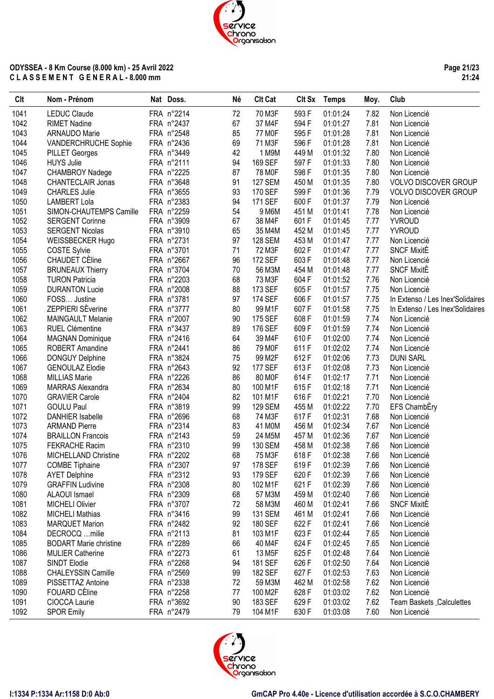**Page 21/23 21:24**

| Clt  | Nom - Prénom                  | Nat Doss.  | <b>Né</b> | <b>Clt Cat</b>      |       | Clt Sx Temps | Moy. | Club                             |
|------|-------------------------------|------------|-----------|---------------------|-------|--------------|------|----------------------------------|
| 1041 | <b>LEDUC Claude</b>           | FRA n°2214 | 72        | 70 M3F              | 593 F | 01:01:24     | 7.82 | Non Licencié                     |
| 1042 | <b>RIMET Nadine</b>           | FRA n°2437 | 67        | 37 M4F              | 594 F | 01:01:27     | 7.81 | Non Licencié                     |
| 1043 | ARNAUDO Marie                 | FRA n°2548 | 85        | 77 M0F              | 595F  | 01:01:28     | 7.81 | Non Licencié                     |
| 1044 | VANDERCHRUCHE Sophie          | FRA n°2436 | 69        | 71 M3F              | 596 F | 01:01:28     | 7.81 | Non Licencié                     |
| 1045 | <b>PILLET Georges</b>         | FRA n°3449 | 42        | 1 M9M               | 449 M | 01:01:32     | 7.80 | Non Licencié                     |
| 1046 | <b>HUYS Julie</b>             | FRA n°2111 | 94        | 169 SEF             | 597 F | 01:01:33     | 7.80 | Non Licencié                     |
| 1047 | <b>CHAMBROY Nadege</b>        | FRA n°2225 | 87        | 78 M0F              | 598 F | 01:01:35     | 7.80 | Non Licencié                     |
| 1048 | <b>CHANTECLAIR Jonas</b>      | FRA n°3648 | 91        | <b>127 SEM</b>      | 450 M | 01:01:35     | 7.80 | <b>VOLVO DISCOVER GROUP</b>      |
| 1049 | <b>CHARLES Julie</b>          | FRA n°3655 | 93        | 170 SEF             | 599F  | 01:01:36     | 7.79 | <b>VOLVO DISCOVER GROUP</b>      |
| 1050 | <b>LAMBERT Lola</b>           | FRA n°2383 | 94        | 171 SEF             | 600F  | 01:01:37     | 7.79 | Non Licencié                     |
| 1051 | SIMON-CHAUTEMPS Camille       | FRA n°2259 | 54        | 9 M6M               | 451 M | 01:01:41     | 7.78 | Non Licencié                     |
| 1052 | <b>SERGENT Corinne</b>        | FRA n°3909 | 67        | 38 M4F              | 601F  | 01:01:45     | 7.77 | <b>YVROUD</b>                    |
| 1053 | <b>SERGENT Nicolas</b>        | FRA n°3910 | 65        | 35 M4M              | 452 M | 01:01:45     | 7.77 | <b>YVROUD</b>                    |
| 1054 | WEISSBECKER Hugo              | FRA n°2731 | 97        | <b>128 SEM</b>      | 453 M | 01:01:47     | 7.77 | Non Licencié                     |
| 1055 | <b>COSTE Sylvie</b>           | FRA n°3701 | 71        | 72 M3F              | 602F  | 01:01:47     | 7.77 | <b>SNCF MixitE</b>               |
| 1056 | CHAUDET CÈline                | FRA n°2667 | 96        | 172 SEF             | 603F  | 01:01:48     | 7.77 | Non Licencié                     |
| 1057 | <b>BRUNEAUX Thierry</b>       | FRA n°3704 | 70        | 56 M3M              | 454 M | 01:01:48     | 7.77 | <b>SNCF MixitE</b>               |
| 1058 | <b>TURON Patricia</b>         | FRA n°2203 | 68        | 73 M3F              | 604F  | 01:01:52     | 7.76 | Non Licencié                     |
| 1059 | <b>DURANTON Lucie</b>         | FRA n°2008 | 88        | 173 SEF             | 605F  | 01:01:57     | 7.75 | Non Licencié                     |
| 1060 | FOSS Justine                  | FRA n°3781 | 97        | <b>174 SEF</b>      | 606 F | 01:01:57     | 7.75 | In Extenso / Les Inex'Solidaires |
| 1061 | ZEPPIERI SÈverine             | FRA n°3777 | 80        | 99 M1F              | 607F  | 01:01:58     | 7.75 | In Extenso / Les Inex'Solidaires |
| 1062 | <b>MAINGAULT Melanie</b>      | FRA n°2007 | 90        | 175 SEF             | 608F  | 01:01:59     | 7.74 | Non Licencié                     |
| 1063 | <b>RUEL Clémentine</b>        | FRA n°3437 | 89        | 176 SEF             | 609F  | 01:01:59     | 7.74 | Non Licencié                     |
| 1064 | <b>MAGNAN Dominique</b>       | FRA n°2416 | 64        | 39 M4F              | 610F  | 01:02:00     | 7.74 | Non Licencié                     |
| 1065 | ROBERT Amandine               | FRA n°2441 | 86        | 79 M0F              | 611 F | 01:02:02     | 7.74 | Non Licencié                     |
| 1066 | <b>DONGUY Delphine</b>        | FRA n°3824 | 75        | 99 M2F              | 612F  | 01:02:06     | 7.73 | <b>DUNI SARL</b>                 |
| 1067 | <b>GENOULAZ Elodie</b>        | FRA n°2643 | 92        | <b>177 SEF</b>      | 613F  | 01:02:08     | 7.73 | Non Licencié                     |
| 1068 | <b>MILLIAS Marie</b>          | FRA n°2226 | 86        | 80 M0F              | 614 F | 01:02:17     | 7.71 | Non Licencié                     |
| 1069 | <b>MARRAS Alexandra</b>       | FRA n°2634 | 80        | 100 M1F             | 615F  | 01:02:18     | 7.71 | Non Licencié                     |
| 1070 | <b>GRAVIER Carole</b>         | FRA n°2404 | 82        | 101 M1F             | 616 F | 01:02:21     | 7.70 | Non Licencié                     |
| 1071 | <b>GOULU Paul</b>             | FRA n°3819 | 99        | <b>129 SEM</b>      | 455 M | 01:02:22     | 7.70 | EFS ChambEry                     |
| 1072 | <b>DANHIER Isabelle</b>       | FRA n°2696 | 68        | 74 M3F              | 617F  | 01:02:31     | 7.68 | Non Licencié                     |
| 1073 | <b>ARMAND Pierre</b>          | FRA n°2314 | 83        | 41 M0M              | 456 M | 01:02:34     | 7.67 | Non Licencié                     |
| 1074 | <b>BRAILLON Francois</b>      | FRA n°2143 | 59        | 24 M5M              | 457 M | 01:02:36     | 7.67 | Non Licencié                     |
| 1075 | FEKRACHE Racim                | FRA n°2310 | 99        | 130 SEM             | 458 M | 01:02:38     | 7.66 | Non Licencié                     |
| 1076 | MICHELLAND Christine          | FRA n°2202 | 68        | 75 M3F              | 618F  | 01:02:38     | 7.66 | Non Licencié                     |
| 1077 | <b>COMBE Tiphaine</b>         | FRA n°2307 | 97        | 178 SEF             | 619 F | 01:02:39     | 7.66 | Non Licencié                     |
| 1078 | <b>AYET Delphine</b>          | FRA n°2312 | 93        | 179 SEF             | 620 F | 01:02:39     | 7.66 | Non Licencié                     |
| 1079 | <b>GRAFFIN Ludivine</b>       | FRA n°2308 | 80        | 102 M1F             | 621 F | 01:02:39     | 7.66 | Non Licencié                     |
| 1080 | <b>ALAOUI</b> Ismael          | FRA n°2309 | 68        | 57 M3M              | 459 M | 01:02:40     | 7.66 | Non Licencié                     |
| 1081 | <b>MICHELI Olivier</b>        | FRA n°3707 | 72        | 58 M3M              | 460 M | 01:02:41     | 7.66 | <b>SNCF MixitE</b>               |
| 1082 | <b>MICHELI Mathias</b>        | FRA n°3416 | 99        | 131 SEM             | 461 M | 01:02:41     | 7.66 | Non Licencié                     |
| 1083 | <b>MARQUET Marion</b>         | FRA n°2482 | 92        | 180 SEF             | 622F  | 01:02:41     | 7.66 | Non Licencié                     |
| 1084 | DECROCQ milie                 | FRA n°2113 | 81        | 103 M1F             | 623 F | 01:02:44     | 7.65 | Non Licencié                     |
| 1085 | <b>BODART Marie christine</b> | FRA n°2289 | 66        | 40 M4F              | 624 F | 01:02:45     | 7.65 | Non Licencié                     |
| 1086 | <b>MULIER Catherine</b>       | FRA n°2273 | 61        | 13 M <sub>5</sub> F | 625F  | 01:02:48     | 7.64 | Non Licencié                     |
| 1087 | SINDT Elodie                  | FRA n°2268 | 94        | 181 SEF             | 626 F | 01:02:50     | 7.64 | Non Licencié                     |
| 1088 | <b>CHALEYSSIN Camille</b>     | FRA n°2569 | 99        | 182 SEF             | 627 F | 01:02:53     | 7.63 | Non Licencié                     |
| 1089 | PISSETTAZ Antoine             | FRA n°2338 | 72        | 59 M3M              | 462 M | 01:02:58     | 7.62 | Non Licencié                     |
| 1090 | <b>FOUARD CÈline</b>          | FRA n°2258 | 77        | 100 M2F             | 628F  | 01:03:02     | 7.62 | Non Licencié                     |
| 1091 | CIOCCA Laurie                 | FRA n°3692 | 90        | 183 SEF             | 629F  | 01:03:02     | 7.62 | Team Baskets _Calculettes        |
| 1092 | <b>SPOR Emily</b>             | FRA n°2479 | 79        | 104 M1F             | 630 F | 01:03:08     | 7.60 | Non Licencié                     |
|      |                               |            |           |                     |       |              |      |                                  |

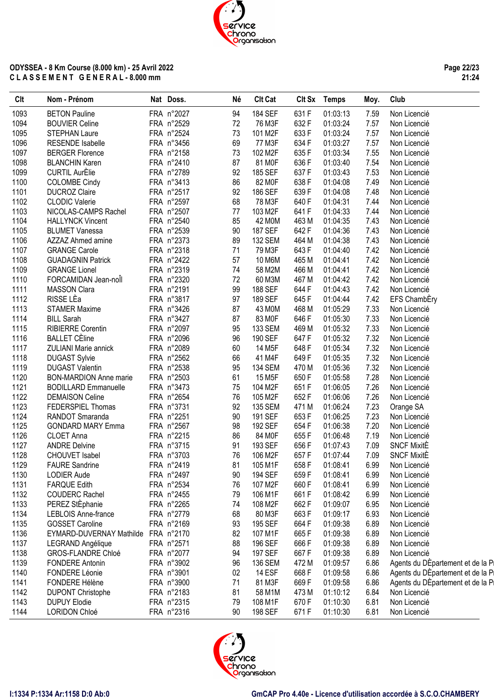**Page 22/23 21:24**

| Clt  | Nom - Prénom                        | Nat Doss.  | Né | <b>Clt Cat</b>      |       | Clt Sx Temps | Moy. | Club                              |
|------|-------------------------------------|------------|----|---------------------|-------|--------------|------|-----------------------------------|
| 1093 | <b>BETON Pauline</b>                | FRA n°2027 | 94 | 184 SEF             | 631 F | 01:03:13     | 7.59 | Non Licencié                      |
| 1094 | <b>BOUVIER Celine</b>               | FRA n°2529 | 72 | 76 M3F              | 632F  | 01:03:24     | 7.57 | Non Licencié                      |
| 1095 | <b>STEPHAN Laure</b>                | FRA n°2524 | 73 | 101 M2F             | 633F  | 01:03:24     | 7.57 | Non Licencié                      |
| 1096 | <b>RESENDE Isabelle</b>             | FRA n°3456 | 69 | 77 M3F              | 634 F | 01:03:27     | 7.57 | Non Licencié                      |
| 1097 | <b>BERGER Florence</b>              | FRA n°2158 | 73 | 102 M2F             | 635F  | 01:03:34     | 7.55 | Non Licencié                      |
| 1098 | <b>BLANCHIN Karen</b>               | FRA n°2410 | 87 | 81 MOF              | 636 F | 01:03:40     | 7.54 | Non Licencié                      |
| 1099 | <b>CURTIL AurÈlie</b>               | FRA n°2789 | 92 | 185 SEF             | 637F  | 01:03:43     | 7.53 | Non Licencié                      |
| 1100 | <b>COLOMBE Cindy</b>                | FRA n°3413 | 86 | 82 MOF              | 638 F | 01:04:08     | 7.49 | Non Licencié                      |
| 1101 | <b>DUCROZ Claire</b>                | FRA n°2517 | 92 | 186 SEF             | 639F  | 01:04:08     | 7.48 | Non Licencié                      |
| 1102 | <b>CLODIC Valerie</b>               | FRA n°2597 | 68 | 78 M3F              | 640 F | 01:04:31     | 7.44 | Non Licencié                      |
| 1103 | NICOLAS-CAMPS Rachel                | FRA n°2507 | 77 | 103 M2F             | 641F  | 01:04:33     | 7.44 | Non Licencié                      |
| 1104 | <b>HALLYNCK Vincent</b>             | FRA n°2540 | 85 | 42 M0M              | 463 M | 01:04:35     | 7.43 | Non Licencié                      |
| 1105 | <b>BLUMET Vanessa</b>               | FRA n°2539 | 90 | <b>187 SEF</b>      | 642F  | 01:04:36     | 7.43 | Non Licencié                      |
| 1106 | AZZAZ Ahmed amine                   | FRA n°2373 | 89 | <b>132 SEM</b>      | 464 M | 01:04:38     | 7.43 | Non Licencié                      |
| 1107 | <b>GRANGE Carole</b>                | FRA n°2318 | 71 | 79 M3F              | 643 F | 01:04:40     | 7.42 | Non Licencié                      |
| 1108 | <b>GUADAGNIN Patrick</b>            | FRA n°2422 | 57 | 10 M6M              | 465 M | 01:04:41     | 7.42 | Non Licencié                      |
| 1109 | <b>GRANGE Lionel</b>                | FRA n°2319 | 74 | 58 M2M              | 466 M | 01:04:41     | 7.42 | Non Licencié                      |
| 1110 | FORCAMIDAN Jean-noll                | FRA n°2320 | 72 | 60 M3M              | 467 M | 01:04:42     | 7.42 | Non Licencié                      |
| 1111 | <b>MASSON Clara</b>                 | FRA n°2191 | 99 | 188 SEF             | 644 F | 01:04:43     | 7.42 | Non Licencié                      |
| 1112 | RISSE LÈa                           | FRA n°3817 | 97 | 189 SEF             | 645F  | 01:04:44     | 7.42 |                                   |
|      |                                     |            |    |                     |       |              |      | EFS ChambEry                      |
| 1113 | <b>STAMER Maxime</b>                | FRA n°3426 | 87 | 43 M0M              | 468 M | 01:05:29     | 7.33 | Non Licencié                      |
| 1114 | <b>BILL Sarah</b>                   | FRA n°3427 | 87 | 83 M0F              | 646 F | 01:05:30     | 7.33 | Non Licencié                      |
| 1115 | <b>RIBIERRE Corentin</b>            | FRA n°2097 | 95 | 133 SEM             | 469 M | 01:05:32     | 7.33 | Non Licencié                      |
| 1116 | <b>BALLET CÈline</b>                | FRA n°2096 | 96 | 190 SEF             | 647F  | 01:05:32     | 7.32 | Non Licencié                      |
| 1117 | <b>ZULIANI Marie annick</b>         | FRA n°2089 | 60 | 14 M <sub>5</sub> F | 648 F | 01:05:34     | 7.32 | Non Licencié                      |
| 1118 | <b>DUGAST Sylvie</b>                | FRA n°2562 | 66 | 41 M4F              | 649F  | 01:05:35     | 7.32 | Non Licencié                      |
| 1119 | <b>DUGAST Valentin</b>              | FRA n°2538 | 95 | <b>134 SEM</b>      | 470 M | 01:05:36     | 7.32 | Non Licencié                      |
| 1120 | <b>BON-MARDION Anne marie</b>       | FRA n°2503 | 61 | 15 M <sub>5</sub> F | 650F  | 01:05:58     | 7.28 | Non Licencié                      |
| 1121 | <b>BODILLARD Emmanuelle</b>         | FRA n°3473 | 75 | 104 M2F             | 651F  | 01:06:05     | 7.26 | Non Licencié                      |
| 1122 | <b>DEMAISON Celine</b>              | FRA n°2654 | 76 | 105 M2F             | 652F  | 01:06:06     | 7.26 | Non Licencié                      |
| 1123 | FEDERSPIEL Thomas                   | FRA n°3731 | 92 | 135 SEM             | 471 M | 01:06:24     | 7.23 | Orange SA                         |
| 1124 | RANDOT Smaranda                     | FRA n°2251 | 90 | 191 SEF             | 653F  | 01:06:25     | 7.23 | Non Licencié                      |
| 1125 | <b>GONDARD MARY Emma</b>            | FRA n°2567 | 98 | 192 SEF             | 654 F | 01:06:38     | 7.20 | Non Licencié                      |
| 1126 | CLOET Anna                          | FRA n°2215 | 86 | 84 M0F              | 655F  | 01:06:48     | 7.19 | Non Licencié                      |
| 1127 | <b>ANDRE Delvine</b>                | FRA n°3715 | 91 | 193 SEF             | 656 F | 01:07:43     | 7.09 | <b>SNCF MixitE</b>                |
| 1128 | <b>CHOUVET Isabel</b>               | FRA n°3703 | 76 | 106 M2F             | 657F  | 01:07:44     | 7.09 | <b>SNCF MixitE</b>                |
| 1129 | <b>FAURE Sandrine</b>               | FRA n°2419 | 81 | 105 M1F             | 658 F | 01:08:41     | 6.99 | Non Licencié                      |
| 1130 | LODIER Aude                         | FRA n°2497 | 90 | 194 SEF             | 659F  | 01:08:41     | 6.99 | Non Licencié                      |
| 1131 | <b>FARQUE Edith</b>                 | FRA n°2534 | 76 | 107 M2F             | 660F  | 01:08:41     | 6.99 | Non Licencié                      |
| 1132 | <b>COUDERC Rachel</b>               | FRA n°2455 | 79 | 106 M1F             | 661F  | 01:08:42     | 6.99 | Non Licencié                      |
| 1133 | PEREZ StÈphanie                     | FRA n°2265 | 74 | 108 M2F             | 662F  | 01:09:07     | 6.95 | Non Licencié                      |
| 1134 | <b>LEBLOIS Anne-france</b>          | FRA n°2779 | 68 | 80 M3F              | 663F  | 01:09:17     | 6.93 | Non Licencié                      |
| 1135 | <b>GOSSET Caroline</b>              | FRA n°2169 | 93 | 195 SEF             | 664 F | 01:09:38     | 6.89 | Non Licencié                      |
| 1136 | EYMARD-DUVERNAY Mathilde FRA n°2170 |            | 82 | 107 M1F             | 665F  | 01:09:38     | 6.89 | Non Licencié                      |
| 1137 | LEGRAND Angélique                   | FRA n°2571 | 88 | 196 SEF             | 666F  | 01:09:38     | 6.89 | Non Licencié                      |
| 1138 | <b>GROS-FLANDRE Chloé</b>           | FRA n°2077 | 94 | 197 SEF             | 667F  | 01:09:38     | 6.89 | Non Licencié                      |
| 1139 | <b>FONDERE Antonin</b>              | FRA n°3902 | 96 | 136 SEM             | 472 M | 01:09:57     | 6.86 | Agents du DEpartement et de la Pi |
| 1140 | FONDERE Léonie                      | FRA n°3901 | 02 | <b>14 ESF</b>       | 668F  | 01:09:58     | 6.86 | Agents du DEpartement et de la Pi |
| 1141 | FONDERE Hélène                      | FRA n°3900 | 71 | 81 M3F              | 669F  | 01:09:58     | 6.86 | Agents du DÉpartement et de la Pi |
| 1142 | <b>DUPONT Christophe</b>            | FRA n°2183 | 81 | 58 M1M              | 473 M | 01:10:12     | 6.84 | Non Licencié                      |
| 1143 | <b>DUPUY Elodie</b>                 | FRA n°2315 | 79 | 108 M1F             | 670 F | 01:10:30     | 6.81 | Non Licencié                      |
| 1144 | LORIDON Chloé                       | FRA n°2316 | 90 | 198 SEF             | 671F  | 01:10:30     | 6.81 | Non Licencié                      |
|      |                                     |            |    |                     |       |              |      |                                   |